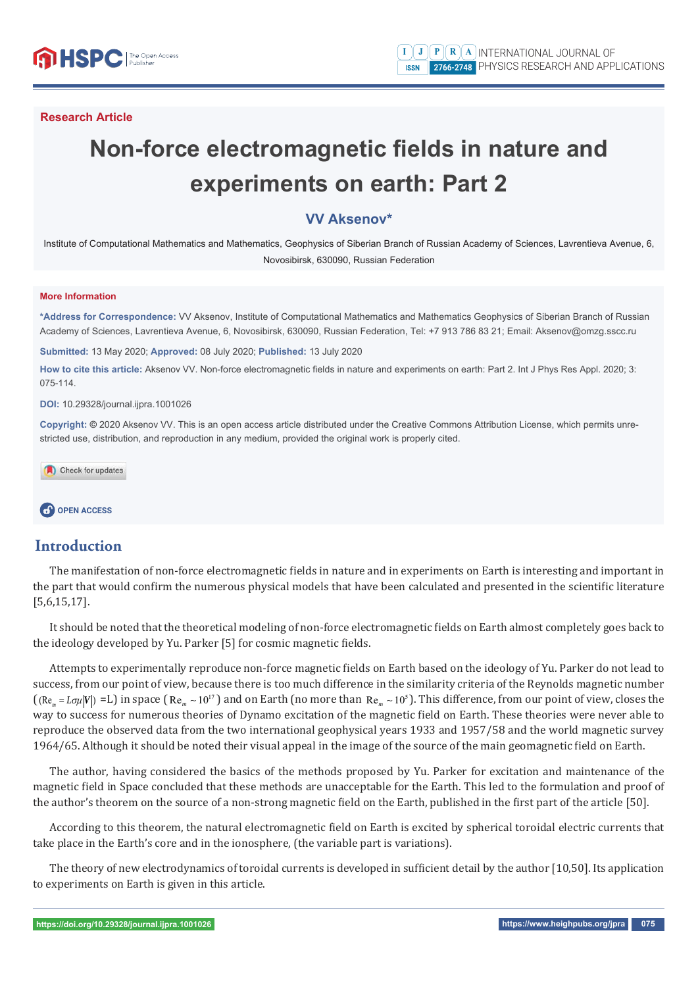# **Non-force electromagnetic fields in nature and experiments on earth: Part 2**

## **VV Aksenov\***

Institute of Computational Mathematics and Mathematics, Geophysics of Siberian Branch of Russian Academy of Sciences, Lavrentieva Avenue, 6, Novosibirsk, 630090, Russian Federation

#### **More Information**

**\*Address for Correspondence:** VV Aksenov, Institute of Computational Mathematics and Mathematics Geophysics of Siberian Branch of Russian Academy of Sciences, Lavrentieva Avenue, 6, Novosibirsk, 630090, Russian Federation, Tel: +7 913 786 83 21; Email: Aksenov@omzg.sscc.ru

**Submitted:** 13 May 2020; **Approved:** 08 July 2020; **Published:** 13 July 2020

How to cite this article: Aksenov VV. Non-force electromagnetic fields in nature and experiments on earth: Part 2. Int J Phys Res Appl. 2020; 3: 075-114.

#### **DOI:** 10.29328/journal.ijpra.1001026

**Copyright: ©** 2020 Aksenov VV. This is an open access article distributed under the Creative Commons Attribution License, which permits unrestricted use, distribution, and reproduction in any medium, provided the original work is properly cited.

Check for updates

## **CP** OPEN ACCESS

## **Introduction**

The manifestation of non-force electromagnetic fields in nature and in experiments on Earth is interesting and important in the part that would confirm the numerous physical models that have been calculated and presented in the scientific literature [5,6,15,17].

It should be noted that the theoretical modeling of non-force electromagnetic fields on Earth almost completely goes back to the ideology developed by Yu. Parker [5] for cosmic magnetic fields.

Attempts to experimentally reproduce non-force magnetic fields on Earth based on the ideology of Yu. Parker do not lead to success, from our point of view, because there is too much difference in the similarity criteria of the Reynolds magnetic number  $((Re<sub>-</sub> = L\sigma u|V) = L)$  in space  $(Re<sub>-</sub> \sim 10<sup>17</sup>)$  and on Earth (no more than  $Re<sub>-</sub> \sim 10<sup>5</sup>$ ). This difference, from our point of view, closes the way to success for numerous theories of Dynamo excitation of the magnetic field on Earth. These theories were never able to reproduce the observed data from the two international geophysical years 1933 and 1957/58 and the world magnetic survey 1964/65. Although it should be noted their visual appeal in the image of the source of the main geomagnetic field on Earth.

The author, having considered the basics of the methods proposed by Yu. Parker for excitation and maintenance of the magnetic field in Space concluded that these methods are unacceptable for the Earth. This led to the formulation and proof of the author's theorem on the source of a non-strong magnetic field on the Earth, published in the first part of the article [50].

According to this theorem, the natural electromagnetic field on Earth is excited by spherical toroidal electric currents that take place in the Earth's core and in the ionosphere, (the variable part is variations).

The theory of new electrodynamics of toroidal currents is developed in sufficient detail by the author  $[10,50]$ . Its application to experiments on Earth is given in this article.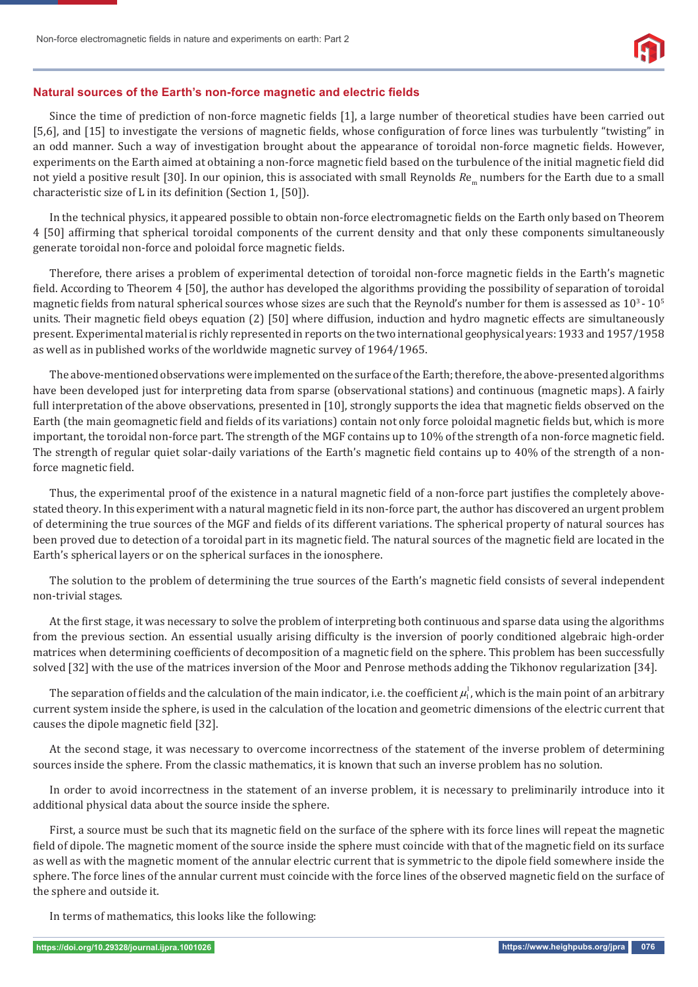

#### **Natural sources of the Earth's non-force magnetic and electric fields**

Since the time of prediction of non-force magnetic fields [1], a large number of theoretical studies have been carried out [5,6], and [15] to investigate the versions of magnetic fields, whose configuration of force lines was turbulently "twisting" in an odd manner. Such a way of investigation brought about the appearance of toroidal non-force magnetic fields. However, experiments on the Earth aimed at obtaining a non-force magnetic field based on the turbulence of the initial magnetic field did not yield a positive result [30]. In our opinion, this is associated with small Reynolds  $Re_{m}$  numbers for the Earth due to a small characteristic size of L in its definition (Section 1, [50]).

In the technical physics, it appeared possible to obtain non-force electromagnetic fields on the Earth only based on Theorem 4 [50] affirming that spherical toroidal components of the current density and that only these components simultaneously generate toroidal non-force and poloidal force magnetic fields.

Therefore, there arises a problem of experimental detection of toroidal non-force magnetic fields in the Earth's magnetic field. According to Theorem 4 [50], the author has developed the algorithms providing the possibility of separation of toroidal magnetic fields from natural spherical sources whose sizes are such that the Reynold's number for them is assessed as  $10^3$  -  $10^5$ units. Their magnetic field obeys equation (2) [50] where diffusion, induction and hydro magnetic effects are simultaneously present. Experimental material is richly represented in reports on the two international geophysical years: 1933 and 1957/1958 as well as in published works of the worldwide magnetic survey of 1964/1965.

The above-mentioned observations were implemented on the surface of the Earth; therefore, the above-presented algorithms have been developed just for interpreting data from sparse (observational stations) and continuous (magnetic maps). A fairly full interpretation of the above observations, presented in [10], strongly supports the idea that magnetic fields observed on the Earth (the main geomagnetic field and fields of its variations) contain not only force poloidal magnetic fields but, which is more important, the toroidal non-force part. The strength of the MGF contains up to 10% of the strength of a non-force magnetic field. The strength of regular quiet solar-daily variations of the Earth's magnetic field contains up to 40% of the strength of a nonforce magnetic field.

Thus, the experimental proof of the existence in a natural magnetic field of a non-force part justifies the completely abovestated theory. In this experiment with a natural magnetic field in its non-force part, the author has discovered an urgent problem of determining the true sources of the MGF and fields of its different variations. The spherical property of natural sources has been proved due to detection of a toroidal part in its magnetic field. The natural sources of the magnetic field are located in the Earth's spherical layers or on the spherical surfaces in the ionosphere.

The solution to the problem of determining the true sources of the Earth's magnetic field consists of several independent non-trivial stages.

At the first stage, it was necessary to solve the problem of interpreting both continuous and sparse data using the algorithms from the previous section. An essential usually arising difficulty is the inversion of poorly conditioned algebraic high-order matrices when determining coefficients of decomposition of a magnetic field on the sphere. This problem has been successfully solved [32] with the use of the matrices inversion of the Moor and Penrose methods adding the Tikhonov regularization [34].

The separation of fields and the calculation of the main indicator, i.e. the coefficient  $\mu_1^l$ , which is the main point of an arbitrary current system inside the sphere, is used in the calculation of the location and geometric dimensions of the electric current that causes the dipole magnetic field [32].

At the second stage, it was necessary to overcome incorrectness of the statement of the inverse problem of determining sources inside the sphere. From the classic mathematics, it is known that such an inverse problem has no solution.

In order to avoid incorrectness in the statement of an inverse problem, it is necessary to preliminarily introduce into it additional physical data about the source inside the sphere.

First, a source must be such that its magnetic field on the surface of the sphere with its force lines will repeat the magnetic field of dipole. The magnetic moment of the source inside the sphere must coincide with that of the magnetic field on its surface as well as with the magnetic moment of the annular electric current that is symmetric to the dipole field somewhere inside the sphere. The force lines of the annular current must coincide with the force lines of the observed magnetic field on the surface of the sphere and outside it.

In terms of mathematics, this looks like the following: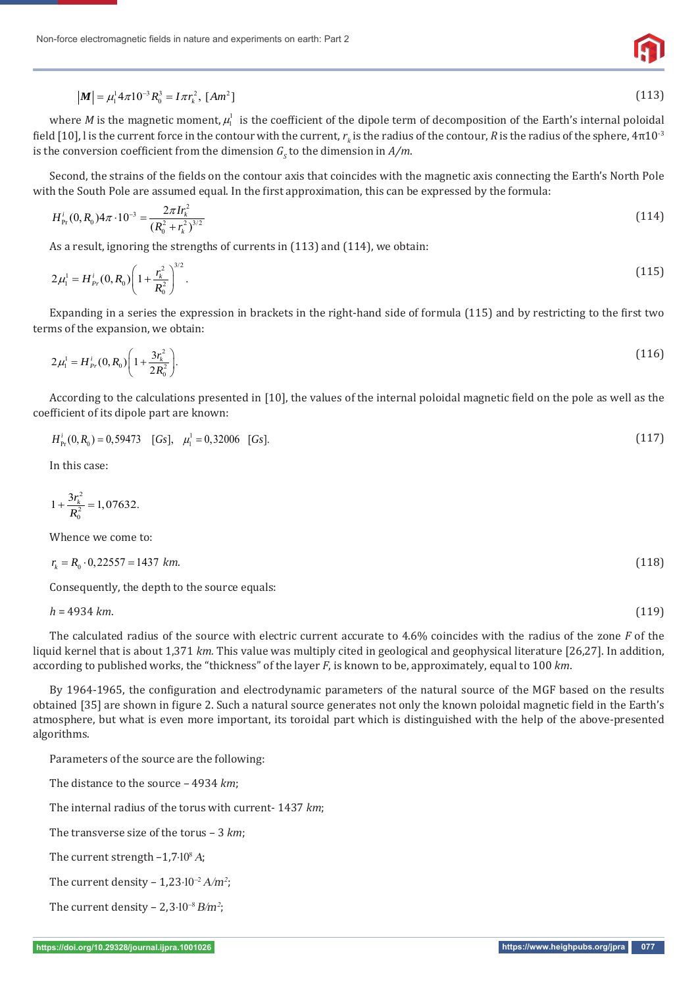

$$
|\mathbf{M}| = \mu_1^1 4\pi 10^{-3} R_0^3 = I \pi r_k^2, \, [Am^2]
$$
\n(113)

where *M* is the magnetic moment,  $\mu_1^1$  is the coefficient of the dipole term of decomposition of the Earth's internal poloidal field [10], l is the current force in the contour with the current,  $r_k$  is the radius of the contour,  $R$  is the radius of the sphere, 4π $10^{\text{-}3}$ is the conversion coefficient from the dimension  $G<sub>S</sub>$  to the dimension in  $A/m$ .

Second, the strains of the fields on the contour axis that coincides with the magnetic axis connecting the Earth's North Pole with the South Pole are assumed equal. In the first approximation, this can be expressed by the formula:

$$
H_{\rm Pr}^i(0,R_0)4\pi \cdot 10^{-3} = \frac{2\pi I r_k^2}{(R_0^2 + r_k^2)^{3/2}}
$$
(114)

As a result, ignoring the strengths of currents in (113) and (114), we obtain:

$$
2\mu_1^1 = H_{Pr}^i(0, R_0) \left( 1 + \frac{r_k^2}{R_0^2} \right)^{3/2}.
$$
\n(115)

Expanding in a series the expression in brackets in the right-hand side of formula (115) and by restricting to the first two terms of the expansion, we obtain:

$$
2\mu_1^1 = H_{Pr}^i(0, R_0) \left( 1 + \frac{3r_k^2}{2R_0^2} \right). \tag{116}
$$

According to the calculations presented in [10], the values of the internal poloidal magnetic field on the pole as well as the coefficient of its dipole part are known:

$$
H_{\rm Pr}^i(0,R_0) = 0.59473 \quad [Gs], \quad \mu_1^1 = 0.32006 \quad [Gs]. \tag{117}
$$

In this case:

$$
1+\frac{3r_k^2}{R_0^2}=1,07632.
$$

Whence we come to:

$$
r_k = R_0 \cdot 0,22557 = 1437 \text{ km.}
$$
\n(118)

Consequently, the depth to the source equals:

*h* = 4934 *km*. (119)

The calculated radius of the source with electric current accurate to 4.6% coincides with the radius of the zone *F* of the liquid kernel that is about 1,371 *km.* This value was multiply cited in geological and geophysical literature [26,27]. In addition, according to published works, the "thickness" of the layer *F*, is known to be, approximately, equal to 100 *km*.

By 1964-1965, the configuration and electrodynamic parameters of the natural source of the MGF based on the results obtained [35] are shown in figure 2. Such a natural source generates not only the known poloidal magnetic field in the Earth's atmosphere, but what is even more important, its toroidal part which is distinguished with the help of the above-presented algorithms.

Parameters of the source are the following:

The distance to the source – 4934 *km*;

The internal radius of the torus with current- 1437 *km*;

The transverse size of the torus – 3 *km*;

The current strength  $-1,7\cdot10^8 A$ ;

The current density –  $1,23 \cdot 10^{-2} A/m^2$ ;

The current density –  $2,3 \cdot 10^{-8} B/m^2$ ;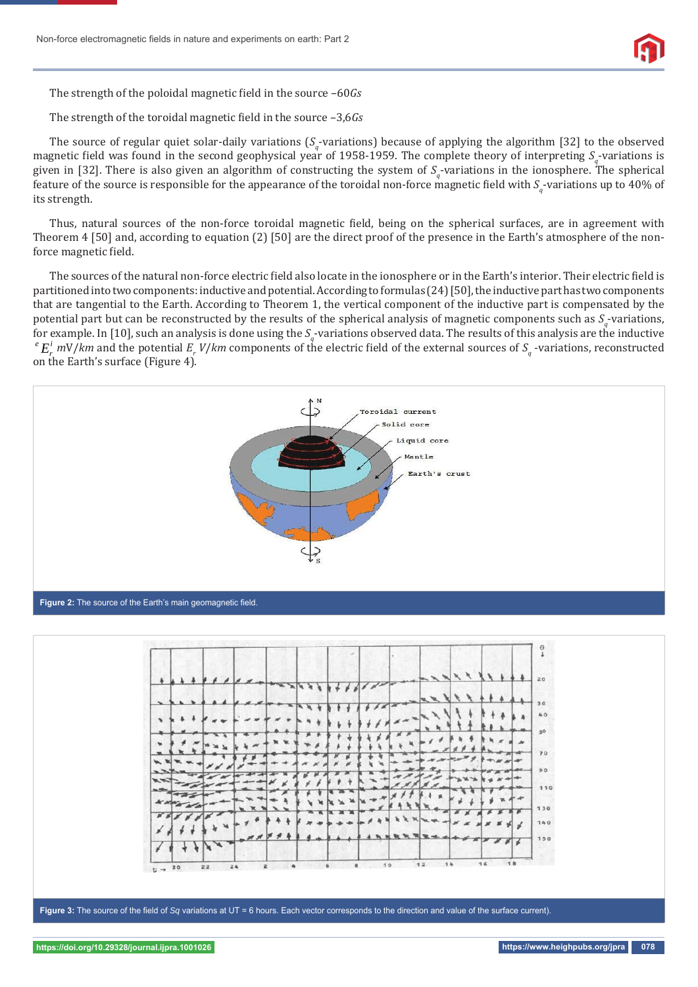

The strength of the poloidal magnetic field in the source –60*Gs* 

The strength of the toroidal magnetic field in the source  $-3,6Gs$ 

The source of regular quiet solar-daily variations (S<sub>q</sub>-variations) because of applying the algorithm [32] to the observed magnetic field was found in the second geophysical year of 1958-1959. The complete theory of interpreting  $S_q$ -variations is given in [32]. There is also given an algorithm of constructing the system of  $S_q$ -variations in the ionosphere. The spherical feature of the source is responsible for the appearance of the toroidal non-force magnetic field with  $S_q$ -variations up to 40% of its strength.

Thus, natural sources of the non-force toroidal magnetic field, being on the spherical surfaces, are in agreement with Theorem 4 [50] and, according to equation (2) [50] are the direct proof of the presence in the Earth's atmosphere of the nonforce magnetic field.

The sources of the natural non-force electric field also locate in the ionosphere or in the Earth's interior. Their electric field is partitioned into two components: inductive and potential. According to formulas (24) [50], the inductive part has two components that are tangential to the Earth. According to Theorem 1, the vertical component of the inductive part is compensated by the potential part but can be reconstructed by the results of the spherical analysis of magnetic components such as  $S_q$ -variations, for example. In [10], such an analysis is done using the  $S_q$ -variations observed data. The results of this analysis are the inductive  $^eE_r^i$  *m*V/*km* and the potential  $E_r$  *V/km* components of the electric field of the external sources of  $S_q$  -variations, reconstructed on the Earth's surface (Figure 4).





Figure 3: The source of the field of Sq variations at UT = 6 hours. Each vector corresponds to the direction and value of the surface current).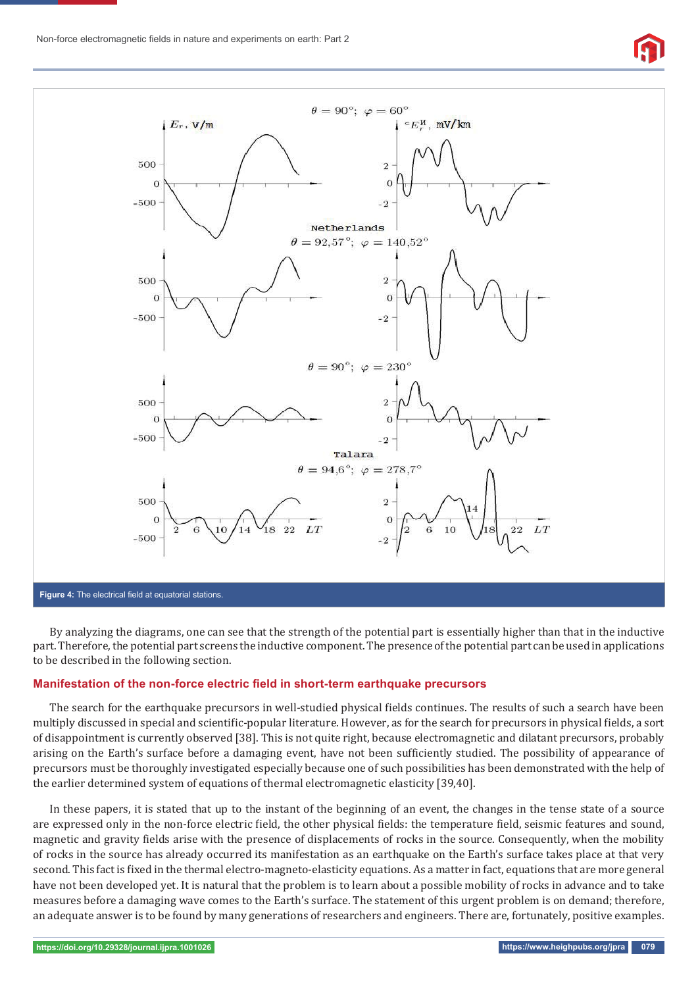



By analyzing the diagrams, one can see that the strength of the potential part is essentially higher than that in the inductive part. Therefore, the potential part screens the inductive component. The presence of the potential part can be used in applications to be described in the following section.

#### **Manifestation of the non-force electric field in short-term earthquake precursors**

The search for the earthquake precursors in well-studied physical fields continues. The results of such a search have been multiply discussed in special and scientific-popular literature. However, as for the search for precursors in physical fields, a sort of disappointment is currently observed [38]. This is not quite right, because electromagnetic and dilatant precursors, probably arising on the Earth's surface before a damaging event, have not been sufficiently studied. The possibility of appearance of precursors must be thoroughly investigated especially because one of such possibilities has been demonstrated with the help of the earlier determined system of equations of thermal electromagnetic elasticity [39,40].

In these papers, it is stated that up to the instant of the beginning of an event, the changes in the tense state of a source are expressed only in the non-force electric field, the other physical fields: the temperature field, seismic features and sound, magnetic and gravity fields arise with the presence of displacements of rocks in the source. Consequently, when the mobility of rocks in the source has already occurred its manifestation as an earthquake on the Earth's surface takes place at that very second. This fact is fixed in the thermal electro-magneto-elasticity equations. As a matter in fact, equations that are more general have not been developed yet. It is natural that the problem is to learn about a possible mobility of rocks in advance and to take measures before a damaging wave comes to the Earth's surface. The statement of this urgent problem is on demand; therefore, an adequate answer is to be found by many generations of researchers and engineers. There are, fortunately, positive examples.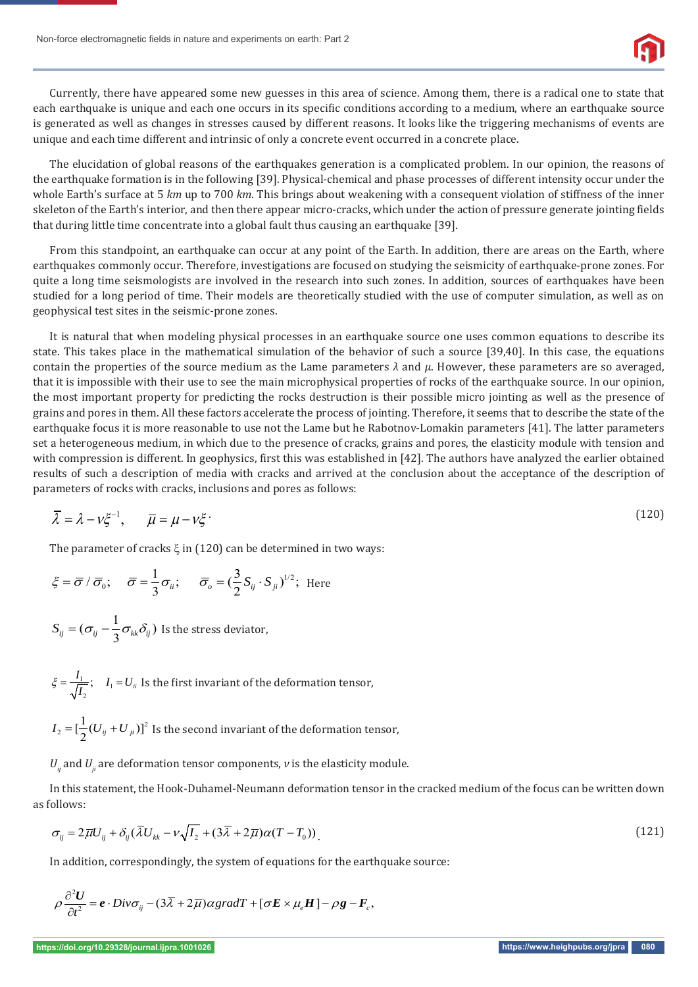

Currently, there have appeared some new guesses in this area of science. Among them, there is a radical one to state that each earthquake is unique and each one occurs in its specific conditions according to a medium, where an earthquake source is generated as well as changes in stresses caused by different reasons. It looks like the triggering mechanisms of events are unique and each time different and intrinsic of only a concrete event occurred in a concrete place.

The elucidation of global reasons of the earthquakes generation is a complicated problem. In our opinion, the reasons of the earthquake formation is in the following [39]. Physical-chemical and phase processes of different intensity occur under the whole Earth's surface at 5 *km* up to 700 *km*. This brings about weakening with a consequent violation of stiffness of the inner skeleton of the Earth's interior, and then there appear micro-cracks, which under the action of pressure generate jointing fields that during little time concentrate into a global fault thus causing an earthquake [39].

From this standpoint, an earthquake can occur at any point of the Earth. In addition, there are areas on the Earth, where earthquakes commonly occur. Therefore, investigations are focused on studying the seismicity of earthquake-prone zones. For quite a long time seismologists are involved in the research into such zones. In addition, sources of earthquakes have been studied for a long period of time. Their models are theoretically studied with the use of computer simulation, as well as on geophysical test sites in the seismic-prone zones.

It is natural that when modeling physical processes in an earthquake source one uses common equations to describe its state. This takes place in the mathematical simulation of the behavior of such a source [39,40]. In this case, the equations contain the properties of the source medium as the Lame parameters *λ* and *μ*. However, these parameters are so averaged, that it is impossible with their use to see the main microphysical properties of rocks of the earthquake source. In our opinion, the most important property for predicting the rocks destruction is their possible micro jointing as well as the presence of grains and pores in them. All these factors accelerate the process of jointing. Therefore, it seems that to describe the state of the earthquake focus it is more reasonable to use not the Lame but he Rabotnov-Lomakin parameters [41]. The latter parameters set a heterogeneous medium, in which due to the presence of cracks, grains and pores, the elasticity module with tension and with compression is different. In geophysics, first this was established in [42]. The authors have analyzed the earlier obtained results of such a description of media with cracks and arrived at the conclusion about the acceptance of the description of parameters of rocks with cracks, inclusions and pores as follows:

$$
\overline{\lambda} = \lambda - \nu \xi^{-1}, \qquad \overline{\mu} = \mu - \nu \xi \tag{120}
$$

The parameter of cracks  $\xi$  in (120) can be determined in two ways:

$$
\xi = \overline{\sigma} / \overline{\sigma}_0; \quad \overline{\sigma} = \frac{1}{3} \sigma_{ii}; \quad \overline{\sigma}_o = (\frac{3}{2} S_{ij} \cdot S_{ji})^{1/2};
$$
 Here

$$
S_{ij} = (\sigma_{ij} - \frac{1}{3}\sigma_{kk}\delta_{ij})
$$
 Is the stress deviator,

- $\frac{1}{I}$ ;  $I_1$ 2  $\xi = \frac{I_1}{\sqrt{I_2}}$ ;  $I_1 = U_{ii}$  Is the first invariant of the deformation tensor,
- $I_{\scriptscriptstyle 2} = [\frac{1}{2}(U_{\scriptscriptstyle ij}$  +  $U_{\scriptscriptstyle ji})]^2$  Is the second invariant of the deformation tensor,

 $U_{ij}$  and  $U_{ij}$  are deformation tensor components,  $\nu$  is the elasticity module.

In this statement, the Hook-Duhamel-Neumann deformation tensor in the cracked medium of the focus can be written down as follows:

$$
\sigma_{ij} = 2\overline{\mu}U_{ij} + \delta_{ij}(\overline{\lambda}U_{kk} - \nu\sqrt{I_2} + (3\overline{\lambda} + 2\overline{\mu})\alpha(T - T_0))
$$
\n(121)

In addition, correspondingly, the system of equations for the earthquake source:

$$
\rho \frac{\partial^2 U}{\partial t^2} = \boldsymbol{e} \cdot \boldsymbol{Div} \boldsymbol{\sigma}_{ij} - (3\overline{\lambda} + 2\overline{\mu}) \alpha \operatorname{grad} T + [\boldsymbol{\sigma} \boldsymbol{E} \times \mu_e \boldsymbol{H}] - \rho \boldsymbol{g} - \boldsymbol{F}_c,
$$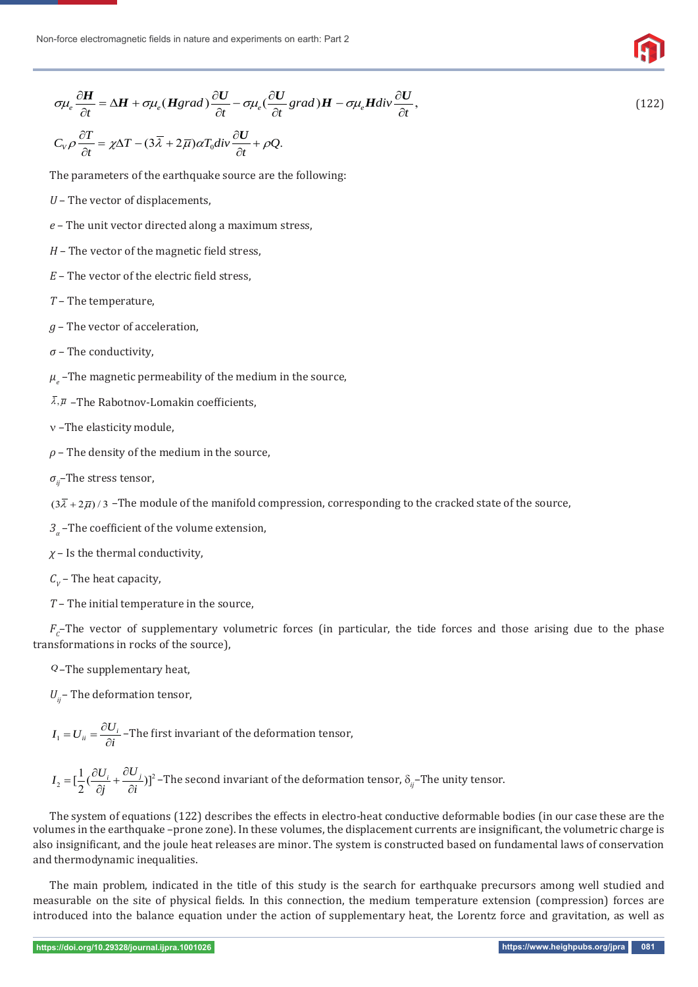$$
\sigma\mu_e \frac{\partial H}{\partial t} = \Delta H + \sigma\mu_e (Hgrad) \frac{\partial U}{\partial t} - \sigma\mu_e (\frac{\partial U}{\partial t} grad)H - \sigma\mu_e Hdiv \frac{\partial U}{\partial t},
$$
\n
$$
C_V \rho \frac{\partial T}{\partial t} = \chi \Delta T - (3\overline{\lambda} + 2\overline{\mu}) \alpha T_0 div \frac{\partial U}{\partial t} + \rho Q.
$$
\n(122)

The parameters of the earthquake source are the following:

- *U*  The vector of displacements,
- *e* The unit vector directed along a maximum stress,
- $H$  The vector of the magnetic field stress,
- *E* The vector of the electric field stress,
- *T* The temperature,
- *g* The vector of acceleration,
- *σ* The conductivity,
- $\mu_{_e}$  –The magnetic permeability of the medium in the source,
- $\overline{\lambda}, \overline{\mu}$  –The Rabotnov-Lomakin coefficients,
- –The elasticity module,
- *ρ* The density of the medium in the source,
- *σij*–The stress tensor,

 $(3\bar{\lambda} + 2\bar{\mu})/3$  -The module of the manifold compression, corresponding to the cracked state of the source,

- *3*<sub>*a*</sub> –The coefficient of the volume extension,
- *χ* Is the thermal conductivity,
- $C_v$  The heat capacity,
- *T* The initial temperature in the source,

 $F_c$ –The vector of supplementary volumetric forces (in particular, the tide forces and those arising due to the phase transformations in rocks of the source),

*Q* –The supplementary heat,

 $U_{ii}$  – The deformation tensor,

$$
I_1 = U_{ii} = \frac{\partial U_i}{\partial i}
$$
 – The first invariant of the deformation tensor,

$$
I_2 = \left[\frac{1}{2}(\frac{\partial U_i}{\partial j} + \frac{\partial U_j}{\partial i})\right]^2
$$
 - The second invariant of the deformation tensor,  $\delta_{ij}$ -The unity tensor.

The system of equations (122) describes the effects in electro-heat conductive deformable bodies (in our case these are the volumes in the earthquake –prone zone). In these volumes, the displacement currents are insignificant, the volumetric charge is also insignificant, and the joule heat releases are minor. The system is constructed based on fundamental laws of conservation and thermodynamic inequalities.

The main problem, indicated in the title of this study is the search for earthquake precursors among well studied and measurable on the site of physical fields. In this connection, the medium temperature extension (compression) forces are introduced into the balance equation under the action of supplementary heat, the Lorentz force and gravitation, as well as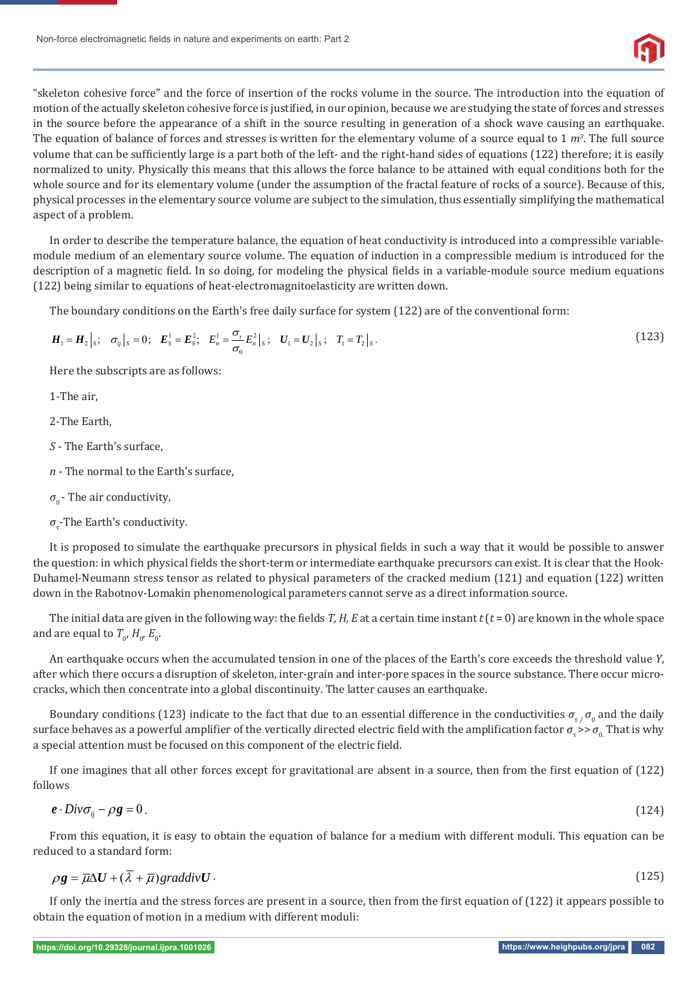

"skeleton cohesive force" and the force of insertion of the rocks volume in the source. The introduction into the equation of motion of the actually skeleton cohesive force is justified, in our opinion, because we are studying the state of forces and stresses in the source before the appearance of a shift in the source resulting in generation of a shock wave causing an earthquake. The equation of balance of forces and stresses is written for the elementary volume of a source equal to  $1 \, m^3$ . The full source volume that can be sufficiently large is a part both of the left- and the right-hand sides of equations (122) therefore; it is easily normalized to unity. Physically this means that this allows the force balance to be attained with equal conditions both for the whole source and for its elementary volume (under the assumption of the fractal feature of rocks of a source). Because of this, physical processes in the elementary source volume are subject to the simulation, thus essentially simplifying the mathematical aspect of a problem.

In order to describe the temperature balance, the equation of heat conductivity is introduced into a compressible variablemodule medium of an elementary source volume. The equation of induction in a compressible medium is introduced for the description of a magnetic field. In so doing, for modeling the physical fields in a variable-module source medium equations (122) being similar to equations of heat-electromagnitoelasticity are written down.

The boundary conditions on the Earth's free daily surface for system (122) are of the conventional form:

$$
H_1 = H_2|_S; \quad \sigma_{ij}|_S = 0; \quad E_S^1 = E_S^2; \quad E_n^1 = \frac{\sigma_r}{\sigma_0} E_n^2|_S; \quad U_1 = U_2|_S; \quad T_1 = T_2|_S. \tag{123}
$$

Here the subscripts are as follows:

1-The air,

2-The Earth,

- *S* The Earth's surface,
- *n* The normal to the Earth's surface,
- $\sigma$ <sup>0</sup> The air conductivity,

 $\sigma_{\tau}$ -The Earth's conductivity.

It is proposed to simulate the earthquake precursors in physical fields in such a way that it would be possible to answer the question: in which physical fields the short-term or intermediate earthquake precursors can exist. It is clear that the Hook-Duhamel-Neumann stress tensor as related to physical parameters of the cracked medium (121) and equation (122) written down in the Rabotnov-Lomakin phenomenological parameters cannot serve as a direct information source.

The initial data are given in the following way: the fields *T*, *H*, *E* at a certain time instant  $t$  ( $t$  = 0) are known in the whole space and are equal to  $T_{0}$ ,  $H_{0}$ ,  $E_{0}$ .

An earthquake occurs when the accumulated tension in one of the places of the Earth's core exceeds the threshold value *Y*, after which there occurs a disruption of skeleton, inter-grain and inter-pore spaces in the source substance. There occur microcracks, which then concentrate into a global discontinuity. The latter causes an earthquake.

Boundary conditions (123) indicate to the fact that due to an essential difference in the conductivities  $\sigma_{\tau/\sigma_0}$  and the daily surface behaves as a powerful amplifier of the vertically directed electric field with the amplification factor  $\sigma_r$  >> $\sigma_0$ . That is why a special attention must be focused on this component of the electric field.

If one imagines that all other forces except for gravitational are absent in a source, then from the first equation of (122) follows

$$
e \cdot \text{Div}\sigma_{ij} - \rho g = 0 \tag{124}
$$

From this equation, it is easy to obtain the equation of balance for a medium with different moduli. This equation can be reduced to a standard form:

$$
\rho g = \overline{\mu} \Delta U + (\overline{\lambda} + \overline{\mu}) \text{graddiv} U \tag{125}
$$

If only the inertia and the stress forces are present in a source, then from the first equation of (122) it appears possible to obtain the equation of motion in a medium with different moduli: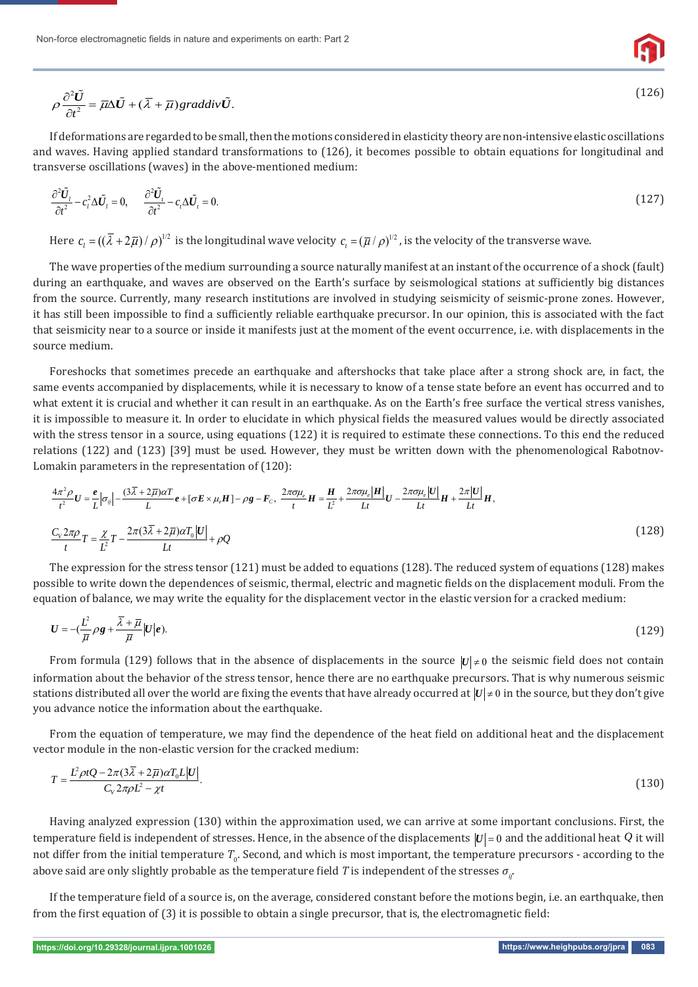

$$
(126)
$$

$$
\rho \frac{\partial^2 \tilde{U}}{\partial t^2} = \overline{\mu} \Delta \tilde{U} + (\overline{\lambda} + \overline{\mu}) graddiv \tilde{U}.
$$

If deformations are regarded to be small, then the motions considered in elasticity theory are non-intensive elastic oscillations and waves. Having applied standard transformations to (126), it becomes possible to obtain equations for longitudinal and transverse oscillations (waves) in the above-mentioned medium:

$$
\frac{\partial^2 \tilde{U}_l}{\partial t^2} - c_l^2 \Delta \tilde{U}_l = 0, \qquad \frac{\partial^2 \tilde{U}_l}{\partial t^2} - c_l \Delta \tilde{U}_l = 0.
$$
\n(127)

Here  $c_i = ((\overline{\lambda} + 2\overline{\mu}) / \rho)^{1/2}$  is the longitudinal wave velocity  $c_i = (\overline{\mu} / \rho)^{1/2}$ , is the velocity of the transverse wave.

The wave properties of the medium surrounding a source naturally manifest at an instant of the occurrence of a shock (fault) during an earthquake, and waves are observed on the Earth's surface by seismological stations at sufficiently big distances from the source. Currently, many research institutions are involved in studying seismicity of seismic-prone zones. However, it has still been impossible to find a sufficiently reliable earthquake precursor. In our opinion, this is associated with the fact that seismicity near to a source or inside it manifests just at the moment of the event occurrence, i.e. with displacements in the source medium.

Foreshocks that sometimes precede an earthquake and aftershocks that take place after a strong shock are, in fact, the same events accompanied by displacements, while it is necessary to know of a tense state before an event has occurred and to what extent it is crucial and whether it can result in an earthquake. As on the Earth's free surface the vertical stress vanishes, it is impossible to measure it. In order to elucidate in which physical fields the measured values would be directly associated with the stress tensor in a source, using equations (122) it is required to estimate these connections. To this end the reduced relations (122) and (123) [39] must be used. However, they must be written down with the phenomenological Rabotnov-Lomakin parameters in the representation of (120):

$$
\frac{4\pi^2 \rho}{t^2} U = \frac{e}{L} |\sigma_{ij}| - \frac{(3\overline{\lambda} + 2\overline{\mu})\alpha T}{L} e + [\sigma E \times \mu_e H] - \rho g - F_c, \quad \frac{2\pi \sigma \mu_e}{t} H = \frac{H}{L^2} + \frac{2\pi \sigma \mu_e |H|}{Lt} U - \frac{2\pi \sigma \mu_e |U|}{Lt} H + \frac{2\pi |U|}{Lt} H,
$$
\n
$$
\frac{C_V 2\pi \rho}{t} T = \frac{\chi}{L^2} T - \frac{2\pi (3\overline{\lambda} + 2\overline{\mu})\alpha T_0 |U|}{Lt} + \rho Q
$$
\n(128)

The expression for the stress tensor (121) must be added to equations (128). The reduced system of equations (128) makes possible to write down the dependences of seismic, thermal, electric and magnetic fields on the displacement moduli. From the equation of balance, we may write the equality for the displacement vector in the elastic version for a cracked medium:

$$
U = -\left(\frac{L^2}{\overline{\mu}}\rho g + \frac{\overline{\lambda} + \overline{\mu}}{\overline{\mu}}\middle|U\middle|e\right). \tag{129}
$$

From formula (129) follows that in the absence of displacements in the source  $|U| \neq 0$  the seismic field does not contain information about the behavior of the stress tensor, hence there are no earthquake precursors. That is why numerous seismic stations distributed all over the world are fixing the events that have already occurred at  $|U| \neq 0$  in the source, but they don't give you advance notice the information about the earthquake.

From the equation of temperature, we may find the dependence of the heat field on additional heat and the displacement vector module in the non-elastic version for the cracked medium:

$$
T = \frac{L^2 \rho t Q - 2\pi (3\overline{\lambda} + 2\overline{\mu}) \alpha T_0 L |U|}{C_v 2\pi \rho L^2 - \chi t}.
$$
\n(130)

Having analyzed expression (130) within the approximation used, we can arrive at some important conclusions. First, the temperature field is independent of stresses. Hence, in the absence of the displacements  $|U|=0$  and the additional heat  $Q$  it will not differ from the initial temperature  $T_{0}$ . Second, and which is most important, the temperature precursors - according to the above said are only slightly probable as the temperature field *T* is independent of the stresses  $\sigma_{ir}$ .

If the temperature field of a source is, on the average, considered constant before the motions begin, i.e. an earthquake, then from the first equation of (3) it is possible to obtain a single precursor, that is, the electromagnetic field: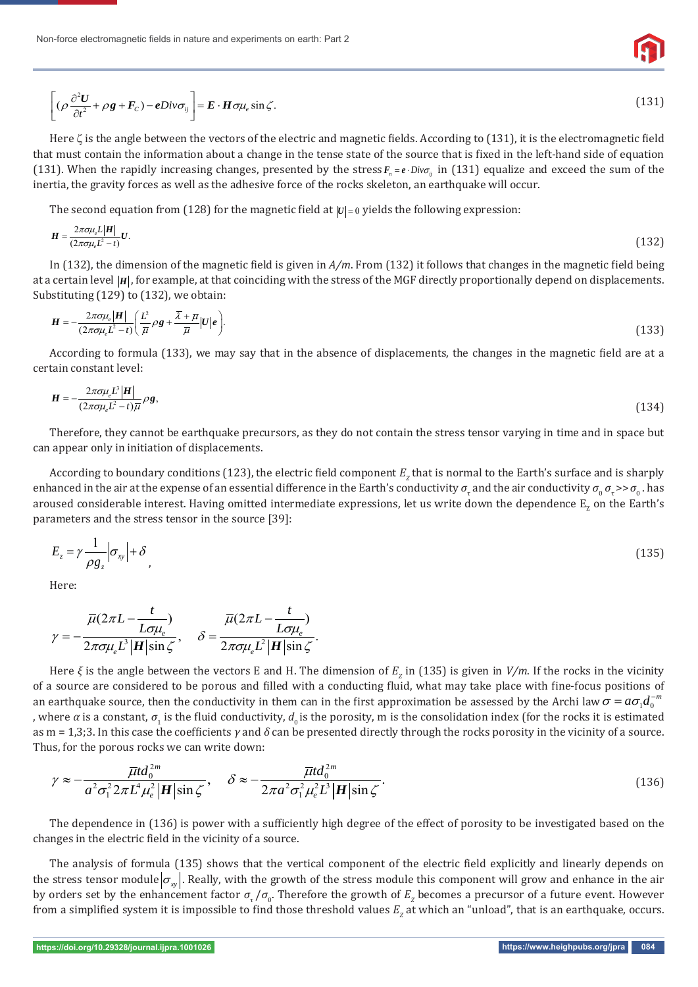

$$
\left[ (\rho \frac{\partial^2 U}{\partial t^2} + \rho g + F_c) - eDiv \sigma_{ij} \right] = \boldsymbol{E} \cdot \boldsymbol{H} \sigma \mu_e \sin \zeta. \tag{131}
$$

Here  $\zeta$  is the angle between the vectors of the electric and magnetic fields. According to (131), it is the electromagnetic field that must contain the information about a change in the tense state of the source that is fixed in the left-hand side of equation (131). When the rapidly increasing changes, presented by the stress  $F_n = e \cdot Div_{\sigma_{ij}}$  in (131) equalize and exceed the sum of the inertia, the gravity forces as well as the adhesive force of the rocks skeleton, an earthquake will occur.

The second equation from (128) for the magnetic field at  $|U| = 0$  yields the following expression:

$$
H = \frac{2\pi\sigma\mu_e L |H|}{(2\pi\sigma\mu_e L^2 - t)} U. \tag{132}
$$

In (132), the dimension of the magnetic field is given in  $A/m$ . From (132) it follows that changes in the magnetic field being at a certain level |H|, for example, at that coinciding with the stress of the MGF directly proportionally depend on displacements. Substituting (129) to (132), we obtain:

$$
\boldsymbol{H} = -\frac{2\pi\sigma\mu_e|\boldsymbol{H}|}{(2\pi\sigma\mu_e L^2 - t)} \bigg(\frac{L^2}{\overline{\mu}}\rho\boldsymbol{g} + \frac{\overline{\lambda} + \overline{\mu}}{\overline{\mu}}|\boldsymbol{U}|\boldsymbol{e}\bigg).
$$
(133)

According to formula (133), we may say that in the absence of displacements, the changes in the magnetic field are at a certain constant level:

$$
\mathbf{H} = -\frac{2\pi\sigma\mu_e L^3 |\mathbf{H}|}{(2\pi\sigma\mu_e L^2 - t)\overline{\mu}} \rho \mathbf{g},\tag{134}
$$

Therefore, they cannot be earthquake precursors, as they do not contain the stress tensor varying in time and in space but can appear only in initiation of displacements.

According to boundary conditions (123), the electric field component  $E_{_Z}$  that is normal to the Earth's surface and is sharply enhanced in the air at the expense of an essential difference in the Earth's conductivity  $\sigma_{\rm r}$  and the air conductivity  $\sigma_{\rm o}$   $\sigma_{\rm r}$  >> $\sigma_{\rm o}$  . has aroused considerable interest. Having omitted intermediate expressions, let us write down the dependence  $\rm E_{_Z}$  on the Earth's parameters and the stress tensor in the source [39]:

$$
E_z = \gamma \frac{1}{\rho g_z} \left| \sigma_{xy} \right| + \delta \tag{135}
$$

Here:

$$
\gamma = -\frac{\overline{\mu}(2\pi L - \frac{t}{L\sigma\mu_e})}{2\pi\sigma\mu_e L^3 |\mathbf{H}|\sin\zeta}, \quad \delta = \frac{\overline{\mu}(2\pi L - \frac{t}{L\sigma\mu_e})}{2\pi\sigma\mu_e L^2 |\mathbf{H}|\sin\zeta}.
$$

Here *ξ* is the angle between the vectors E and H. The dimension of  $E_z$  in (135) is given in *V/m*. If the rocks in the vicinity of a source are considered to be porous and filled with a conducting fluid, what may take place with fine-focus positions of an earthquake source, then the conductivity in them can in the first approximation be assessed by the Archi law  $\sigma$  =  $a\sigma_1d_0^{-m}$ , where  $\alpha$  is a constant,  $\sigma_1$  is the fluid conductivity,  $d_{_0}$  is the porosity, m is the consolidation index (for the rocks it is estimated as m = 1,3;3. In this case the coefficients  $\gamma$  and  $\delta$  can be presented directly through the rocks porosity in the vicinity of a source. Thus, for the porous rocks we can write down:

$$
\gamma \approx -\frac{\overline{\mu}td_0^{2m}}{a^2\sigma_1^2 2\pi L^4\mu_e^2 |\mathbf{H}|\sin\zeta}, \quad \delta \approx -\frac{\overline{\mu}td_0^{2m}}{2\pi a^2\sigma_1^2\mu_e^2 L^3 |\mathbf{H}|\sin\zeta}.
$$
\n(136)

The dependence in (136) is power with a sufficiently high degree of the effect of porosity to be investigated based on the changes in the electric field in the vicinity of a source.

The analysis of formula (135) shows that the vertical component of the electric field explicitly and linearly depends on the stress tensor module  $\sigma_{\rm w}$ . Really, with the growth of the stress module this component will grow and enhance in the air by orders set by the enhancement factor  $\sigma_\tau/\sigma_o$ . Therefore the growth of  $E_z$  becomes a precursor of a future event. However from a simplified system it is impossible to find those threshold values  $E_z$  at which an "unload", that is an earthquake, occurs.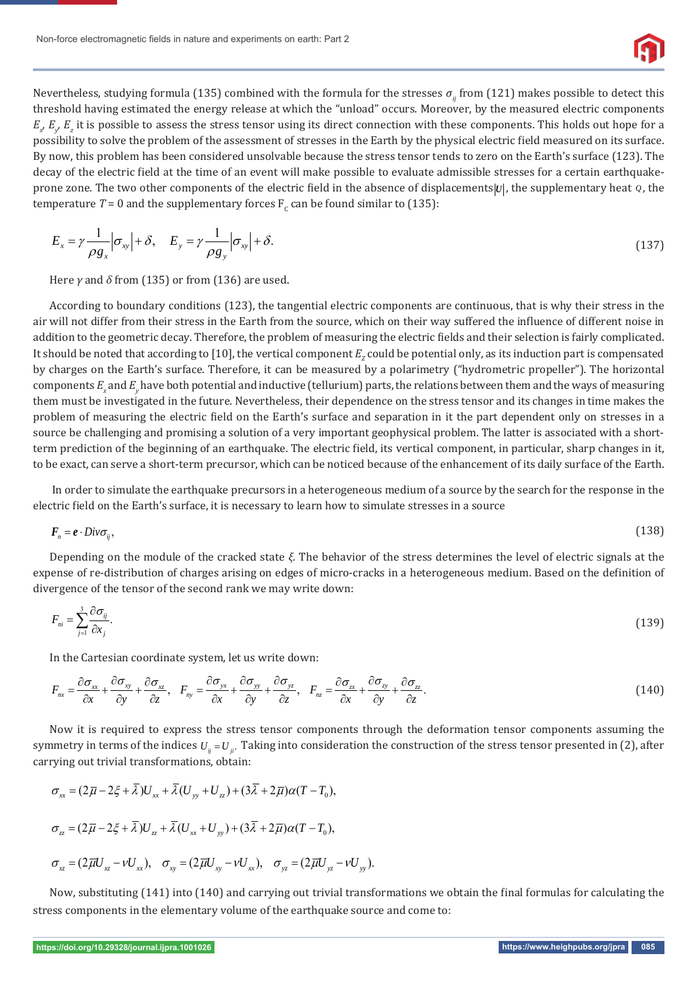

Nevertheless, studying formula (135) combined with the formula for the stresses *σ<sub><i>ii*</sub> from</sub> (121)</sub> makes possible to detect this threshold having estimated the energy release at which the "unload" occurs. Moreover, by the measured electric components  $E_\chi E_\chi E_z$  it is possible to assess the stress tensor using its direct connection with these components. This holds out hope for a possibility to solve the problem of the assessment of stresses in the Earth by the physical electric field measured on its surface. By now, this problem has been considered unsolvable because the stress tensor tends to zero on the Earth's surface (123). The decay of the electric field at the time of an event will make possible to evaluate admissible stresses for a certain earthquakeprone zone. The two other components of the electric field in the absence of displacements *U*, the supplementary heat *Q*, the temperature  $T = 0$  and the supplementary forces  $F_c$  can be found similar to (135):

$$
E_x = \gamma \frac{1}{\rho g_x} \left| \sigma_{xy} \right| + \delta, \quad E_y = \gamma \frac{1}{\rho g_y} \left| \sigma_{xy} \right| + \delta. \tag{137}
$$

Here *γ* and *δ* from (135) or from (136) are used.

According to boundary conditions (123), the tangential electric components are continuous, that is why their stress in the air will not differ from their stress in the Earth from the source, which on their way suffered the influence of different noise in addition to the geometric decay. Therefore, the problem of measuring the electric fields and their selection is fairly complicated. It should be noted that according to [10], the vertical component  $E_{_Z}$ could be potential only, as its induction part is compensated by charges on the Earth's surface. Therefore, it can be measured by a polarimetry ("hydrometric propeller"). The horizontal components  $E_x$  and  $E_y$  have both potential and inductive (tellurium) parts, the relations between them and the ways of measuring them must be investigated in the future. Nevertheless, their dependence on the stress tensor and its changes in time makes the problem of measuring the electric field on the Earth's surface and separation in it the part dependent only on stresses in a source be challenging and promising a solution of a very important geophysical problem. The latter is associated with a shortterm prediction of the beginning of an earthquake. The electric field, its vertical component, in particular, sharp changes in it, to be exact, can serve a short-term precursor, which can be noticed because of the enhancement of its daily surface of the Earth.

 In order to simulate the earthquake precursors in a heterogeneous medium of a source by the search for the response in the electric field on the Earth's surface, it is necessary to learn how to simulate stresses in a source

$$
F_n = e \cdot Div \sigma_{ij},\tag{138}
$$

Depending on the module of the cracked state *ξ*. The behavior of the stress determines the level of electric signals at the expense of re-distribution of charges arising on edges of micro-cracks in a heterogeneous medium. Based on the definition of divergence of the tensor of the second rank we may write down:

$$
F_{ni} = \sum_{j=1}^{3} \frac{\partial \sigma_{ij}}{\partial x_j}.
$$
\n(139)

In the Cartesian coordinate system, let us write down:

$$
F_{nx} = \frac{\partial \sigma_{xx}}{\partial x} + \frac{\partial \sigma_{xy}}{\partial y} + \frac{\partial \sigma_{xz}}{\partial z}, \quad F_{ny} = \frac{\partial \sigma_{yx}}{\partial x} + \frac{\partial \sigma_{yy}}{\partial y} + \frac{\partial \sigma_{yz}}{\partial z}, \quad F_{nz} = \frac{\partial \sigma_{zx}}{\partial x} + \frac{\partial \sigma_{zy}}{\partial y} + \frac{\partial \sigma_{zz}}{\partial z}.
$$
(140)

Now it is required to express the stress tensor components through the deformation tensor components assuming the symmetry in terms of the indices  $U_{ii} = U_{ii}$ . Taking into consideration the construction of the stress tensor presented in (2), after carrying out trivial transformations, obtain:

$$
\sigma_{xx} = (2\overline{\mu} - 2\xi + \overline{\lambda})U_{xx} + \overline{\lambda}(U_{yy} + U_{zz}) + (3\overline{\lambda} + 2\overline{\mu})\alpha(T - T_0),
$$
  

$$
\sigma_{zz} = (2\overline{\mu} - 2\xi + \overline{\lambda})U_{zz} + \overline{\lambda}(U_{xx} + U_{yy}) + (3\overline{\lambda} + 2\overline{\mu})\alpha(T - T_0),
$$
  

$$
\sigma_{xz} = (2\overline{\mu}U_{xz} - \nu U_{xx}), \quad \sigma_{xy} = (2\overline{\mu}U_{xy} - \nu U_{xx}), \quad \sigma_{yz} = (2\overline{\mu}U_{yz} - \nu U_{yy}).
$$

Now, substituting (141) into (140) and carrying out trivial transformations we obtain the final formulas for calculating the stress components in the elementary volume of the earthquake source and come to: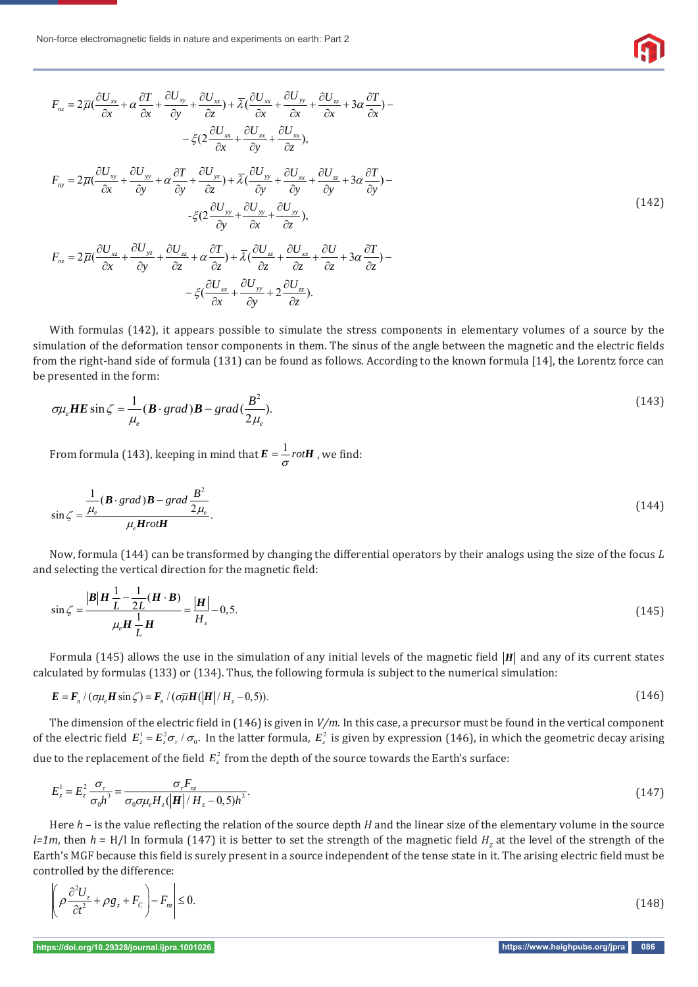Non-force electromagnetic fields in nature and experiments on earth: Part 2

*nx F*

*nz F*

$$
F_{nx} = 2\overline{\mu}(\frac{\partial U_{xx}}{\partial x} + \alpha \frac{\partial T}{\partial x} + \frac{\partial U_{xy}}{\partial y} + \frac{\partial U_{xz}}{\partial z}) + \overline{\lambda}(\frac{\partial U_{xx}}{\partial x} + \frac{\partial U_{yy}}{\partial x} + \frac{\partial U_{zz}}{\partial x} + 3\alpha \frac{\partial T}{\partial x}) -
$$
  

$$
- \xi(2\frac{\partial U_{xx}}{\partial x} + \frac{\partial U_{xx}}{\partial y} + \frac{\partial U_{xx}}{\partial y})
$$
  

$$
F_{ny} = 2\overline{\mu}(\frac{\partial U_{xy}}{\partial x} + \frac{\partial U_{yy}}{\partial y} + \alpha \frac{\partial T}{\partial y} + \frac{\partial U_{yz}}{\partial z}) + \overline{\lambda}(\frac{\partial U_{yy}}{\partial y} + \frac{\partial U_{xx}}{\partial y} + \frac{\partial U_{zz}}{\partial y} + 3\alpha \frac{\partial T}{\partial y}) -
$$
  

$$
- \xi(2\frac{\partial U_{yy}}{\partial y} + \frac{\partial U_{yy}}{\partial x} + \frac{\partial U_{yy}}{\partial z})
$$
  

$$
F_{nz} = 2\overline{\mu}(\frac{\partial U_{xz}}{\partial x} + \frac{\partial U_{yz}}{\partial y} + \frac{\partial U_{zz}}{\partial z} + \alpha \frac{\partial T}{\partial z}) + \overline{\lambda}(\frac{\partial U_{zz}}{\partial z} + \frac{\partial U_{xx}}{\partial z} + \frac{\partial U_{xx}}{\partial z} + 3\alpha \frac{\partial T}{\partial z}) -
$$
  
(142)

$$
\begin{array}{cccc}\n\alpha & \alpha & \beta & \alpha & \alpha \\
\hline\n\zeta & \frac{\partial U_{xx}}{\partial x} + \frac{\partial U_{yy}}{\partial y} + 2 \frac{\partial U_{zz}}{\partial z}.\n\end{array}
$$

With formulas (142), it appears possible to simulate the stress components in elementary volumes of a source by the simulation of the deformation tensor components in them. The sinus of the angle between the magnetic and the electric fields from the right-hand side of formula (131) can be found as follows. According to the known formula [14], the Lorentz force can be presented in the form:

$$
\sigma\mu_e\boldsymbol{H}\boldsymbol{E}\sin\zeta = \frac{1}{\mu_e}(\boldsymbol{B}\cdot\text{grad})\boldsymbol{B} - \text{grad}(\frac{\boldsymbol{B}^2}{2\mu_e}).
$$
\n(143)

From formula (143), keeping in mind that  $\boldsymbol{E} = \frac{1}{\sigma} rot \boldsymbol{H}$  , we find:

$$
\sin \zeta = \frac{\frac{1}{\mu_e} (\mathbf{B} \cdot \text{grad}) \mathbf{B} - \text{grad} \frac{\mathbf{B}^2}{2\mu_e}}{\mu_e \mathbf{H} \cdot \text{rot} \mathbf{H}}.
$$
\n(144)

Now, formula (144) can be transformed by changing the differential operators by their analogs using the size of the focus *L* and selecting the vertical direction for the magnetic field:

$$
\sin \zeta = \frac{|B|H \frac{1}{L} - \frac{1}{2L}(H \cdot B)}{\mu_{e} H \frac{1}{L} H} = \frac{|H|}{H_{z}} - 0,5.
$$
\n(145)

Formula (145) allows the use in the simulation of any initial levels of the magnetic field  $|H|$  and any of its current states calculated by formulas (133) or (134). Thus, the following formula is subject to the numerical simulation:

$$
E = F_n / (\sigma \mu_e H \sin \zeta) = F_n / (\sigma \overline{\mu} H (|H| / H_z - 0.5)).
$$
\n(146)

The dimension of the electric field in (146) is given in  $V/m$ . In this case, a precursor must be found in the vertical component of the electric field  $E_z^1 = E_z^2 \sigma_r / \sigma_0$ . In the latter formula,  $E_z^2$  is given by expression (146), in which the geometric decay arising due to the replacement of the field  $E_z^2$  from the depth of the source towards the Earth's surface:

$$
E_z^1 = E_z^2 \frac{\sigma_r}{\sigma_0 h^3} = \frac{\sigma_r F_{nz}}{\sigma_0 \sigma \mu_e H_z (\left| \mathbf{H} \right| / H_z - 0.5) h^3}.
$$
\n(147)

Here *h* – is the value reflecting the relation of the source depth *H* and the linear size of the elementary volume in the source *l=1m*, then  $h$  = H/l In formula (147) it is better to set the strength of the magnetic field  $H<sub>z</sub>$  at the level of the strength of the Earth's MGF because this field is surely present in a source independent of the tense state in it. The arising electric field must be controlled by the difference:

$$
\left| \left( \rho \frac{\partial^2 U_z}{\partial t^2} + \rho g_z + F_c \right) - F_{nz} \right| \le 0. \tag{148}
$$

**https://doi.org/10.29328/journal.ijpra.1001026 https://www.heighpubs.org/jpra 086**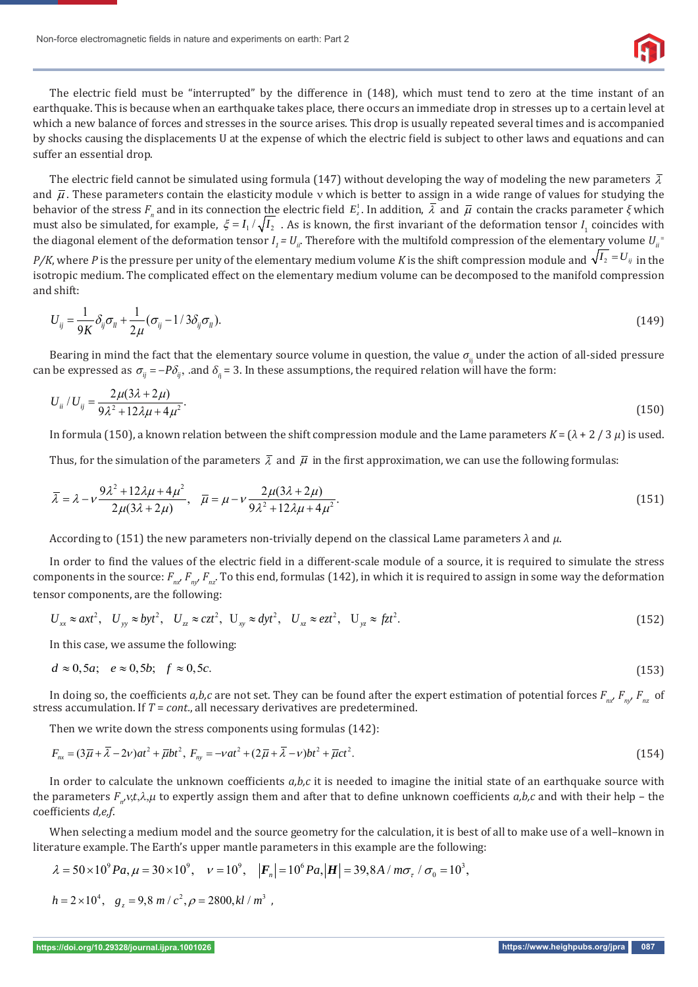

The electric field must be "interrupted" by the difference in (148), which must tend to zero at the time instant of an earthquake. This is because when an earthquake takes place, there occurs an immediate drop in stresses up to a certain level at which a new balance of forces and stresses in the source arises. This drop is usually repeated several times and is accompanied by shocks causing the displacements U at the expense of which the electric field is subject to other laws and equations and can suffer an essential drop.

The electric field cannot be simulated using formula (147) without developing the way of modeling the new parameters  $\bar{\lambda}$ and  $\bar{\mu}$ . These parameters contain the elasticity module v which is better to assign in a wide range of values for studying the behavior of the stress  $F_n$  and in its connection the electric field  $E_z^1$ . In addition,  $\bar{\lambda}$  and  $\bar{\mu}$  contain the cracks parameter  $\xi$  which must also be simulated, for example,  $\xi = I_1/\sqrt{I_2}$ . As is known, the first invariant of the deformation tensor  $I_1$  coincides with the diagonal element of the deformation tensor  $I$ <sub>1</sub> =  $U$ <sub>ii</sub>. Therefore with the multifold compression of the elementary volume  $U$ <sub>ii</sub>

*P/K*, where *P* is the pressure per unity of the elementary medium volume *K* is the shift compression module and  $\sqrt{I_2} = U_{ij}$  in the isotropic medium. The complicated effect on the elementary medium volume can be decomposed to the manifold compression and shift:

$$
U_{ij} = \frac{1}{9K} \delta_{ij} \sigma_{il} + \frac{1}{2\mu} (\sigma_{ij} - 1/3\delta_{ij} \sigma_{il}).
$$
\n(149)

Bearing in mind the fact that the elementary source volume in question, the value  $\sigma$ <sub>ii</sub> under the action of all-sided pressure can be expressed as  $\sigma_{ij} = -P\delta_{ij}$ , and  $\delta_{ij}$  = 3. In these assumptions, the required relation will have the form:

$$
U_{ii}/U_{ij} = \frac{2\mu(3\lambda + 2\mu)}{9\lambda^2 + 12\lambda\mu + 4\mu^2}.
$$
\n(150)

In formula (150), a known relation between the shift compression module and the Lame parameters *K* = (*λ* + 2 / 3 *μ*) is used.

Thus, for the simulation of the parameters  $\bar{\lambda}$  and  $\bar{\mu}$  in the first approximation, we can use the following formulas:

$$
\overline{\lambda} = \lambda - \nu \frac{9\lambda^2 + 12\lambda\mu + 4\mu^2}{2\mu(3\lambda + 2\mu)}, \quad \overline{\mu} = \mu - \nu \frac{2\mu(3\lambda + 2\mu)}{9\lambda^2 + 12\lambda\mu + 4\mu^2}.
$$
\n(151)

According to (151) the new parameters non-trivially depend on the classical Lame parameters *λ* and *μ*.

In order to find the values of the electric field in a different-scale module of a source, it is required to simulate the stress components in the source:  $F_{n'}/F_{n'}F_{n'}$ . To this end, formulas (142), in which it is required to assign in some way the deformation tensor components, are the following:

$$
U_{xx} \approx axt^2, \quad U_{yy} \approx byt^2, \quad U_{zz} \approx czt^2, \quad U_{xy} \approx dyt^2, \quad U_{xz} \approx ezt^2, \quad U_{yz} \approx fzt^2.
$$

In this case, we assume the following:

$$
d \approx 0, 5a; \quad e \approx 0, 5b; \quad f \approx 0, 5c. \tag{153}
$$

In doing so, the coefficients  $a,b,c$  are not set. They can be found after the expert estimation of potential forces  $F_{n,r}F_{n,r}F_{n,r}$  of stress accumulation. If *T* = *cont.*, all necessary derivatives are predetermined.

Then we write down the stress components using formulas (142):

$$
F_{nx} = (3\overline{\mu} + \overline{\lambda} - 2\nu)at^2 + \overline{\mu}bt^2, \ F_{ny} = -\nu at^2 + (2\overline{\mu} + \overline{\lambda} - \nu)bt^2 + \overline{\mu}ct^2.
$$
 (154)

In order to calculate the unknown coefficients *a,b,c* it is needed to imagine the initial state of an earthquake source with the parameters *F<sub>n</sub>*, *v*,*t*,λ,μ to expertly assign them and after that to define unknown coefficients *a*,*b*,*c* and with their help – the coefficients *d,e,f.* 

When selecting a medium model and the source geometry for the calculation, it is best of all to make use of a well–known in literature example. The Earth's upper mantle parameters in this example are the following:

$$
\lambda = 50 \times 10^9 Pa
$$
,  $\mu = 30 \times 10^9$ ,  $v = 10^9$ ,  $|\mathbf{F}_n| = 10^6 Pa$ ,  $|\mathbf{H}| = 39,8A/m\sigma_\tau / \sigma_0 = 10^3$ ,

$$
h = 2 \times 10^4
$$
,  $g_z = 9.8$  m/c<sup>2</sup>,  $\rho = 2800$ ,  $kl/m^3$ ,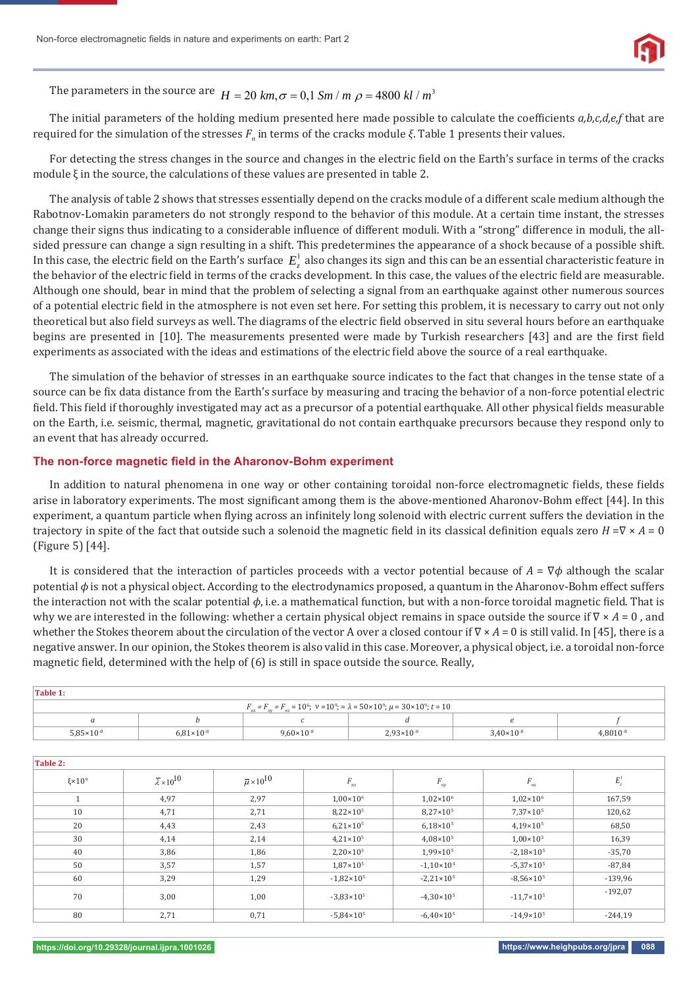The parameters in the source are  $H = 20$  km,  $\sigma = 0.1$  Sm / m  $\rho = 4800$  kl /  $m^3$ 

The initial parameters of the holding medium presented here made possible to calculate the coefficients a,b,c,d,e,f that are required for the simulation of the stresses  $F_{_n}$  in terms of the cracks module *ξ*. Table 1 presents their values.

For detecting the stress changes in the source and changes in the electric field on the Earth's surface in terms of the cracks module  $\xi$  in the source, the calculations of these values are presented in table 2.

The analysis of table 2 shows that stresses essentially depend on the cracks module of a different scale medium although the Rabotnov-Lomakin parameters do not strongly respond to the behavior of this module. At a certain time instant, the stresses change their signs thus indicating to a considerable influence of different moduli. With a "strong" difference in moduli, the allsided pressure can change a sign resulting in a shift. This predetermines the appearance of a shock because of a possible shift. In this case, the electric field on the Earth's surface  $E_z^1$  also changes its sign and this can be an essential characteristic feature in the behavior of the electric field in terms of the cracks development. In this case, the values of the electric field are measurable. Although one should, bear in mind that the problem of selecting a signal from an earthquake against other numerous sources of a potential electric field in the atmosphere is not even set here. For setting this problem, it is necessary to carry out not only theoretical but also field surveys as well. The diagrams of the electric field observed in situ several hours before an earthquake begins are presented in [10]. The measurements presented were made by Turkish researchers [43] and are the first field experiments as associated with the ideas and estimations of the electric field above the source of a real earthquake.

The simulation of the behavior of stresses in an earthquake source indicates to the fact that changes in the tense state of a source can be fix data distance from the Earth's surface by measuring and tracing the behavior of a non-force potential electric field. This field if thoroughly investigated may act as a precursor of a potential earthquake. All other physical fields measurable on the Earth, i.e. seismic, thermal, magnetic, gravitational do not contain earthquake precursors because they respond only to an event that has already occurred.

### **The non-force magnetic field in the Aharonov-Bohm experiment**

In addition to natural phenomena in one way or other containing toroidal non-force electromagnetic fields, these fields arise in laboratory experiments. The most significant among them is the above-mentioned Aharonov-Bohm effect [44]. In this experiment, a quantum particle when flying across an infinitely long solenoid with electric current suffers the deviation in the trajectory in spite of the fact that outside such a solenoid the magnetic field in its classical definition equals zero *H* =V × *A* = 0 (Figure 5) [44].

It is considered that the interaction of particles proceeds with a vector potential because of *Α* = ∇*ϕ* although the scalar potential *ϕ* is not a physical object. According to the electrodynamics proposed, a quantum in the Aharonov-Bohm effect suffers the interaction not with the scalar potential *φ*, i.e. a mathematical function, but with a non-force toroidal magnetic field. That is why we are interested in the following: whether a certain physical object remains in space outside the source if ∇ × *Α* = 0 , and whether the Stokes theorem about the circulation of the vector A over a closed contour if ∇ × *Α* = 0 is still valid. In [45], there is a negative answer. In our opinion, the Stokes theorem is also valid in this case. Moreover, a physical object, i.e. a toroidal non-force magnetic field, determined with the help of (6) is still in space outside the source. Really,

| Table 1:                                                                                                          |                       |                       |                       |                       |               |  |  |  |
|-------------------------------------------------------------------------------------------------------------------|-----------------------|-----------------------|-----------------------|-----------------------|---------------|--|--|--|
| $F_{nx} = F_{ny} = F_{nz} = 10^6$ ; $v = 10^9$ ; $= \lambda = 50 \times 10^9$ ; $\mu = 30 \times 10^9$ ; $t = 10$ |                       |                       |                       |                       |               |  |  |  |
|                                                                                                                   |                       |                       |                       |                       |               |  |  |  |
| $5.85 \times 10^{-8}$                                                                                             | $6.81 \times 10^{-8}$ | $9.60 \times 10^{-8}$ | $2.93 \times 10^{-8}$ | $3.40 \times 10^{-8}$ | $4.8010^{-8}$ |  |  |  |

| Table 2:          |                                     |                                 |                       |                       |                                 |           |
|-------------------|-------------------------------------|---------------------------------|-----------------------|-----------------------|---------------------------------|-----------|
| $\xi \times 10^9$ | $\overline{\lambda} \times 10^{10}$ | $\overline{\mu} \times 10^{10}$ | $F_{nx}$              | $F_{ny}$              | $F_{_{\scriptscriptstyle{nz}}}$ | $E_z^1$   |
|                   | 4,97                                | 2,97                            | $1.00 \times 10^6$    | $1,02\times10^{6}$    | $1.02 \times 10^6$              | 167,59    |
| 10                | 4,71                                | 2,71                            | $8,22\times10^{5}$    | $8,27\times10^{5}$    | $7,37\times10^{5}$              | 120,62    |
| 20                | 4,43                                | 2,43                            | $6,21\times10^{5}$    | $6.18 \times 10^{5}$  | $4.19 \times 10^{5}$            | 68,50     |
| 30                | 4,14                                | 2,14                            | $4.21 \times 10^5$    | $4.08 \times 10^{5}$  | $1.00 \times 10^{5}$            | 16,39     |
| 40                | 3,86                                | 1,86                            | $2,20\times10^{5}$    | 1,99×10 <sup>5</sup>  | $-2.18 \times 10^{5}$           | $-35,70$  |
| 50                | 3,57                                | 1,57                            | $1,87\times10^{5}$    | $-1,10\times10^{4}$   | $-5.37 \times 10^5$             | $-87,84$  |
| 60                | 3,29                                | 1,29                            | $-1,82\times10^{5}$   | $-2,21\times10^{5}$   | $-8,56 \times 10^{5}$           | $-139,96$ |
| 70                | 3,00                                | 1,00                            | $-3.83 \times 10^{5}$ | $-4,30\times10^{5}$   | $-11.7\times10^{5}$             | $-192,07$ |
| 80                | 2,71                                | 0,71                            | $-5,84\times10^{5}$   | $-6.40 \times 10^{5}$ | $-14,9\times10^{5}$             | $-244,19$ |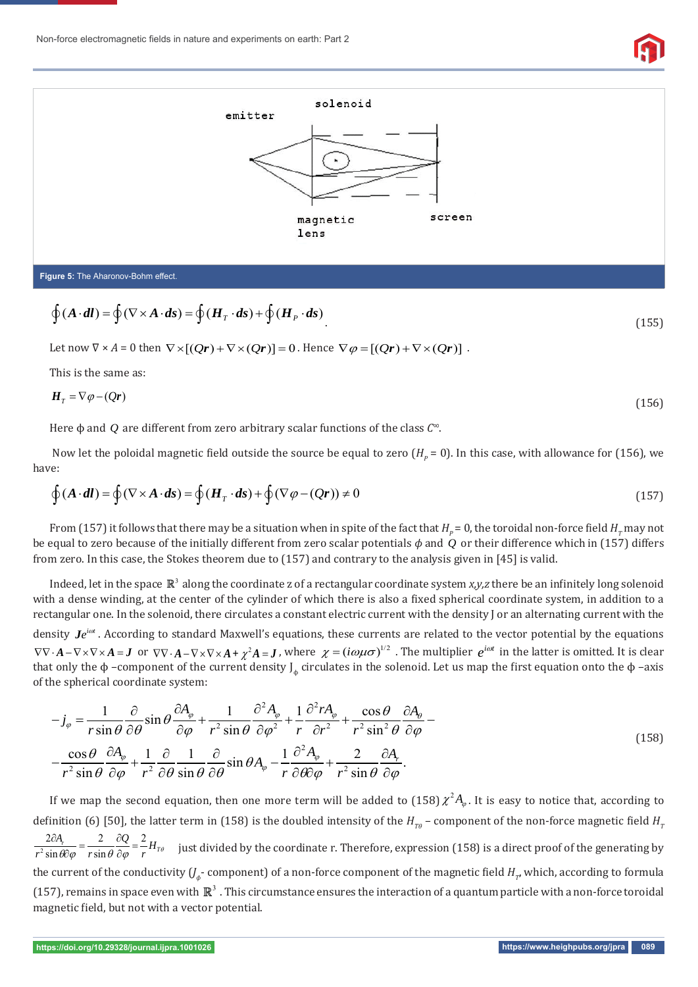



$$
\mathcal{L}^{\mathcal{L}}(\mathcal{L}^{\mathcal{L}}(\mathcal{L}^{\mathcal{L}}(\mathcal{L}^{\mathcal{L}}(\mathcal{L}^{\mathcal{L}}(\mathcal{L}^{\mathcal{L}}(\mathcal{L}^{\mathcal{L}}(\mathcal{L}^{\mathcal{L}}(\mathcal{L}^{\mathcal{L}}(\mathcal{L}^{\mathcal{L}}(\mathcal{L}^{\mathcal{L}}(\mathcal{L}^{\mathcal{L}}(\mathcal{L}^{\mathcal{L}}(\mathcal{L}^{\mathcal{L}}(\mathcal{L}^{\mathcal{L}}(\mathcal{L}^{\mathcal{L}}(\mathcal{L}^{\mathcal{L}}(\mathcal{L}^{\mathcal{L}}(\mathcal{L}^{\mathcal{L}}(\mathcal{L}^{\mathcal{L}}(\mathcal{L}^{\mathcal{L}}(\mathcal{L}^{\mathcal{L}}(\mathcal{L}^{\mathcal{L}}(\mathcal{L}^{\mathcal{L}}(\mathcal{L}^{\mathcal{L}}(\mathcal{L}^{\mathcal{L}}(\mathcal{L}^{\mathcal{L}}(\mathcal{L}^{\mathcal{L}}(\mathcal{L}^{\mathcal{L}}(\mathcal{L}^{\mathcal{L}}(\mathcal{L}^{\mathcal{L}}(\mathcal{L}^{\mathcal{L}}(\mathcal{L}^{\mathcal{L}}(\mathcal{L}^{\mathcal{L}}(\mathcal{L}^{\mathcal{L}}(\mathcal{L}^{\mathcal{L}}(\mathcal{L}^{\mathcal{L}}(\mathcal{L}^{\mathcal{L}}(\mathcal{L}^{\mathcal{L}}(\mathcal{L}^{\mathcal{L}}(\mathcal{L}^{\mathcal{L}}(\mathcal{L}^{\mathcal{L}}(\mathcal{L}^{\mathcal{L}}(\mathcal{L}^{\mathcal{L}}(\mathcal{L}^{\mathcal{L}}(\mathcal{L}^{\mathcal{L}}(\mathcal{L}^{\mathcal{L}}(\mathcal{L}^{\mathcal{L}}(\mathcal{L}^{\mathcal{L}}(\mathcal{L}^{\mathcal{L}}(\mathcal{L}^{\mathcal{L}}(\mathcal{L}^{\mathcal{L}}(\mathcal{L}^{\mathcal{L}}(\mathcal{L}^{\mathcal{L}}(\mathcal{L}^{\mathcal{L}}(\mathcal{L}^{\mathcal{L}}(\mathcal{L}^{\mathcal{L}}(\mathcal{L}^{\mathcal{L}}(\mathcal{L}
$$

$$
\oint (A \cdot dl) = \oint (\nabla \times A \cdot ds) = \oint (H_T \cdot ds) + \oint (H_P \cdot ds)
$$
\n(155)

Let now  $\nabla \times A = 0$  then  $\nabla \times [Qr] + \nabla \times (Qr) = 0$ . Hence  $\nabla \varphi = [(Qr) + \nabla \times (Qr)]$ .

This is the same as:

$$
H_{\scriptscriptstyle T} = \nabla \varphi - (Qr) \tag{156}
$$

Here ϕ and *Q* are different from zero arbitrary scalar functions of the class *C∞*.

Now let the poloidal magnetic field outside the source be equal to zero  $(H_p = 0)$ . In this case, with allowance for (156), we have:

$$
\oint (A \cdot dl) = \oint (\nabla \times A \cdot ds) = \oint (H_T \cdot ds) + \oint (\nabla \varphi - (Qr)) \neq 0
$$
\n(157)

From (157) it follows that there may be a situation when in spite of the fact that  $H_p$  = 0, the toroidal non-force field  $H_r$  may not be equal to zero because of the initially different from zero scalar potentials *ϕ* and *Q* or their difference which in (157) differs from zero. In this case, the Stokes theorem due to (157) and contrary to the analysis given in [45] is valid.

Indeed, let in the space  $\mathbb{R}^3$  along the coordinate z of a rectangular coordinate system  $x, y, z$  there be an infinitely long solenoid with a dense winding, at the center of the cylinder of which there is also a fixed spherical coordinate system, in addition to a rectangular one. In the solenoid, there circulates a constant electric current with the density J or an alternating current with the

density  $Je^{i\omega t}$ . According to standard Maxwell's equations, these currents are related to the vector potential by the equations  $\nabla \nabla \cdot \mathbf{A} - \nabla \times \nabla \times \mathbf{A} = \mathbf{J}$  or  $\nabla \nabla \cdot \mathbf{A} - \nabla \times \nabla \times \mathbf{A} + \chi^2 \mathbf{A} = \mathbf{J}$ , where  $\chi = (i\omega\mu\sigma)^{1/2}$ . The multiplier  $e^{i\omega t}$  in the latter is omitted. It is clear that only the φ –component of the current density  $J_{\phi}$  circulates in the solenoid. Let us map the first equation onto the φ –axis of the spherical coordinate system:

$$
-j_{\varphi} = \frac{1}{r \sin \theta} \frac{\partial}{\partial \theta} \sin \theta \frac{\partial A_{\varphi}}{\partial \varphi} + \frac{1}{r^{2} \sin \theta} \frac{\partial^{2} A_{\varphi}}{\partial \varphi^{2}} + \frac{1}{r} \frac{\partial^{2} r A_{\varphi}}{\partial r^{2}} + \frac{\cos \theta}{r^{2} \sin^{2} \theta} \frac{\partial A_{\varphi}}{\partial \varphi} - \frac{\cos \theta}{r^{2} \sin \theta} \frac{\partial A_{\varphi}}{\partial \varphi} + \frac{1}{r^{2} \sin \theta} \frac{\partial}{\partial \varphi} \frac{1}{\sin \theta} \frac{\partial}{\partial \theta} \sin \theta A_{\varphi} - \frac{1}{r} \frac{\partial^{2} A_{\varphi}}{\partial \theta \partial \varphi} + \frac{2}{r^{2} \sin \theta} \frac{\partial A_{\varphi}}{\partial \varphi}.
$$
\n(158)

If we map the second equation, then one more term will be added to (158)  $\chi^2 A_{\varphi}$ . It is easy to notice that, according to definition (6) [50], the latter term in (158) is the doubled intensity of the  $H_{T\theta}$  – component of the non-force magnetic field  $H_{T\theta}$  $\frac{2\partial A_r}{r^2\sin\theta\partial\varphi} = \frac{2}{r\sin\theta}\frac{\partial Q}{\partial\varphi} = \frac{2}{r}H_{T\theta}$  just divided by the coordinate r. Therefore, expression (158) is a direct proof of the generating by the current of the conductivity ( $J_\phi$ - component) of a non-force component of the magnetic field  $H_\tau$ , which, according to formula (157), remains in space even with  $\mathbb{R}^3$ . This circumstance ensures the interaction of a quantum particle with a non-force toroidal magnetic field, but not with a vector potential.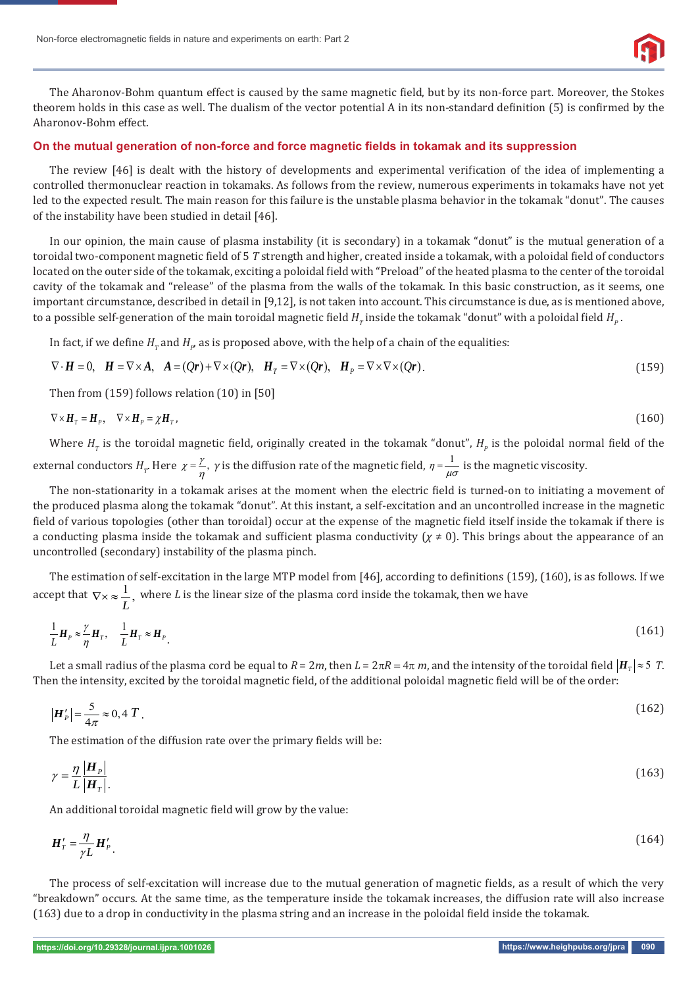

The Aharonov-Bohm quantum effect is caused by the same magnetic field, but by its non-force part. Moreover, the Stokes theorem holds in this case as well. The dualism of the vector potential A in its non-standard definition (5) is confirmed by the Aharonov-Bohm effect.

#### On the mutual generation of non-force and force magnetic fields in tokamak and its suppression

The review [46] is dealt with the history of developments and experimental verification of the idea of implementing a controlled thermonuclear reaction in tokamaks. As follows from the review, numerous experiments in tokamaks have not yet led to the expected result. The main reason for this failure is the unstable plasma behavior in the tokamak "donut". The causes of the instability have been studied in detail [46].

In our opinion, the main cause of plasma instability (it is secondary) in a tokamak "donut" is the mutual generation of a toroidal two-component magnetic field of 5 *T* strength and higher, created inside a tokamak, with a poloidal field of conductors located on the outer side of the tokamak, exciting a poloidal field with "Preload" of the heated plasma to the center of the toroidal cavity of the tokamak and "release" of the plasma from the walls of the tokamak. In this basic construction, as it seems, one important circumstance, described in detail in [9,12], is not taken into account. This circumstance is due, as is mentioned above, to a possible self-generation of the main toroidal magnetic field  $H_{_T}$ inside the tokamak "donut" with a poloidal field  $H_{_P}$ .

In fact, if we define  $H_{_{T}}$  and  $H_{p}$  as is proposed above, with the help of a chain of the equalities:

$$
\nabla \cdot \mathbf{H} = 0, \quad \mathbf{H} = \nabla \times \mathbf{A}, \quad \mathbf{A} = (Q\mathbf{r}) + \nabla \times (Q\mathbf{r}), \quad \mathbf{H}_T = \nabla \times (Q\mathbf{r}), \quad \mathbf{H}_P = \nabla \times \nabla \times (Q\mathbf{r}). \tag{159}
$$

Then from (159) follows relation (10) in [50]

$$
\nabla \times H_{\mathcal{T}} = H_{\mathcal{P}}, \quad \nabla \times H_{\mathcal{P}} = \chi H_{\mathcal{T}}, \tag{160}
$$

Where  $H_r$  is the toroidal magnetic field, originally created in the tokamak "donut",  $H_p$  is the poloidal normal field of the external conductors  $H_r$ . Here  $\chi = \frac{\gamma}{\eta}$ ,  $\gamma$  is the diffusion rate of the magnetic field,  $\eta = \frac{1}{\mu\sigma}$  is the magnetic viscosity.

The non-stationarity in a tokamak arises at the moment when the electric field is turned-on to initiating a movement of the produced plasma along the tokamak "donut". At this instant, a self-excitation and an uncontrolled increase in the magnetic field of various topologies (other than toroidal) occur at the expense of the magnetic field itself inside the tokamak if there is a conducting plasma inside the tokamak and sufficient plasma conductivity ( $\chi \neq 0$ ). This brings about the appearance of an uncontrolled (secondary) instability of the plasma pinch.

The estimation of self-excitation in the large MTP model from [46], according to definitions (159), (160), is as follows. If we accept that  $\nabla \times \approx \frac{1}{L}$ ,  $\nabla \times \approx \frac{1}{n}$ , where *L* is the linear size of the plasma cord inside the tokamak, then we have

$$
\frac{1}{L}\boldsymbol{H}_{P} \approx \frac{\gamma}{\eta} \boldsymbol{H}_{T}, \quad \frac{1}{L}\boldsymbol{H}_{T} \approx \boldsymbol{H}_{P} \tag{161}
$$

Let a small radius of the plasma cord be equal to  $R = 2m$ , then  $L = 2\pi R = 4\pi m$ , and the intensity of the toroidal field  $|H_T| \approx 5 T$ . Then the intensity, excited by the toroidal magnetic field, of the additional poloidal magnetic field will be of the order:

$$
\left|\mathbf{H}'_{P}\right| = \frac{5}{4\pi} \approx 0.4 T
$$
\n<sup>(162)</sup>

The estimation of the diffusion rate over the primary fields will be:

$$
\gamma = \frac{\eta}{L} \frac{\left| \mathbf{H}_P \right|}{\left| \mathbf{H}_T \right|}. \tag{163}
$$

An additional toroidal magnetic field will grow by the value:

$$
\boldsymbol{H}'_T = \frac{\eta}{\gamma L} \boldsymbol{H}'_P \tag{164}
$$

The process of self-excitation will increase due to the mutual generation of magnetic fields, as a result of which the very "breakdown" occurs. At the same time, as the temperature inside the tokamak increases, the diffusion rate will also increase (163) due to a drop in conductivity in the plasma string and an increase in the poloidal field inside the tokamak.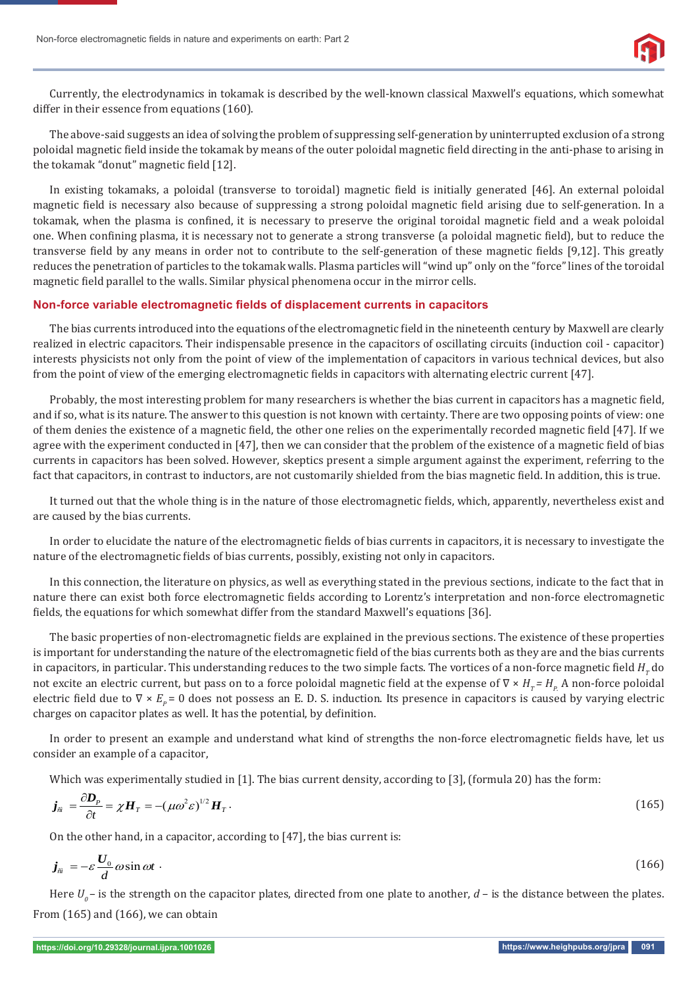

Currently, the electrodynamics in tokamak is described by the well-known classical Maxwell's equations, which somewhat differ in their essence from equations (160).

The above-said suggests an idea of solving the problem of suppressing self-generation by uninterrupted exclusion of a strong poloidal magnetic field inside the tokamak by means of the outer poloidal magnetic field directing in the anti-phase to arising in the tokamak "donut" magnetic field [12].

In existing tokamaks, a poloidal (transverse to toroidal) magnetic field is initially generated [46]. An external poloidal magnetic field is necessary also because of suppressing a strong poloidal magnetic field arising due to self-generation. In a tokamak, when the plasma is confined, it is necessary to preserve the original toroidal magnetic field and a weak poloidal one. When confining plasma, it is necessary not to generate a strong transverse (a poloidal magnetic field), but to reduce the transverse field by any means in order not to contribute to the self-generation of these magnetic fields [9,12]. This greatly reduces the penetration of particles to the tokamak walls. Plasma particles will "wind up" only on the "force" lines of the toroidal magnetic field parallel to the walls. Similar physical phenomena occur in the mirror cells.

#### **Non-force variable electromagnetic fi elds of displacement currents in capacitors**

The bias currents introduced into the equations of the electromagnetic field in the nineteenth century by Maxwell are clearly realized in electric capacitors. Their indispensable presence in the capacitors of oscillating circuits (induction coil - capacitor) interests physicists not only from the point of view of the implementation of capacitors in various technical devices, but also from the point of view of the emerging electromagnetic fields in capacitors with alternating electric current [47].

Probably, the most interesting problem for many researchers is whether the bias current in capacitors has a magnetic field, and if so, what is its nature. The answer to this question is not known with certainty. There are two opposing points of view: one of them denies the existence of a magnetic field, the other one relies on the experimentally recorded magnetic field [47]. If we agree with the experiment conducted in [47], then we can consider that the problem of the existence of a magnetic field of bias currents in capacitors has been solved. However, skeptics present a simple argument against the experiment, referring to the fact that capacitors, in contrast to inductors, are not customarily shielded from the bias magnetic field. In addition, this is true.

It turned out that the whole thing is in the nature of those electromagnetic fields, which, apparently, nevertheless exist and are caused by the bias currents.

In order to elucidate the nature of the electromagnetic fields of bias currents in capacitors, it is necessary to investigate the nature of the electromagnetic fields of bias currents, possibly, existing not only in capacitors.

In this connection, the literature on physics, as well as everything stated in the previous sections, indicate to the fact that in nature there can exist both force electromagnetic fields according to Lorentz's interpretation and non-force electromagnetic fields, the equations for which somewhat differ from the standard Maxwell's equations [36].

The basic properties of non-electromagnetic fields are explained in the previous sections. The existence of these properties is important for understanding the nature of the electromagnetic field of the bias currents both as they are and the bias currents in capacitors, in particular. This understanding reduces to the two simple facts. The vortices of a non-force magnetic field  $H_r$  do not excite an electric current, but pass on to a force poloidal magnetic field at the expense of ∇ × *H<sub>T</sub> = H<sub>P.</sub>* A non-force poloidal electric field due to  $\nabla \times E_p = 0$  does not possess an E. D. S. induction. Its presence in capacitors is caused by varying electric charges on capacitor plates as well. It has the potential, by definition.

In order to present an example and understand what kind of strengths the non-force electromagnetic fields have, let us consider an example of a capacitor,

Which was experimentally studied in [1]. The bias current density, according to [3], (formula 20) has the form:

$$
\boldsymbol{j}_{\hat{n}} = \frac{\partial \boldsymbol{D}_p}{\partial t} = \chi \boldsymbol{H}_T = -(\mu \omega^2 \varepsilon)^{1/2} \boldsymbol{H}_T. \tag{165}
$$

On the other hand, in a capacitor, according to [47], the bias current is:

$$
\boldsymbol{j}_{\hat{n}} = -\varepsilon \frac{\boldsymbol{U}_0}{d} \omega \sin \omega t \tag{166}
$$

Here  $U<sub>o</sub>$  – is the strength on the capacitor plates, directed from one plate to another,  $d$  – is the distance between the plates. From (165) and (166), we can obtain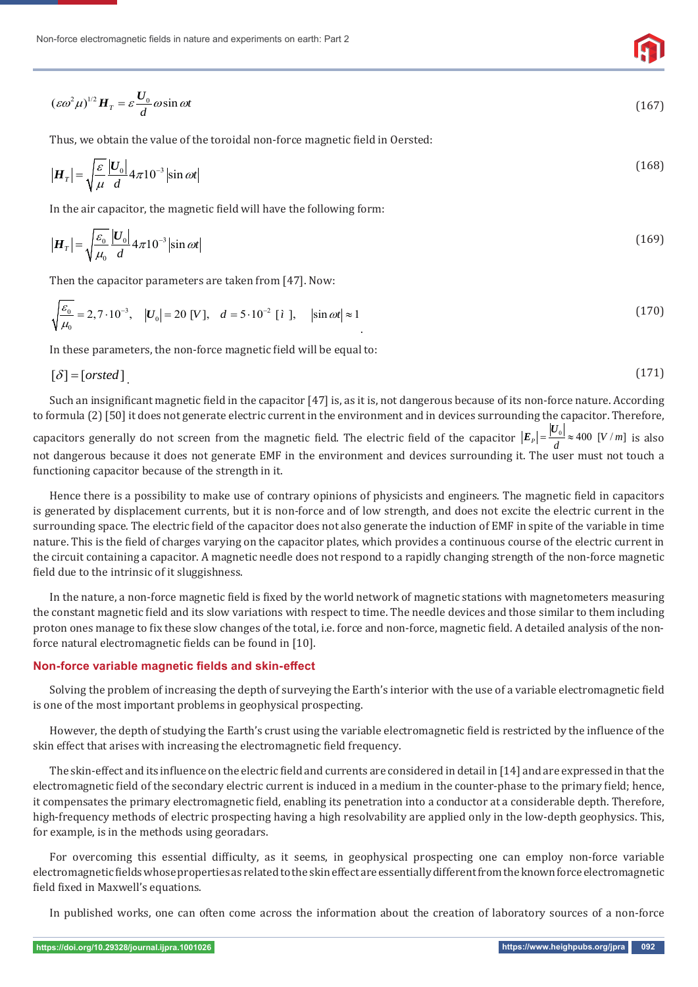Non-force electromagnetic fields in nature and experiments on earth: Part 2

$$
(\varepsilon \omega^2 \mu)^{1/2} H_T = \varepsilon \frac{U_0}{d} \omega \sin \omega t \tag{167}
$$

Thus, we obtain the value of the toroidal non-force magnetic field in Oersted:

$$
|\boldsymbol{H}_T| = \sqrt{\frac{\varepsilon}{\mu}} \frac{|\boldsymbol{U}_0|}{d} 4\pi 10^{-3} |\sin \omega t| \tag{168}
$$

In the air capacitor, the magnetic field will have the following form:

$$
\left|\mathbf{H}_{T}\right| = \sqrt{\frac{\varepsilon_{0}}{\mu_{0}}} \frac{\left|U_{0}\right|}{d} 4\pi 10^{-3} \left|\sin \omega t\right| \tag{169}
$$

Then the capacitor parameters are taken from [47]. Now:

$$
\sqrt{\frac{\varepsilon_0}{\mu_0}} = 2,7 \cdot 10^{-3}, \quad |U_0| = 20 \, [V], \quad d = 5 \cdot 10^{-2} \, [i], \quad |\sin \omega t| \approx 1 \tag{170}
$$

In these parameters, the non-force magnetic field will be equal to:

$$
[\delta] = [orsted] \tag{171}
$$

Such an insignificant magnetic field in the capacitor [47] is, as it is, not dangerous because of its non-force nature. According to formula (2) [50] it does not generate electric current in the environment and in devices surrounding the capacitor. Therefore,

capacitors generally do not screen from the magnetic field. The electric field of the capacitor  $|E_{_P}|$ = $\frac{|U_{_0}|}{d}$ ≈ 400 [V / m] is also not dangerous because it does not generate EMF in the environment and devices surrounding it. The user must not touch a functioning capacitor because of the strength in it.

Hence there is a possibility to make use of contrary opinions of physicists and engineers. The magnetic field in capacitors is generated by displacement currents, but it is non-force and of low strength, and does not excite the electric current in the surrounding space. The electric field of the capacitor does not also generate the induction of EMF in spite of the variable in time nature. This is the field of charges varying on the capacitor plates, which provides a continuous course of the electric current in the circuit containing a capacitor. A magnetic needle does not respond to a rapidly changing strength of the non-force magnetic field due to the intrinsic of it sluggishness.

In the nature, a non-force magnetic field is fixed by the world network of magnetic stations with magnetometers measuring the constant magnetic field and its slow variations with respect to time. The needle devices and those similar to them including proton ones manage to fix these slow changes of the total, i.e. force and non-force, magnetic field. A detailed analysis of the nonforce natural electromagnetic fields can be found in [10].

#### **Non-force variable magnetic fields and skin-effect**

Solving the problem of increasing the depth of surveying the Earth's interior with the use of a variable electromagnetic field is one of the most important problems in geophysical prospecting.

However, the depth of studying the Earth's crust using the variable electromagnetic field is restricted by the influence of the skin effect that arises with increasing the electromagnetic field frequency.

The skin-effect and its influence on the electric field and currents are considered in detail in [14] and are expressed in that the electromagnetic field of the secondary electric current is induced in a medium in the counter-phase to the primary field; hence, it compensates the primary electromagnetic field, enabling its penetration into a conductor at a considerable depth. Therefore, high-frequency methods of electric prospecting having a high resolvability are applied only in the low-depth geophysics. This, for example, is in the methods using georadars.

For overcoming this essential difficulty, as it seems, in geophysical prospecting one can employ non-force variable electromagnetic fields whose properties as related to the skin effect are essentially different from the known force electromagnetic field fixed in Maxwell's equations.

In published works, one can often come across the information about the creation of laboratory sources of a non-force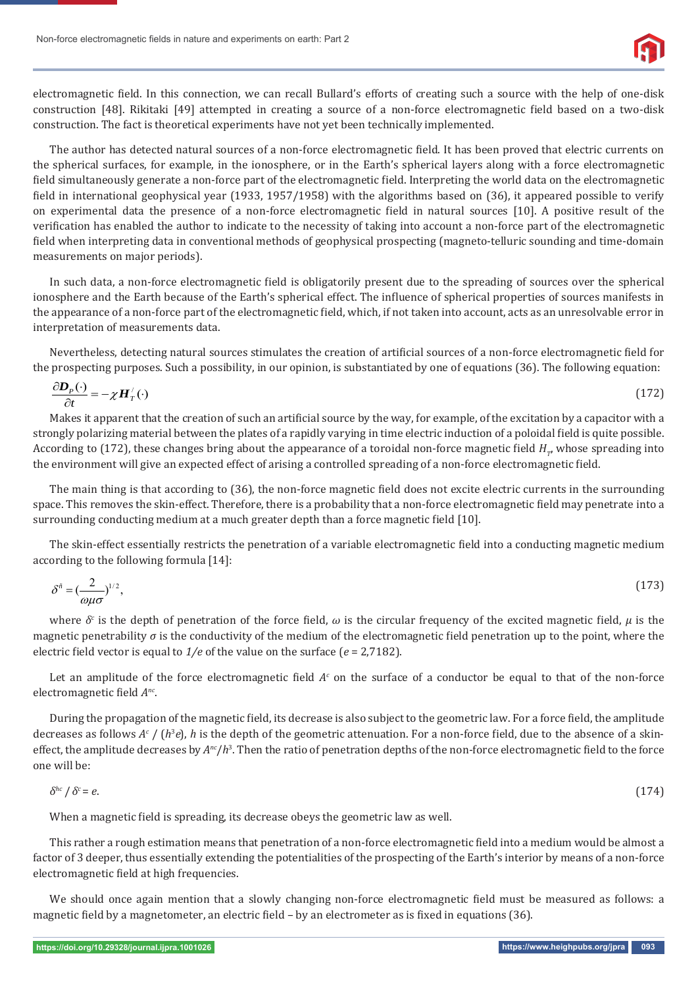

electromagnetic field. In this connection, we can recall Bullard's efforts of creating such a source with the help of one-disk construction [48]. Rikitaki [49] attempted in creating a source of a non-force electromagnetic field based on a two-disk construction. The fact is theoretical experiments have not yet been technically implemented.

The author has detected natural sources of a non-force electromagnetic field. It has been proved that electric currents on the spherical surfaces, for example, in the ionosphere, or in the Earth's spherical layers along with a force electromagnetic field simultaneously generate a non-force part of the electromagnetic field. Interpreting the world data on the electromagnetic field in international geophysical year (1933, 1957/1958) with the algorithms based on (36), it appeared possible to verify on experimental data the presence of a non-force electromagnetic ϐield in natural sources [10]. A positive result of the verification has enabled the author to indicate to the necessity of taking into account a non-force part of the electromagnetic field when interpreting data in conventional methods of geophysical prospecting (magneto-telluric sounding and time-domain measurements on major periods).

In such data, a non-force electromagnetic field is obligatorily present due to the spreading of sources over the spherical ionosphere and the Earth because of the Earth's spherical effect. The influence of spherical properties of sources manifests in the appearance of a non-force part of the electromagnetic field, which, if not taken into account, acts as an unresolvable error in interpretation of measurements data.

Nevertheless, detecting natural sources stimulates the creation of artificial sources of a non-force electromagnetic field for the prospecting purposes. Such a possibility, in our opinion, is substantiated by one of equations (36). The following equation:

$$
\frac{\partial \mathbf{D}_p(\cdot)}{\partial t} = -\chi \mathbf{H}_T'(\cdot) \tag{172}
$$

Makes it apparent that the creation of such an artificial source by the way, for example, of the excitation by a capacitor with a strongly polarizing material between the plates of a rapidly varying in time electric induction of a poloidal field is quite possible. According to (172), these changes bring about the appearance of a toroidal non-force magnetic field  $H<sub>m</sub>$ , whose spreading into the environment will give an expected effect of arising a controlled spreading of a non-force electromagnetic field.

The main thing is that according to (36), the non-force magnetic field does not excite electric currents in the surrounding space. This removes the skin-effect. Therefore, there is a probability that a non-force electromagnetic field may penetrate into a surrounding conducting medium at a much greater depth than a force magnetic field [10].

The skin-effect essentially restricts the penetration of a variable electromagnetic field into a conducting magnetic medium according to the following formula [14]:

$$
\delta^{\tilde{n}} = \left(\frac{2}{\omega\mu\sigma}\right)^{1/2},\tag{173}
$$

where  $\delta^c$  is the depth of penetration of the force field,  $\omega$  is the circular frequency of the excited magnetic field,  $\mu$  is the magnetic penetrability *σ* is the conductivity of the medium of the electromagnetic field penetration up to the point, where the electric field vector is equal to  $1/e$  of the value on the surface ( $e = 2.7182$ ).

Let an amplitude of the force electromagnetic field  $A<sup>c</sup>$  on the surface of a conductor be equal to that of the non-force electromagnetic field  $A<sup>nc</sup>$ .

During the propagation of the magnetic field, its decrease is also subject to the geometric law. For a force field, the amplitude decreases as follows *A<sup>c</sup>* / (*h*<sup>3</sup>*e*), *h* is the depth of the geometric attenuation. For a non-force field, due to the absence of a skineffect, the amplitude decreases by  $A^{nc}/h^3$ . Then the ratio of penetration depths of the non-force electromagnetic field to the force one will be:

$$
\delta^{hc}/\delta^c = e. \tag{174}
$$

When a magnetic field is spreading, its decrease obeys the geometric law as well.

This rather a rough estimation means that penetration of a non-force electromagnetic field into a medium would be almost a factor of 3 deeper, thus essentially extending the potentialities of the prospecting of the Earth's interior by means of a non-force electromagnetic field at high frequencies.

We should once again mention that a slowly changing non-force electromagnetic field must be measured as follows: a magnetic field by a magnetometer, an electric field – by an electrometer as is fixed in equations (36).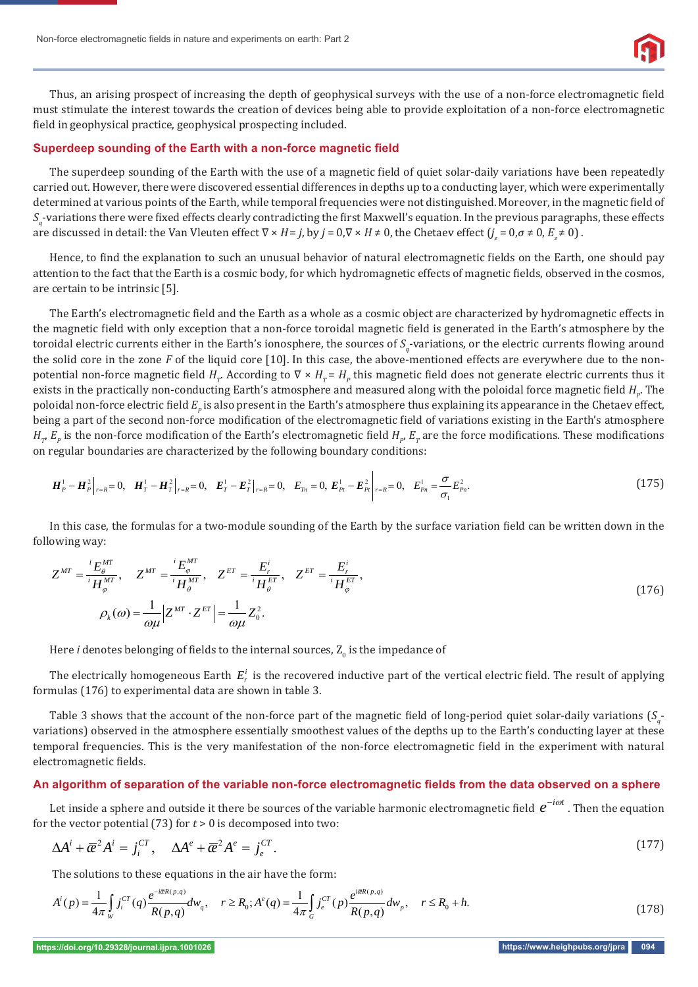

Thus, an arising prospect of increasing the depth of geophysical surveys with the use of a non-force electromagnetic field must stimulate the interest towards the creation of devices being able to provide exploitation of a non-force electromagnetic field in geophysical practice, geophysical prospecting included.

#### **Superdeep sounding of the Earth with a non-force magnetic field**

The superdeep sounding of the Earth with the use of a magnetic field of quiet solar-daily variations have been repeatedly carried out. However, there were discovered essential differences in depths up to a conducting layer, which were experimentally determined at various points of the Earth, while temporal frequencies were not distinguished. Moreover, in the magnetic field of  $S_q$ -variations there were fixed effects clearly contradicting the first Maxwell's equation. In the previous paragraphs, these effects are discussed in detail: the Van Vleuten effect  $\nabla \times H = j$ , by  $j = 0, \nabla \times H \neq 0$ , the Chetaev effect  $(j_z = 0, \sigma \neq 0, E_z \neq 0)$ .

Hence, to find the explanation to such an unusual behavior of natural electromagnetic fields on the Earth, one should pay attention to the fact that the Earth is a cosmic body, for which hydromagnetic effects of magnetic fields, observed in the cosmos, are certain to be intrinsic [5].

The Earth's electromagnetic field and the Earth as a whole as a cosmic object are characterized by hydromagnetic effects in the magnetic field with only exception that a non-force toroidal magnetic field is generated in the Earth's atmosphere by the toroidal electric currents either in the Earth's ionosphere, the sources of  $S_q$ -variations, or the electric currents flowing around the solid core in the zone *F* of the liquid core [10]. In this case, the above-mentioned effects are everywhere due to the nonpotential non-force magnetic field  $H_r$ . According to  $\nabla \times H_r = H_p$  this magnetic field does not generate electric currents thus it exists in the practically non-conducting Earth's atmosphere and measured along with the poloidal force magnetic field  $H_p$ . The poloidal non-force electric field  $E_p$  is also present in the Earth's atmosphere thus explaining its appearance in the Chetaev effect, being a part of the second non-force modification of the electromagnetic field of variations existing in the Earth's atmosphere  $H_p$   $E_p$  is the non-force modification of the Earth's electromagnetic field  $H_p$ ,  $E_\tau$  are the force modifications. These modifications on regular boundaries are characterized by the following boundary conditions:

$$
H_P^1 - H_P^2\Big|_{r=R} = 0, \quad H_T^1 - H_T^2\Big|_{r=R} = 0, \quad E_T^1 - E_T^2\Big|_{r=R} = 0, \quad E_{T_n} = 0, \quad E_{P_t}^1 - E_{P_t}^2\Big|_{r=R} = 0, \quad E_{P_n}^1 = \frac{\sigma}{\sigma_1}E_{P_n}^2.
$$

In this case, the formulas for a two-module sounding of the Earth by the surface variation field can be written down in the following way:

$$
Z^{MT} = \frac{{}^{i}E_{\theta}^{MT}}{{}^{i}H_{\phi}^{MT}}, \quad Z^{MT} = \frac{{}^{i}E_{\phi}^{MT}}{{}^{i}H_{\theta}^{MT}}, \quad Z^{ET} = \frac{E_{r}^{i}}{{}^{i}H_{\theta}^{ET}}, \quad Z^{ET} = \frac{E_{r}^{i}}{{}^{i}H_{\phi}^{ET}},
$$
  

$$
\rho_{k}(\omega) = \frac{1}{\omega\mu} \Big| Z^{MT} \cdot Z^{ET} \Big| = \frac{1}{\omega\mu} Z_{0}^{2}.
$$
 (176)

Here  $i$  denotes belonging of fields to the internal sources,  $\mathbf{Z}_{\text{0}}$  is the impedance of

The electrically homogeneous Earth  $E_r^i$  is the recovered inductive part of the vertical electric field. The result of applying formulas (176) to experimental data are shown in table 3.

Table 3 shows that the account of the non-force part of the magnetic field of long-period quiet solar-daily variations  $(S_q^-)$ variations) observed in the atmosphere essentially smoothest values of the depths up to the Earth's conducting layer at these temporal frequencies. This is the very manifestation of the non-force electromagnetic ϐield in the experiment with natural electromagnetic fields.

## An algorithm of separation of the variable non-force electromagnetic fields from the data observed on a sphere

Let inside a sphere and outside it there be sources of the variable harmonic electromagnetic field  $e^{-i\omega t}$  . Then the equation for the vector potential (73) for *t* > 0 is decomposed into two:

$$
\Delta A^i + \overline{\alpha}^2 A^i = j_i^{CT}, \quad \Delta A^e + \overline{\alpha}^2 A^e = j_e^{CT}.
$$
 (177)

The solutions to these equations in the air have the form:

$$
A^{i}(p) = \frac{1}{4\pi} \int_{W} j_{i}^{CT}(q) \frac{e^{-i\vec{\alpha}R(p,q)}}{R(p,q)} dw_{q}, \quad r \ge R_{0}; A^{e}(q) = \frac{1}{4\pi} \int_{G} j_{e}^{CT}(p) \frac{e^{i\vec{\alpha}R(p,q)}}{R(p,q)} dw_{p}, \quad r \le R_{0} + h. \tag{178}
$$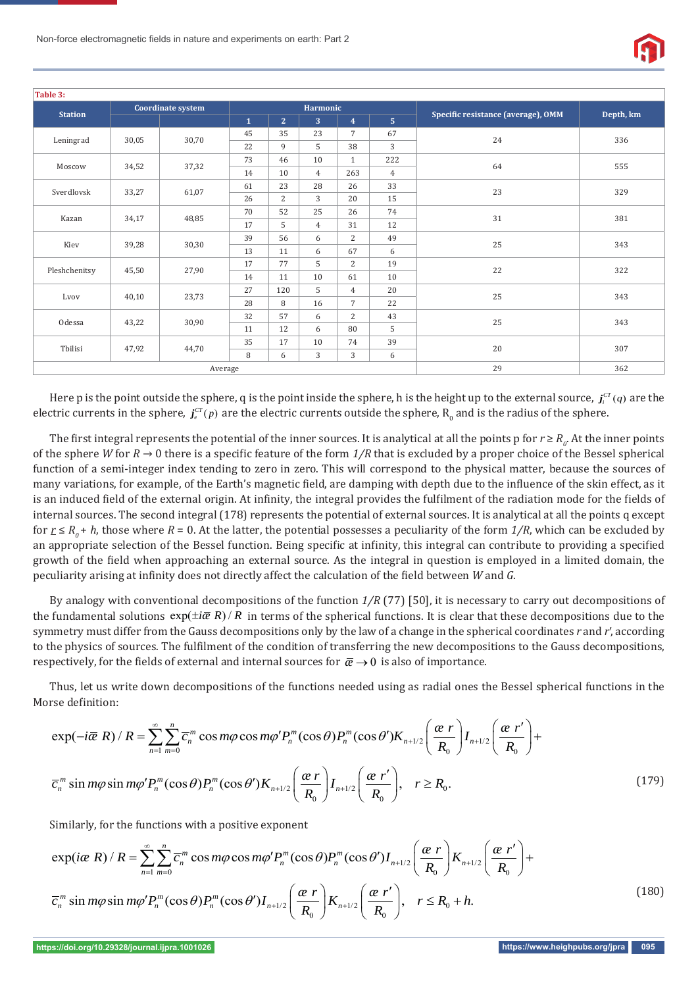

| Table 3:               |                          |       |              |                 |                |                |                |                                    |           |
|------------------------|--------------------------|-------|--------------|-----------------|----------------|----------------|----------------|------------------------------------|-----------|
| <b>Station</b>         | <b>Coordinate system</b> |       |              | <b>Harmonic</b> |                |                |                |                                    |           |
|                        |                          |       | $\mathbf{1}$ | 2 <sup>1</sup>  | 3              | $\overline{4}$ | 5 <sub>1</sub> | Specific resistance (average), OMM | Depth, km |
| 30,05<br>Leningrad     |                          | 30,70 | 45           | 35              | 23             | $7^{\circ}$    | 67             | 24                                 | 336       |
|                        |                          |       | 22           | 9               | 5              | 38             | 3              |                                    |           |
| Moscow<br>34,52        |                          | 37,32 | 73           | 46              | 10             | $\mathbf{1}$   | 222            | 64                                 | 555       |
|                        |                          |       | 14           | 10              | $\overline{4}$ | 263            | $\overline{4}$ |                                    |           |
| Sverdlovsk<br>33,27    |                          | 61,07 | 61           | 23              | 28             | 26             | 33             | 23                                 | 329       |
|                        |                          |       | 26           | $\overline{2}$  | 3              | 20             | 15             |                                    |           |
| Kazan<br>34,17         |                          | 48,85 | 70           | 52              | 25             | 26             | 74             | 31                                 | 381       |
|                        |                          |       | 17           | 5               | $\overline{4}$ | 31             | 12             |                                    |           |
| 39,28<br>Kiev          |                          | 30,30 | 39           | 56              | 6              | $\overline{2}$ | 49             | 25                                 | 343       |
|                        |                          |       | 13           | 11              | 6              | 67             | 6              |                                    |           |
| Pleshchenitsy<br>45,50 |                          |       | 17           | 77              | 5              | $\overline{2}$ | 19             | 22                                 | 322       |
|                        | 27,90                    | 14    | 11           | 10              | 61             | 10             |                |                                    |           |
| Lvov<br>40,10          |                          | 23,73 | 27           | 120             | 5              | $4^{\circ}$    | 20             | 25                                 | 343       |
|                        |                          |       | 28           | 8               | 16             | $7^{\circ}$    | 22             |                                    |           |
| Odessa<br>43,22        |                          | 30,90 | 32           | 57              | 6              | $\overline{2}$ | 43             | 25                                 | 343       |
|                        |                          |       | 11           | 12              | 6              | 80             | 5              |                                    |           |
| Tbilisi<br>47,92       |                          |       | 35           | 17              | 10             | 74             | 39             | 20                                 | 307       |
|                        |                          | 44,70 | 8            | 6               | 3              | 3              | 6              |                                    |           |
| Average                |                          |       |              |                 |                |                | 29             | 362                                |           |

Here p is the point outside the sphere, q is the point inside the sphere, h is the height up to the external source,  $j_i^{cr}(q)$  are the electric currents in the sphere,  $j_\epsilon^{cr}(p)$  are the electric currents outside the sphere,  $\rm R_{_0}$  and is the radius of the sphere.

The first integral represents the potential of the inner sources. It is analytical at all the points p for  $r \ge R_o$ . At the inner points of the sphere *W* for  $R \to 0$  there is a specific feature of the form  $1/R$  that is excluded by a proper choice of the Bessel spherical function of a semi-integer index tending to zero in zero. This will correspond to the physical matter, because the sources of many variations, for example, of the Earth's magnetic field, are damping with depth due to the influence of the skin effect, as it is an induced field of the external origin. At infinity, the integral provides the fulfilment of the radiation mode for the fields of internal sources. The second integral (178) represents the potential of external sources. It is analytical at all the points q except for  $r \le R_0 + h$ , those where  $R = 0$ . At the latter, the potential possesses a peculiarity of the form  $1/R$ , which can be excluded by an appropriate selection of the Bessel function. Being specific at infinity, this integral can contribute to providing a specified growth of the field when approaching an external source. As the integral in question is employed in a limited domain, the peculiarity arising at infinity does not directly affect the calculation of the field between *W* and *G*.

By analogy with conventional decompositions of the function *1/R* (77) [50], it is necessary to carry out decompositions of the fundamental solutions  $\exp(\pm i\bar{\alpha} R)/R$  in terms of the spherical functions. It is clear that these decompositions due to the symmetry must differ from the Gauss decompositions only by the law of a change in the spherical coordinates *r* and *r*, according to the physics of sources. The fulfilment of the condition of transferring the new decompositions to the Gauss decompositions, respectively, for the fields of external and internal sources for  $\bar{\alpha} \rightarrow 0$  is also of importance.

Thus, let us write down decompositions of the functions needed using as radial ones the Bessel spherical functions in the Morse definition:

$$
\exp(-i\overline{\alpha}R) / R = \sum_{n=1}^{\infty} \sum_{m=0}^{n} \overline{c}_{n}^{m} \cos m\varphi \cos m\varphi' P_{n}^{m}(\cos \theta) P_{n}^{m}(\cos \theta') K_{n+1/2} \left(\frac{\alpha r}{R_{0}}\right) I_{n+1/2} \left(\frac{\alpha r'}{R_{0}}\right) +
$$
  

$$
\overline{c}_{n}^{m} \sin m\varphi \sin m\varphi' P_{n}^{m}(\cos \theta) P_{n}^{m}(\cos \theta') K_{n+1/2} \left(\frac{\alpha r}{R_{0}}\right) I_{n+1/2} \left(\frac{\alpha r'}{R_{0}}\right), \quad r \ge R_{0}.
$$
 (179)

Similarly, for the functions with a positive exponent

$$
\exp(ie\ R) / R = \sum_{n=1}^{\infty} \sum_{m=0}^{n} \overline{c}_{n}^{m} \cos m\varphi \cos m\varphi' P_{n}^{m}(\cos \theta) P_{n}^{m}(\cos \theta') I_{n+1/2} \left(\frac{\alpha r}{R_{0}}\right) K_{n+1/2} \left(\frac{\alpha r'}{R_{0}}\right) + \overline{c}_{n}^{m} \sin m\varphi \sin m\varphi' P_{n}^{m}(\cos \theta) P_{n}^{m}(\cos \theta') I_{n+1/2} \left(\frac{\alpha r}{R_{0}}\right) K_{n+1/2} \left(\frac{\alpha r'}{R_{0}}\right), \quad r \le R_{0} + h. \tag{180}
$$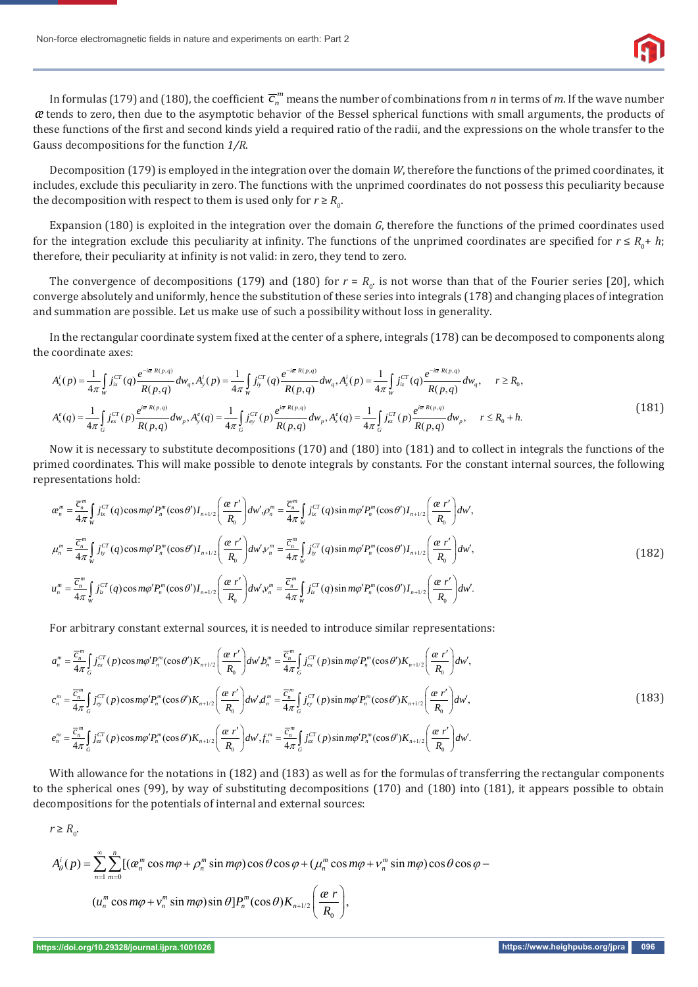

In formulas (179) and (180), the coefficient  $\overline{c}_n^{\,m}$  means the number of combinations from  $n$  in terms of  $m$ . If the wave number *æ* tends to zero, then due to the asymptotic behavior of the Bessel spherical functions with small arguments, the products of these functions of the first and second kinds yield a required ratio of the radii, and the expressions on the whole transfer to the Gauss decompositions for the function *1/R*.

Decomposition (179) is employed in the integration over the domain *W*, therefore the functions of the primed coordinates, it includes, exclude this peculiarity in zero. The functions with the unprimed coordinates do not possess this peculiarity because the decomposition with respect to them is used only for  $r \ge R_0$ .

Expansion (180) is exploited in the integration over the domain *G*, therefore the functions of the primed coordinates used for the integration exclude this peculiarity at infinity. The functions of the unprimed coordinates are specified for  $r \leq R_0 + h$ ; therefore, their peculiarity at infinity is not valid: in zero, they tend to zero.

The convergence of decompositions (179) and (180) for  $r = R_0$  is not worse than that of the Fourier series [20], which converge absolutely and uniformly, hence the substitution of these series into integrals (178) and changing places of integration and summation are possible. Let us make use of such a possibility without loss in generality.

In the rectangular coordinate system fixed at the center of a sphere, integrals (178) can be decomposed to components along the coordinate axes:

$$
A_x^i(p) = \frac{1}{4\pi} \int_{w} j_{ix}^{CT}(q) \frac{e^{-i\overline{\alpha}R(p,q)}}{R(p,q)} dw_q, A_y^i(p) = \frac{1}{4\pi} \int_{w} j_{iy}^{CT}(q) \frac{e^{-i\overline{\alpha}R(p,q)}}{R(p,q)} dw_q, A_z^i(p) = \frac{1}{4\pi} \int_{w} j_{iz}^{CT}(q) \frac{e^{-i\overline{\alpha}R(p,q)}}{R(p,q)} dw_q, \quad r \ge R_0,
$$
  

$$
A_x^e(q) = \frac{1}{4\pi} \int_{G} j_{cx}^{CT}(p) \frac{e^{i\overline{\alpha}R(p,q)}}{R(p,q)} dw_p, A_y^e(q) = \frac{1}{4\pi} \int_{G} j_{cy}^{CT}(p) \frac{e^{i\overline{\alpha}R(p,q)}}{R(p,q)} dw_p, A_z^e(q) = \frac{1}{4\pi} \int_{G} j_{cz}^{CT}(p) \frac{e^{i\overline{\alpha}R(p,q)}}{R(p,q)} dw_p, \quad r \le R_0 + h.
$$
 (181)

Now it is necessary to substitute decompositions (170) and (180) into (181) and to collect in integrals the functions of the primed coordinates. This will make possible to denote integrals by constants. For the constant internal sources, the following representations hold:

$$
\alpha_{n}^{m} = \frac{\overline{c}_{n}^{m}}{4\pi} \int_{W} j_{ix}^{CT}(q) \cos m\varphi' P_{n}^{m}(\cos\theta') I_{n+1/2} \left(\frac{\alpha}{R_{0}}\right) dw', \rho_{n}^{m} = \frac{\overline{c}_{n}^{m}}{4\pi} \int_{W} j_{ix}^{CT}(q) \sin m\varphi' P_{n}^{m}(\cos\theta') I_{n+1/2} \left(\frac{\alpha}{R_{0}}\right) dw',
$$
\n
$$
\mu_{n}^{m} = \frac{\overline{c}_{n}^{m}}{4\pi} \int_{W} j_{iy}^{CT}(q) \cos m\varphi' P_{n}^{m}(\cos\theta') I_{n+1/2} \left(\frac{\alpha}{R_{0}}\right) dw', \nu_{n}^{m} = \frac{\overline{c}_{n}^{m}}{4\pi} \int_{W} j_{iy}^{CT}(q) \sin m\varphi' P_{n}^{m}(\cos\theta') I_{n+1/2} \left(\frac{\alpha}{R_{0}}\right) dw',
$$
\n
$$
\mu_{n}^{m} = \frac{\overline{c}_{n}^{m}}{4\pi} \int_{W} j_{iz}^{CT}(q) \cos m\varphi' P_{n}^{m}(\cos\theta') I_{n+1/2} \left(\frac{\alpha}{R_{0}}\right) dw', \nu_{n}^{m} = \frac{\overline{c}_{n}^{m}}{4\pi} \int_{W} j_{iz}^{CT}(q) \sin m\varphi' P_{n}^{m}(\cos\theta') I_{n+1/2} \left(\frac{\alpha}{R_{0}}\right) dw'. \tag{182}
$$

For arbitrary constant external sources, it is needed to introduce similar representations:

$$
a_{n}^{m} = \frac{\overline{c}_{n}^{m}}{4\pi} \int_{G} j_{ex}^{CT}(p) \cos m\varphi' P_{n}^{m}(\cos\theta') K_{n+1/2} \left(\frac{\alpha}{R_{0}}\right) d w' b_{n}^{m} = \frac{\overline{c}_{n}^{m}}{4\pi} \int_{G} j_{ex}^{CT}(p) \sin m\varphi' P_{n}^{m}(\cos\theta') K_{n+1/2} \left(\frac{\alpha}{R_{0}}\right) dw',
$$
\n
$$
c_{n}^{m} = \frac{\overline{c}_{n}^{m}}{4\pi} \int_{G} j_{ex}^{CT}(p) \cos m\varphi' P_{n}^{m}(\cos\theta') K_{n+1/2} \left(\frac{\alpha}{R_{0}}\right) dw' d_{n}^{m} = \frac{\overline{c}_{n}^{m}}{4\pi} \int_{G} j_{ex}^{CT}(p) \sin m\varphi' P_{n}^{m}(\cos\theta') K_{n+1/2} \left(\frac{\alpha}{R_{0}}\right) dw',
$$
\n
$$
e_{n}^{m} = \frac{\overline{c}_{n}^{m}}{4\pi} \int_{G} j_{ex}^{CT}(p) \cos m\varphi' P_{n}^{m}(\cos\theta') K_{n+1/2} \left(\frac{\alpha}{R_{0}}\right) dw' f_{n}^{m} = \frac{\overline{c}_{n}^{m}}{4\pi} \int_{G} j_{ex}^{CT}(p) \sin m\varphi' P_{n}^{m}(\cos\theta') K_{n+1/2} \left(\frac{\alpha}{R_{0}}\right) dw',
$$
\n(183)

With allowance for the notations in (182) and (183) as well as for the formulas of transferring the rectangular components to the spherical ones (99), by way of substituting decompositions (170) and (180) into (181), it appears possible to obtain decompositions for the potentials of internal and external sources:

 $r \geq R_0$ .

$$
A_{\theta}^{i}(p) = \sum_{n=1}^{\infty} \sum_{m=0}^{n} \left[ \left( \alpha_{n}^{m} \cos m\varphi + \rho_{n}^{m} \sin m\varphi \right) \cos \theta \cos \varphi + \left( \mu_{n}^{m} \cos m\varphi + \nu_{n}^{m} \sin m\varphi \right) \cos \theta \cos \varphi - \left( \mu_{n}^{m} \cos m\varphi + \nu_{n}^{m} \sin m\varphi \right) \sin \theta \right] P_{n}^{m}(\cos \theta) K_{n+1/2} \left( \frac{\alpha r}{R_{0}} \right),
$$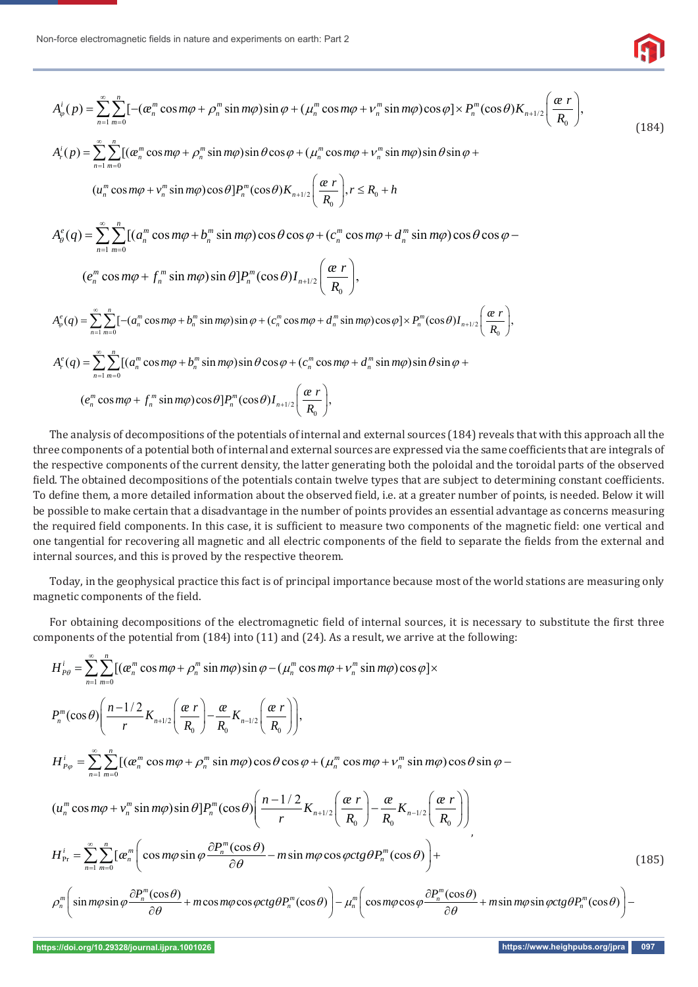

$$
A_{\varphi}^{i}(p) = \sum_{n=1}^{\infty} \sum_{m=0}^{n} \left[ -(a_{n}^{m} \cos m\varphi + \rho_{n}^{m} \sin m\varphi) \sin \varphi + (\mu_{n}^{m} \cos m\varphi + \nu_{n}^{m} \sin m\varphi) \cos \varphi \right] \times P_{n}^{m}(\cos \theta) K_{n+1/2} \left( \frac{\alpha r}{R_{0}} \right),
$$
\n
$$
\sum_{n=1}^{\infty} \sum_{m=0}^{n} \left[ -(a_{n}^{m} \cos m\varphi + \rho_{n}^{m} \sin m\varphi) \sin \varphi + (\mu_{n}^{m} \cos m\varphi + \nu_{n}^{m} \sin m\varphi) \cos \varphi \right] \times P_{n}^{m}(\cos \theta) K_{n+1/2} \left( \frac{\alpha r}{R_{0}} \right),
$$
\n(184)

$$
A_r^i(p) = \sum_{n=1}^{\infty} \sum_{m=0}^n [(\alpha_n^m \cos m\varphi + \rho_n^m \sin m\varphi) \sin \theta \cos \varphi + (\mu_n^m \cos m\varphi + \nu_n^m \sin m\varphi) \sin \theta \sin \varphi +
$$

$$
(u_n^m \cos m\varphi + v_n^m \sin m\varphi) \cos \theta] P_n^m(\cos \theta) K_{n+1/2} \left( \frac{\alpha r}{R_0} \right), r \le R_0 + h
$$

 $1 m=0$  $\mathcal{L}_{g}^{e}(q) = \sum_{n=0}^{\infty} \sum_{n=0}^{n} [(a_{n}^{m} \cos m\varphi + b_{n}^{m} \sin m\varphi)\cos\theta\cos\varphi + (c_{n}^{m} \cos m\varphi + d_{n}^{m} \sin m\varphi)\cos\theta\cos\varphi]$  $\sum_{n=1}^{\infty} \sum_{m=0}^{\infty} [a_n \cos m\varphi + b_n \sin m\varphi] \cos \varphi \cos \varphi + (c_n \cos m\varphi + a_n \sin \varphi)$  $A_{\theta}^{e}(q) = \sum \sum [(a_{n}^{m} \cos m\varphi + b_{n}^{m} \sin m\varphi) \cos \theta \cos \varphi + (c_{n}^{m} \cos m\varphi + d_{n}^{m} \sin m\varphi) \cos \theta \cos \varphi$  $\infty$  $=1$  m=  $=\sum \sum [(a_n^m \cos m\varphi + b_n^m \sin m\varphi) \cos \theta \cos \varphi + (c_n^m \cos m\varphi + d_n^m \sin m\varphi) \cos \theta \cos \varphi \sum\sum$ 

$$
(e_n^m \cos m\varphi + f_n^m \sin m\varphi) \sin \theta] P_n^m(\cos \theta) I_{n+1/2}\Bigg(\frac{\alpha r}{R_0}\Bigg),
$$

 $\frac{1}{2}\sum_{n=0}$  ( $\alpha_n$  cosmp +  $\nu_n$  surmp) surp +  $\mathfrak{c}_n$  cosmp +  $\alpha_n$  surmp) cosp $\sum_{n=0}^{\infty}$  (coso) $\mu_{n+1/2}$   $\overline{R_0}$  $A_{\varphi}^e(q) = \sum_{n=1}^{\infty} \sum_{m=0}^n [-(a_n^m \cos m\varphi + b_n^m \sin m\varphi)\sin \varphi + (c_n^m \cos m\varphi + d_n^m \sin m\varphi)\cos \varphi] \times P_n^m(\cos \theta) I_{n+1/2}\left(\frac{\varphi r}{R_0}\right),$  $\sum_{n=1}^{\infty}$   $\sum_{m=0}^{\infty}$  ( $\alpha_n$  cosm $\psi$  +  $\upsilon_n$  sin m $\psi$ ) sin  $\psi$  +  $\upsilon_n$  cosm $\psi$  +  $\alpha_n$  sin m $\psi$ ) cos $\psi$   $\mapsto$   $\upsilon_n$  (cos $\upsilon$ )  $\upsilon_{n+1}$  $=\sum_{n=1}^{\infty}\sum_{m=0}^{n}[-(a_n^m\cos m\varphi+b_n^m\sin m\varphi)\sin\varphi+(c_n^m\cos m\varphi+d_n^m\sin m\varphi)\cos\varphi]\times P_n^m(\cos\theta)I_{n+1/2}\left(\frac{\alpha r}{R_0}\right)$ 

$$
A_r^e(q) = \sum_{n=1}^{\infty} \sum_{m=0}^n \left[ (a_n^m \cos m\varphi + b_n^m \sin m\varphi) \sin \theta \cos \varphi + (c_n^m \cos m\varphi + d_n^m \sin m\varphi) \sin \theta \sin \varphi + (e_n^m \cos m\varphi + f_n^m \sin m\varphi) \cos \theta \right] P_n^m(\cos \theta) I_{n+1/2} \left( \frac{\alpha r}{R_0} \right),
$$

The analysis of decompositions of the potentials of internal and external sources (184) reveals that with this approach all the three components of a potential both of internal and external sources are expressed via the same coefficients that are integrals of the respective components of the current density, the latter generating both the poloidal and the toroidal parts of the observed field. The obtained decompositions of the potentials contain twelve types that are subject to determining constant coefficients. To define them, a more detailed information about the observed field, i.e. at a greater number of points, is needed. Below it will be possible to make certain that a disadvantage in the number of points provides an essential advantage as concerns measuring the required field components. In this case, it is sufficient to measure two components of the magnetic field: one vertical and one tangential for recovering all magnetic and all electric components of the field to separate the fields from the external and internal sources, and this is proved by the respective theorem.

Today, in the geophysical practice this fact is of principal importance because most of the world stations are measuring only magnetic components of the field.

For obtaining decompositions of the electromagnetic field of internal sources, it is necessary to substitute the first three components of the potential from (184) into (11) and (24). As a result, we arrive at the following:

$$
H_{P\theta}^{i} = \sum_{n=1}^{\infty} \sum_{m=0}^{n} \left[ (\alpha_{n}^{m} \cos m\varphi + \rho_{n}^{m} \sin m\varphi) \sin \varphi - (\mu_{n}^{m} \cos m\varphi + \nu_{n}^{m} \sin m\varphi) \cos \varphi \right] \times
$$
  
\n
$$
P_{n}^{m}(\cos \theta) \left( \frac{n-1/2}{r} K_{n+1/2} \left( \frac{\alpha}{R_{0}} \right) - \frac{\alpha}{R_{0}} K_{n-1/2} \left( \frac{\alpha}{R_{0}} \right) \right),
$$
  
\n
$$
H_{P\varphi}^{i} = \sum_{n=1}^{\infty} \sum_{m=0}^{n} \left[ (\alpha_{n}^{m} \cos m\varphi + \rho_{n}^{m} \sin m\varphi) \cos \theta \cos \varphi + (\mu_{n}^{m} \cos m\varphi + \nu_{n}^{m} \sin m\varphi) \cos \theta \sin \varphi -
$$
  
\n
$$
(u_{n}^{m} \cos m\varphi + v_{n}^{m} \sin m\varphi) \sin \theta \right] P_{n}^{m}(\cos \theta) \left( \frac{n-1/2}{r} K_{n+1/2} \left( \frac{\alpha}{R_{0}} \right) - \frac{\alpha}{R_{0}} K_{n-1/2} \left( \frac{\alpha}{R_{0}} \right) \right)
$$
  
\n
$$
H_{\text{Pr}}^{i} = \sum_{n=1}^{\infty} \sum_{m=0}^{n} \left[ \alpha_{n}^{m} \left( \cos m\varphi \sin \varphi \frac{\partial P_{n}^{m}(\cos \theta)}{\partial \theta} - m \sin m\varphi \cos \varphi ctg \theta P_{n}^{m}(\cos \theta) \right) +
$$
  
\n
$$
\rho_{n}^{m} \left( \sin m\varphi \sin \varphi \frac{\partial P_{n}^{m}(\cos \theta)}{\partial \theta} + m \cos m\varphi \cos \varphi ctg \theta P_{n}^{m}(\cos \theta) \right) - \mu_{n}^{m} \left( \cos m\varphi \cos \varphi \frac{\partial P_{n}^{m}(\cos \theta)}{\partial \theta} + m \sin m\varphi \sin \varphi ctg \theta P_{n}^{m}(\cos \theta) \right) -
$$
  
\n(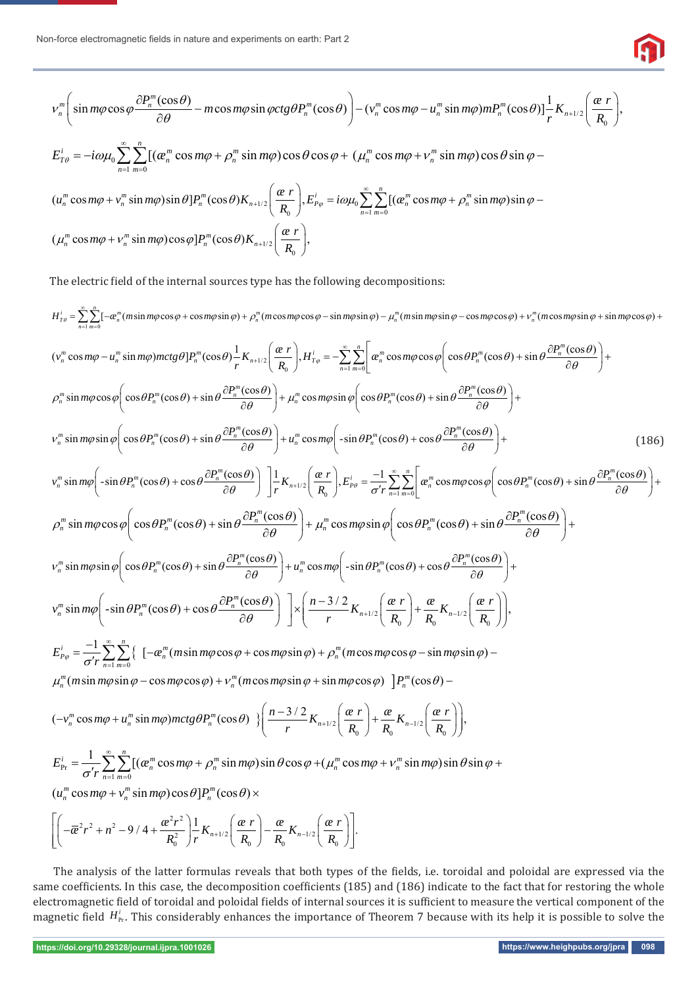

$$
v_n^m\bigg(\sin m\varphi\cos\varphi\frac{\partial P_n^m(\cos\theta)}{\partial\theta}-m\cos m\varphi\sin\varphi ctg\theta P_n^m(\cos\theta)\bigg)-\big(v_n^m\cos m\varphi-u_n^m\sin m\varphi\big)mP_n^m(\cos\theta)\big]\frac{1}{r}K_{n+1/2}\bigg(\frac{\alpha r}{R_0}\bigg),
$$

$$
E_{T\theta}^i = -i\omega\mu_0 \sum_{n=1}^{\infty}\sum_{m=0}^n[(\alpha_n^m\cos m\varphi + \rho_n^m\sin m\varphi)\cos\theta\cos\varphi + (\mu_n^m\cos m\varphi + \nu_n^m\sin m\varphi)\cos\theta\sin\varphi -
$$

$$
(u_n^m \cos m\varphi + v_n^m \sin m\varphi) \sin \theta] P_n^m(\cos \theta) K_{n+1/2} \left( \frac{\alpha r}{R_0} \right), E_{P\varphi}^i = i\omega \mu_0 \sum_{n=1}^{\infty} \sum_{m=0}^n \left[ (\alpha_n^m \cos m\varphi + \rho_n^m \sin m\varphi) \sin \varphi - (\mu_n^m \cos m\varphi + v_n^m \sin m\varphi) \cos \varphi \right] P_n^m(\cos \theta) K_{n+1/2} \left( \frac{\alpha r}{R_0} \right),
$$

The electric field of the internal sources type has the following decompositions:

 $H_{T\theta}^i = \sum_{n=1}^{\infty} \sum_{m=0}^n [-\alpha_n^m (m\sin m\varphi\cos\varphi + \cos m\varphi\sin\varphi) + \rho_n^m (m\cos m\varphi\cos\varphi - \sin m\varphi\sin\varphi) - \mu_n^m (m\sin m\varphi\sin\varphi - \cos m\varphi\cos\varphi) + \nu_n^m (m\cos m\varphi\sin\varphi + \sin m\varphi\cos\varphi)$  $=\sum_{n=1}^{\infty}\sum_{m=0}^{\infty}[-a_n^m(m\sin m\varphi\cos\varphi+\cos m\varphi\sin\varphi)+\rho_n^m(m\cos m\varphi\cos\varphi-\sin m\varphi\sin\varphi)-\mu_n^m(m\sin m\varphi\sin\varphi-\cos m\varphi\cos\varphi)+\nu_n^m(m\cos m\varphi\sin\varphi+\sin m\varphi\cos\varphi)+\rho_n^m(m\cos m\varphi\sin\varphi-\sin m\varphi\sin\varphi)$  $R_0$   $\left( \begin{array}{c} 1/2 \\ R_0 \end{array} \right)$ ,  $\frac{1}{T\varphi}$   $\frac{1}{n=1}$   $\frac{1}{m=0}$  $(v_n^m \cos m\varphi - u_n^m \sin m\varphi)mctg\theta]P_n^m(\cos\theta) - \frac{1}{r}K_{n+1/2}\left(\frac{\alpha r}{R_0}\right), H_{T\varphi}^i = -\sum_{n=1}^{\infty}\sum_{m=0}^n\left(\frac{\alpha^m}{\alpha^m}\cos m\varphi\cos\varphi\right)\left(\cos\theta P_n^m(\cos\theta) + \sin\theta \frac{\partial P_n^m(\cos\theta)}{\partial \theta}\right)$  $R_0$   $(R_0$   $)$ ,  $H_T \varphi$   $\sum_{n=1}^{\infty}$  $-u_n^m \sin m\varphi$ ) $mctg\theta$ ] $P_n^m(\cos\theta) \frac{1}{r} K_{n+1/2} \left(\frac{\alpha r}{R_0}\right), H_{T\varphi}^i = -\sum_{n=1}^{\infty} \sum_{m=0}^n \left[ \alpha_n^m \cos m\varphi \cos \varphi \left(\cos\theta P_n^m(\cos\theta) + \sin\theta \frac{\partial P_n^m(\cos\theta)}{\partial \theta}\right) + \cdots \right]$  $\rho_n^m \sin m\varphi \cos \varphi \left( \cos \theta P_n^m(\cos \theta) + \sin \theta \frac{\partial P_n^m(\cos \theta)}{\partial \theta} \right) + \mu_n^m \cos m\varphi \sin \varphi \left( \cos \theta P_n^m(\cos \theta) + \sin \theta \frac{\partial P_n^m(\cos \theta)}{\partial \theta} \right) +$  $v_n^m \sin m\varphi \sin \varphi \left( \cos \theta P_n^m(\cos \theta) + \sin \theta \frac{\partial P_n^m(\cos \theta)}{\partial \theta} \right) + u_n^m \cos m\varphi \left( -\sin \theta P_n^m(\cos \theta) + \cos \theta \frac{\partial P_n^m(\cos \theta)}{\partial \theta} \right) +$ (186)  $R_0 \left(R_0\right)$ <sup>t-p<sub>p</sub></sub> $-\sigma'$ r  $\sum_{n=1}^{\infty}$ </sup>  $\int_{m}^{m} \sin m\varphi \left( -\sin \theta P_n^m(\cos \theta) + \cos \theta \frac{\partial P_n^m(\cos \theta)}{\partial \theta} \right) \left[ \frac{1}{r} K_{n+1/2} \left( \frac{\alpha r}{R_0} \right), E_{p\theta}^i = \frac{-1}{\sigma' r} \sum_{n=1}^{\infty} \sum_{m=0}^{n} \left| \alpha_n^m \cos m\varphi \cos \varphi \left( \cos \theta P_n^m(\cos \theta) + \sin \theta \frac{\partial P_n^m(\cos \theta)}{\partial \theta} \right) \right| \right]$  $v_n^m \sin m\varphi \left( -\sin\theta P_n^m(\cos\theta) + \cos\theta \frac{\partial P_n^m(\cos\theta)}{\partial \theta} \right) \left[ \frac{1}{r} K_{n+1/2} \left( \frac{\alpha r}{R_0} \right), E_{p\theta}^i = \frac{-1}{\sigma' r} \sum_{n=1}^{\infty} \sum_{m=0}^n \left| \alpha_n^m \cos m\varphi \cos\varphi \right| \cos\theta P_n^m(\cos\theta) + \sin\theta \frac{\partial P_n^m(\cos\theta)}{\partial \theta}$  $\varphi\left(\frac{\sin \theta P_n^m(\cos \theta) + \cos \theta \frac{\partial P_n^m(\cos \theta)}{\partial \theta}}{\partial \theta}\right) \left| \frac{1}{r} K_{n+1/2}\left(\frac{\alpha r}{R_n}\right), E_{p\theta}^i = \frac{-1}{\sigma' r} \sum_{n=1}^{\infty} \sum_{m=0}^n \left| \frac{\alpha_m^m \cos m\varphi \cos \varphi \cos \varphi}{\cos \theta P_n^m(\cos \theta) + \sin \theta \frac{\partial P_n^m(\cos \theta)}{\partial \theta}\right| \right|$  $\left(-\sin\theta P_n^m(\cos\theta) + \cos\theta \frac{\partial P_n^m(\cos\theta)}{\partial \theta}\right) \left[\frac{1}{r}K_{n+1/2}\left(\frac{\alpha r}{R_0}\right), E_{p\theta}^i = \frac{-1}{\sigma' r} \sum_{n=1}^{\infty} \sum_{m=0}^n \left[\alpha_n^m \cos m\varphi \cos \varphi \left(\cos\theta P_n^m(\cos\theta) + \sin\theta \frac{\partial P_n^m(\cos\theta)}{\partial \theta}\right)\right] + \frac{1}{\sigma'} \left[\frac{\alpha r}{R_0}\right]$  $\rho_n^m \sin m\varphi \cos \varphi \left( \cos \theta P_n^m(\cos \theta) + \sin \theta \frac{\partial P_n^m(\cos \theta)}{\partial \theta} \right) + \mu_n^m \cos m\varphi \sin \varphi \left( \cos \theta P_n^m(\cos \theta) + \sin \theta \frac{\partial P_n^m(\cos \theta)}{\partial \theta} \right) +$   $v_n^m \sin m\varphi \sin \varphi \left( \cos \theta P_n^m(\cos \theta) + \sin \theta \frac{\partial P_n^m(\cos \theta)}{\partial \theta} \right) + u_n^m \cos m\varphi \left( -\sin \theta P_n^m(\cos \theta) + \cos \theta \frac{\partial P_n^m(\cos \theta)}{\partial \theta} \right) +$  $\partial \theta$  and  $\partial \theta$  and  $\theta$  and  $\theta$  and  $\theta$  and  $\theta$  and  $\theta$  and  $\theta$  and  $\theta$  and  $\theta$  and  $\theta$  and  $\theta$  and  $\theta$  and  $\theta$  and  $\theta$  and  $\theta$  and  $\theta$  and  $\theta$  and  $\theta$  and  $\theta$  and  $\theta$  and  $\theta$  and  $\theta$  and  $\theta$  and  $\mathbf{n}$   $\mathbf{n}$   $\mathbf{n}$   $\mathbf{n}$   $\mathbf{n}$  $\mathbf{0}$   $\mathbf{0}$   $\mathbf{0}$   $\mathbf{0}$  $v_n^m \sin m\varphi \left( -\sin\theta P_n^m(\cos\theta) + \cos\theta \frac{\partial P_n^m(\cos\theta)}{\partial \varphi_n} \right) \quad \left[ \times \left( \frac{n-3/2}{n} K_{n+1/2} \left( \frac{\alpha r}{R} \right) + \frac{\alpha}{n} K_{n-1/2} \left( \frac{\alpha r}{R} \right) \right) \right]$  $a\varphi\left(\frac{\sin\theta P_n^m(\cos\theta) + \cos\theta \frac{\partial P_n^m(\cos\theta)}{\partial \theta}}{\partial \theta}\right)\right] \times \left(\frac{n-3/2}{r}K_{n+1/2}\left(\frac{\alpha r}{R_0}\right) + \frac{\alpha}{R_0}K_{n-1/2}\left(\frac{\alpha r}{R_0}\right)\right)$  $\{$  $\mu_n^m(m \sin m\varphi \sin \varphi - \cos m\varphi \cos \varphi) + v_n^m(m \cos m\varphi \sin \varphi + \sin m\varphi \cos \varphi) \ \ ]P_n^m(\cos \theta) 1 m=0$  $\sum_{p_{\varphi}}^{i} = \frac{-1}{\sigma' r} \sum_{n=1}^{\infty} \left\{ [ -\alpha_n^{m} (m \sin m \varphi \cos \varphi + \cos m \varphi \sin \varphi) + \rho_n^{m} (m \cos m \varphi \cos \varphi - \sin m \varphi \sin \varphi) \right\}$  $E_{P_{\alpha}}^{i} = \frac{1}{N}\sum_{n=1}^{N} \left\{ \left[ -\alpha_{n}^{m}(m \sin m \varphi \cos \varphi + \cos m \varphi \sin \varphi) + \rho_{n}^{m}(m \cos m \varphi \cos \varphi - \sin m \varphi \right] \right\}$  $r_{\varphi} = \frac{1}{\sigma' r} \sum_{n=1}^{\infty} \sum_{m=0}^{\infty} \left\{ -\frac{1}{n} (m \sin m \varphi \cos \varphi + \cos m \varphi \sin \varphi) + \rho_n^m (m \cos m \varphi \cos \varphi - \sin m \varphi \sin \varphi) \right\}$ œ  $=\frac{-1}{\sigma' r}\sum_{n=1}^{\infty}\sum_{m=0}^{n} \left\{ [ -\alpha_n^m(m\sin m\varphi\cos\varphi + \cos m\varphi\sin\varphi) + \rho_n^m(m\cos m\varphi\cos\varphi - \sin m\varphi\sin\varphi) - \rho_n^m(m\cos m\varphi\cos\varphi - \sin m\varphi\sin\varphi) \right\}$  $(-v_n^m \cos m\varphi + u_n^m \sin m\varphi) mctg\theta P_n^m(\cos\theta)$   $\left\{\frac{n!2!}{r} K_{n+1/2} \left\{\frac{\alpha}{R_0}\right\} + \frac{\alpha}{R_0} K_{n-1/2} \left\{\frac{\alpha}{R_0}\right\}$  $(-v_n^m \cos m\varphi + u_n^m \sin m\varphi) mctg\theta P_n^m(\cos\theta)$   $\Big\{\frac{n-3/2}{r}K_{n+1/2}\left(\frac{\alpha r}{R_0}\right) + \frac{\alpha}{R_0}K_{n-1/2}\left(\frac{\alpha r}{R_0}\right)\Big\},\right.$  $-v_n^m \cos m\varphi + u_n^m \sin m\varphi$ ) $mctg\theta P_n^m(\cos\theta)$   $\left\{\frac{n+3/2}{r}K_{n+1/2}\left(\frac{\alpha r}{R_0}\right)+\frac{\alpha}{R_0}K_{n-1/2}\left(\frac{\alpha r}{R_0}\right)\right\}$  $\sigma$ <sup>r</sup>  $\sum_{n=1}^{\infty}$   $\sum_{m=0}$  $\frac{d}{dr} = \frac{1}{\sigma' r} \sum_{n=1}^{\infty} \sum_{m=0}^{n} [( \alpha_n^m \cos m\varphi + \rho_n^m \sin m\varphi) \sin \theta \cos \varphi + ( \mu_n^m \cos m\varphi + \nu_n^m \sin m\varphi) \sin \theta \sin \varphi ]$  $E_{\rm Pr}^i = \frac{1}{N} \sum \left[ (a_n^m \cos m\varphi + \rho_n^m \sin m\varphi) \sin \theta \cos \varphi + (\mu_n^m \cos m\varphi + \nu_n^m \sin m\varphi) \right]$  $\frac{1}{\sigma'}\sum_{n=1}^{\infty}\sum_{m=0}^{\infty}[(a_n^m\cos m\varphi + \rho_n^m\sin m\varphi)\sin\theta\cos\varphi + (\mu_n^m\cos m\varphi + \nu_n^m\sin m\varphi)\sin\theta\sin\varphi$  $\infty$  $=\frac{1}{\sigma' r}\sum_{n=1}^{\infty}\sum_{m=0}[(\alpha_n^m\cos m\varphi + \rho_n^m\sin m\varphi)\sin\theta\cos\varphi + (\mu_n^m\cos m\varphi + \nu_n^m\sin m\varphi)\sin\theta\sin\varphi +$ 

 $(u_n^m \cos m\varphi + v_n^m \sin m\varphi) \cos \theta] P_n^m(\cos \theta) \times$ 

$$
\left[ \left( -\overline{a}^2 r^2 + n^2 - 9/4 + \frac{a^2 r^2}{R_0^2} \right) \frac{1}{r} K_{n+1/2} \left( \frac{a r}{R_0} \right) - \frac{a}{R_0} K_{n-1/2} \left( \frac{a r}{R_0} \right) \right].
$$

The analysis of the latter formulas reveals that both types of the fields, i.e. toroidal and poloidal are expressed via the same coefficients. In this case, the decomposition coefficients (185) and (186) indicate to the fact that for restoring the whole electromagnetic field of toroidal and poloidal fields of internal sources it is sufficient to measure the vertical component of the magnetic field  $H_{\text{Pr}}^i$ . This considerably enhances the importance of Theorem 7 because with its help it is possible to solve the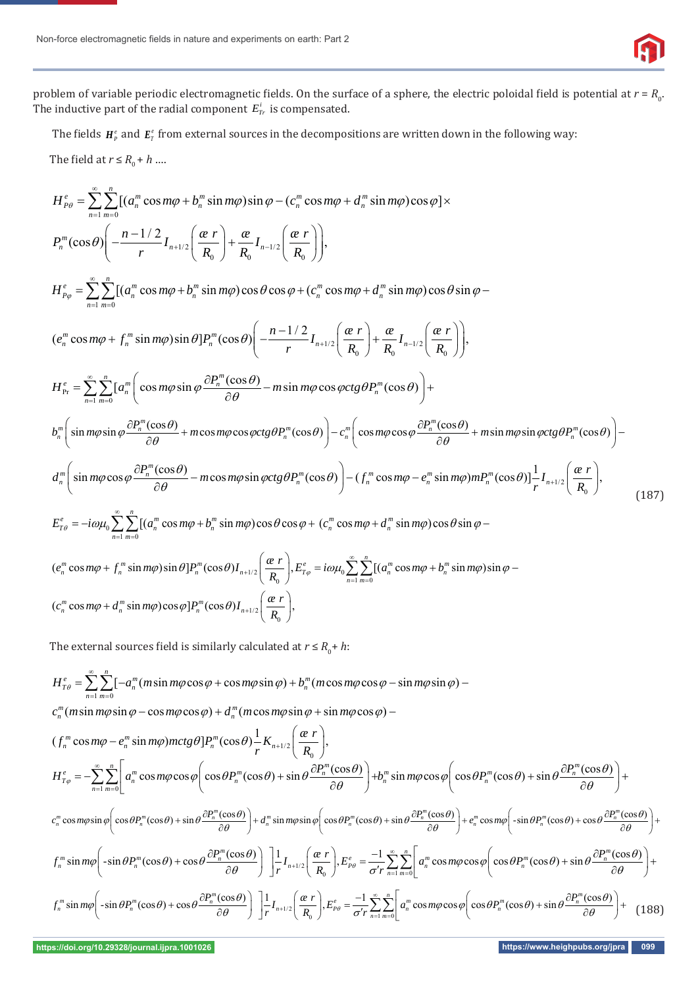problem of variable periodic electromagnetic fields. On the surface of a sphere, the electric poloidal field is potential at  $r = R_0$ . The inductive part of the radial component  $E_{Tr}^i$  is compensated.

The fields  $H^e$  and  $E^e$  from external sources in the decompositions are written down in the following way:

The field at  $r \leq R_0 + h$  ....

$$
H_{p\theta}^{e} = \sum_{n=1}^{\infty} \sum_{m=0}^{n} [(a_{n}^{m} \cos m\varphi + b_{n}^{m} \sin m\varphi) \sin \varphi - (c_{n}^{m} \cos m\varphi + d_{n}^{m} \sin m\varphi) \cos \varphi] \times
$$
  
\n
$$
P_{n}^{m}(\cos \theta) \Biggl( -\frac{n-1/2}{r} I_{n+1/2} \Biggl( \frac{\alpha r}{R_{0}} \Biggr) + \frac{\alpha}{R_{0}} I_{n-1/2} \Biggl( \frac{\alpha r}{R_{0}} \Biggr) \Biggr),
$$
  
\n
$$
H_{p\varphi}^{e} = \sum_{n=1}^{\infty} \sum_{m=0}^{n} [(a_{n}^{m} \cos m\varphi + b_{n}^{m} \sin m\varphi) \cos \theta \cos \varphi + (c_{n}^{m} \cos m\varphi + d_{n}^{m} \sin m\varphi) \cos \theta \sin \varphi -
$$
  
\n
$$
(e_{n}^{m} \cos m\varphi + f_{n}^{m} \sin m\varphi) \sin \theta] P_{n}^{m}(\cos \theta) \Biggl( -\frac{n-1/2}{r} I_{n+1/2} \Biggl( \frac{\alpha r}{R_{0}} \Biggr) + \frac{\alpha}{R_{0}} I_{n-1/2} \Biggl( \frac{\alpha r}{R_{0}} \Biggr) \Biggr),
$$
  
\n
$$
H_{p_{r}}^{e} = \sum_{n=1}^{\infty} \sum_{m=0}^{n} [a_{n}^{m} \Biggl( \cos m\varphi \sin \varphi \frac{\partial P_{n}^{m}(\cos \theta)}{\partial \theta} - m \sin m\varphi \cos \varphi ctg \theta P_{n}^{m}(\cos \theta) \Biggr) +
$$
  
\n
$$
H_{n}^{m} \Biggl( \sin m\varphi \sin \varphi \frac{\partial P_{n}^{m}(\cos \theta)}{\partial \theta} + m \cos m\varphi \cos \varphi ctg \theta P_{n}^{m}(\cos \theta) \Biggr) - c_{n}^{m} \Biggl( \cos m\varphi \cos \varphi \frac{\partial P_{n}^{m}(\cos \theta)}{\partial \theta} + m \sin m\varphi \sin \varphi ctg \theta P_{n}^{m}(\cos \theta) \Biggr) -
$$

$$
(e_n^m \cos m\varphi + f_n^m \sin m\varphi) \sin \theta] P_n^m(\cos \theta) I_{n+1/2} \left( \frac{\alpha r}{R_0} \right), E_{T\varphi}^e = i\omega \mu_0 \sum_{n=1}^{\infty} \sum_{m=0}^n \left[ \left( a_n^m \cos m\varphi + b_n^m \sin m\varphi \right) \sin \varphi - \left( c_n^m \cos m\varphi + d_n^m \sin m\varphi \right) \cos \varphi \right] P_n^m(\cos \theta) I_{n+1/2} \left( \frac{\alpha r}{R_0} \right),
$$

The external sources field is similarly calculated at  $r \leq R_0 + h$ :

$$
H_{\tau\theta}^{\epsilon} = \sum_{n=1}^{\infty} \sum_{m=0}^{n} [-a_n^m(m\sin m\varphi\cos\varphi + \cos m\varphi\sin\varphi) + b_n^m(m\cos m\varphi\cos\varphi - \sin m\varphi\sin\varphi) -
$$
  
\n
$$
c_n^m(m\sin m\varphi\sin\varphi - \cos m\varphi\cos\varphi) + d_n^m(m\cos m\varphi\sin\varphi + \sin m\varphi\cos\varphi) -
$$
  
\n
$$
(f_n^m \cos m\varphi - e_n^m \sin m\varphi) mctg\theta]P_n^m(\cos\theta) \frac{1}{r} K_{n+1/2} \left(\frac{\varphi r}{R_0}\right),
$$
  
\n
$$
H_{\tau\varphi}^{\epsilon} = -\sum_{n=1}^{\infty} \sum_{m=0}^n \left[ a_n^m \cos m\varphi\cos\varphi \left(\cos\theta P_n^m(\cos\theta) + \sin\theta \frac{\partial P_n^m(\cos\theta)}{\partial\theta}\right) + b_n^m \sin m\varphi\cos\varphi \left(\cos\theta P_n^m(\cos\theta) + \sin\theta \frac{\partial P_n^m(\cos\theta)}{\partial\theta}\right) + c_n^m \cos m\varphi \left(\cos\theta P_n^m(\cos\theta) + \sin\theta \frac{\partial P_n^m(\cos\theta)}{\partial\theta}\right) +
$$
  
\n
$$
c_n^m \cos m\varphi\sin\varphi \left(\cos\theta P_n^m(\cos\theta) + \sin\theta \frac{\partial P_n^m(\cos\theta)}{\partial\theta}\right) + d_n^m \sin m\varphi\sin\varphi \left(\cos\theta P_n^m(\cos\theta) + \sin\theta \frac{\partial P_n^m(\cos\theta)}{\partial\theta}\right) + e_n^m \cos m\varphi \left(-\sin\theta P_n^m(\cos\theta) + \cos\theta \frac{\partial P_n^m(\cos\theta)}{\partial\theta}\right) +
$$
  
\n
$$
f_n^m \sin m\varphi \left(-\sin\theta P_n^m(\cos\theta) + \cos\theta \frac{\partial P_n^m(\cos\theta)}{\partial\theta}\right) \left[ \frac{1}{r} I_{n+1/2} \left(\frac{\varphi r}{R_0}\right), E_{\rho\varphi}^{\epsilon} = \frac{-1}{\sigma} \sum_{n=1}
$$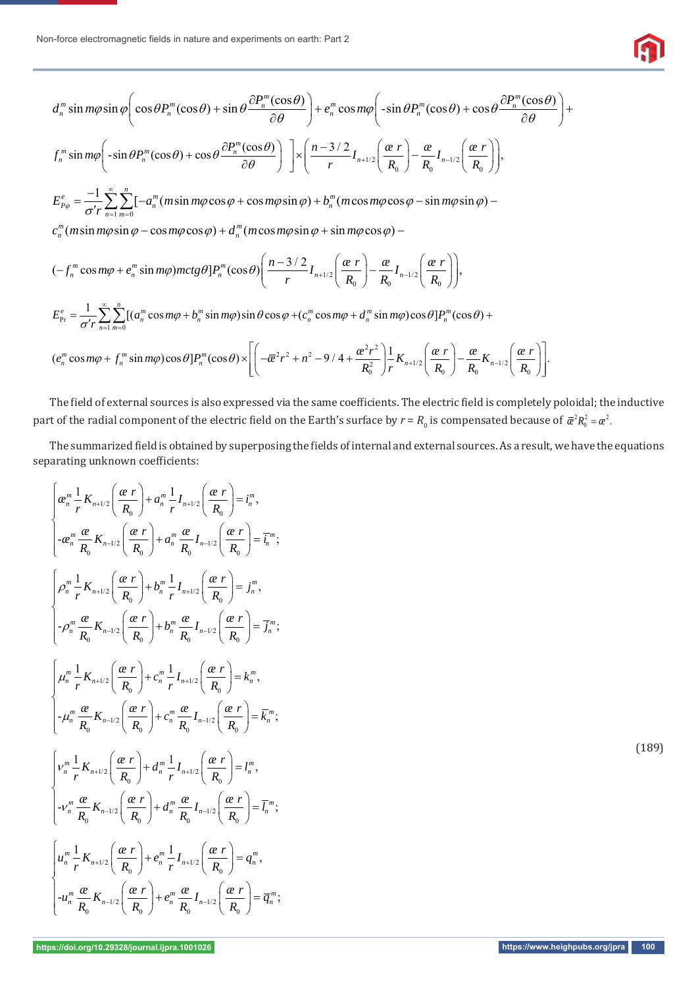

$$
d_n^m \sin m\varphi \sin \varphi \left( \cos \theta P_n^m (\cos \theta) + \sin \theta \frac{\partial P_n^m (\cos \theta)}{\partial \theta} \right) + e_n^m \cos m\varphi \left( -\sin \theta P_n^m (\cos \theta) + \cos \theta \frac{\partial P_n^m (\cos \theta)}{\partial \theta} \right) +
$$
  
\n
$$
f_n^m \sin m\varphi \left( -\sin \theta P_n^m (\cos \theta) + \cos \theta \frac{\partial P_n^m (\cos \theta)}{\partial \theta} \right) \right] \times \left( \frac{n - 3/2}{r} I_{n+1/2} \left( \frac{\alpha r}{R_0} \right) - \frac{\alpha}{R_0} I_{n-1/2} \left( \frac{\alpha r}{R_0} \right) \right),
$$
  
\n
$$
E_{p_\varphi}^e = \frac{-1}{\sigma r} \sum_{n=1}^{\infty} \sum_{m=0}^n [-a_n^m (m \sin m\varphi \cos \varphi + \cos m\varphi \sin \varphi) + b_n^m (m \cos m\varphi \cos \varphi - \sin m\varphi \sin \varphi) -
$$
  
\n
$$
c_n^m (m \sin m\varphi \sin \varphi - \cos m\varphi \cos \varphi) + d_n^m (m \cos m\varphi \sin \varphi + \sin m\varphi \cos \varphi) -
$$
  
\n
$$
(-f_n^m \cos m\varphi + e_n^m \sin m\varphi) mctg \theta] P_n^m (\cos \theta) \left( \frac{n - 3/2}{r} I_{n+1/2} \left( \frac{\alpha r}{R_0} \right) - \frac{\alpha}{R_0} I_{n-1/2} \left( \frac{\alpha r}{R_0} \right) \right),
$$
  
\n
$$
E_{p_r}^e = \frac{1}{\sigma' r} \sum_{n=1}^{\infty} \sum_{m=0}^n [(a_n^m \cos m\varphi + b_n^m \sin m\varphi) \sin \theta \cos \varphi + (c_n^m \cos m\varphi + d_n^m \sin m\varphi) \cos \theta] P_n^m (\cos \theta) +
$$
  
\n
$$
(e_n^m \cos m\varphi + f_n^m \sin m\varphi) \cos \theta] P_n^m (\cos \theta) \times \left[ \left( -\overline{\alpha}^2 r
$$

The field of external sources is also expressed via the same coefficients. The electric field is completely poloidal; the inductive part of the radial component of the electric field on the Earth's surface by  $r$  =  $R_{_0}$  is compensated because of  $\bar\alpha^2R_0^2=\alpha^2$ .

The summarized field is obtained by superposing the fields of internal and external sources. As a result, we have the equations separating unknown coefficients:

$$
\begin{cases}\na_n^m \frac{1}{r} K_{n+1/2} \left( \frac{\alpha r}{R_0} \right) + a_n^m \frac{1}{r} I_{n+1/2} \left( \frac{\alpha r}{R_0} \right) = i_n^m, \\
-a_n^m \frac{\alpha}{R_0} K_{n-1/2} \left( \frac{\alpha r}{R_0} \right) + a_n^m \frac{\alpha}{R_0} I_{n-1/2} \left( \frac{\alpha r}{R_0} \right) = \overline{i_n}^m; \\
\left[ \rho_n^m \frac{1}{r} K_{n+1/2} \left( \frac{\alpha r}{R_0} \right) + b_n^m \frac{1}{r} I_{n+1/2} \left( \frac{\alpha r}{R_0} \right) = j_n^m, \\
\left[ -\rho_n^m \frac{\alpha}{R_0} K_{n-1/2} \left( \frac{\alpha r}{R_0} \right) + b_n^m \frac{\alpha}{R_0} I_{n-1/2} \left( \frac{\alpha r}{R_0} \right) = \overline{j_n}^m; \\
\left[ \mu_n^m \frac{1}{r} K_{n+1/2} \left( \frac{\alpha r}{R_0} \right) + c_n^m \frac{1}{r} I_{n+1/2} \left( \frac{\alpha r}{R_0} \right) = k_n^m, \\
\left[ -\mu_n^m \frac{\alpha}{R_0} K_{n-1/2} \left( \frac{\alpha r}{R_0} \right) + c_n^m \frac{\alpha}{R_0} I_{n-1/2} \left( \frac{\alpha r}{R_0} \right) = \overline{k_n}^m; \\
\left[ \nu_n^m \frac{1}{r} K_{n+1/2} \left( \frac{\alpha r}{R_0} \right) + d_n^m \frac{1}{r} I_{n+1/2} \left( \frac{\alpha r}{R_0} \right) = I_n^m, \\
\left[ -\nu_n^m \frac{\alpha}{R_0} K_{n-1/2} \left( \frac{\alpha r}{R_0} \right) + d_n^m \frac{\alpha}{R_0} I_{n-1/2} \left( \frac{\alpha r}{R_0} \right) = \overline{l_n}^m; \\
\left[ \mu_n^m \frac{1}{r} K_{n+1/2} \left( \frac{\alpha r}{R_0} \right) + e_n^m \frac{1}{r} I_{n+1/2} \left( \frac{\alpha r}{R_0}
$$

(189)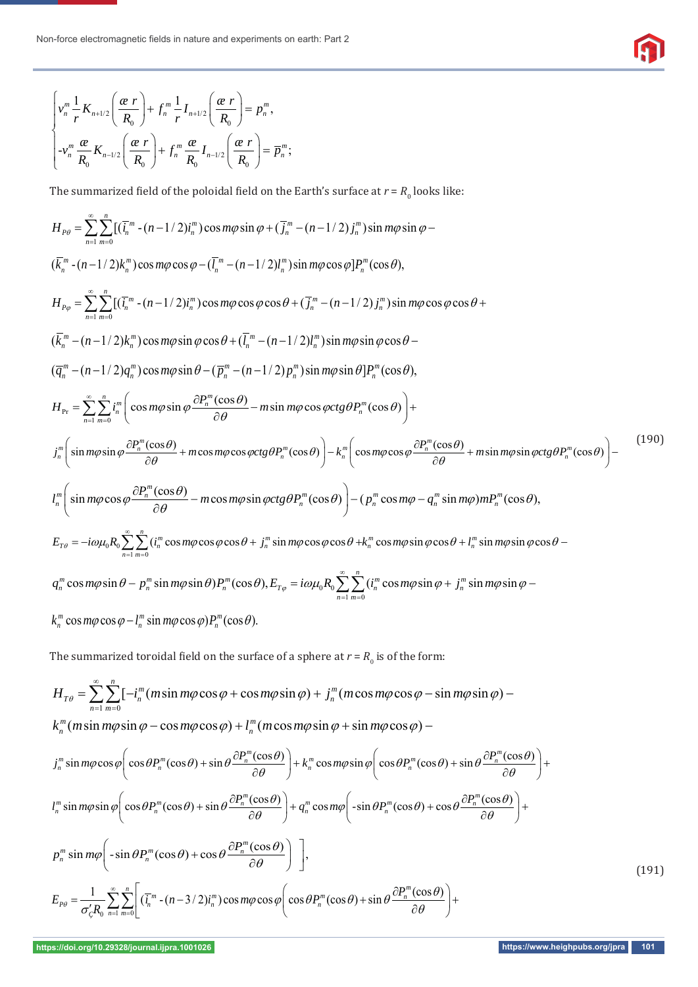$$
\begin{cases} v_n^m \frac{1}{r} K_{n+1/2} \left( \frac{\alpha r}{R_0} \right) + f_n^m \frac{1}{r} I_{n+1/2} \left( \frac{\alpha r}{R_0} \right) = p_n^m, \\ -v_n^m \frac{\alpha}{R_0} K_{n-1/2} \left( \frac{\alpha r}{R_0} \right) + f_n^m \frac{\alpha}{R_0} I_{n-1/2} \left( \frac{\alpha r}{R_0} \right) = \overline{p}_n^m; \end{cases}
$$

The summarized field of the poloidal field on the Earth's surface at  $r = R_0$  looks like:

$$
H_{p\phi} = \sum_{n=1}^{\infty} \sum_{m=0}^{n} [(\bar{l}_{n}^{m} - (n-1/2)l_{n}^{m}) \cos m\phi \sin \phi + (\bar{l}_{n}^{m} - (n-1/2)l_{n}^{m}) \sin m\phi \sin \phi -
$$
  
\n
$$
(\bar{k}_{n}^{m} - (n-1/2)k_{n}^{m}) \cos m\phi \cos \phi - (\bar{l}_{n}^{m} - (n-1/2)l_{n}^{m}) \sin m\phi \cos \phi]P_{n}^{m}(\cos \theta),
$$
  
\n
$$
H_{p\phi} = \sum_{n=1}^{\infty} \sum_{m=0}^{n} [(\bar{l}_{n}^{m} - (n-1/2)l_{n}^{m}) \cos m\phi \cos \phi \cos \theta + (\bar{l}_{n}^{m} - (n-1/2)l_{n}^{m}) \sin m\phi \cos \phi \cos \theta +
$$
  
\n
$$
(\bar{k}_{n}^{m} - (n-1/2)k_{n}^{m}) \cos m\phi \sin \phi \cos \theta + (\bar{l}_{n}^{m} - (n-1/2)l_{n}^{m}) \sin m\phi \sin \phi \cos \theta -
$$
  
\n
$$
(\bar{q}_{n}^{m} - (n-1/2)q_{n}^{m}) \cos m\phi \sin \theta - (\bar{p}_{n}^{m} - (n-1/2)l_{n}^{m}) \sin m\phi \sin \theta]P_{n}^{m}(\cos \theta),
$$
  
\n
$$
H_{p_{\tau}} = \sum_{n=1}^{\infty} \sum_{m=0}^{n} i_{n}^{m} \Bigg( \cos m\phi \sin \phi \frac{\partial P_{n}^{m}(\cos \theta)}{\partial \theta} - m \sin m\phi \cos \phi \cos \theta \sin \theta \Bigg) +
$$
  
\n
$$
J_{n}^{m} \Bigg( \sin m\phi \sin \phi \frac{\partial P_{n}^{m}(\cos \theta)}{\partial \theta} + m \cos m\phi \cos \phi \cos \theta \sin \phi \cos \theta \Bigg) - k_{n}^{m} \Bigg( \cos m\phi \cos \phi \frac{\partial P_{n}^{m}(\cos \theta)}{\partial \theta} + m \sin m\phi \sin \phi \cos \theta \Bigg) -
$$
  
\n
$$
I_{n}^{m} \
$$

The summarized toroidal field on the surface of a sphere at  $r = R_0$  is of the form:

$$
H_{T\theta} = \sum_{n=1}^{\infty} \sum_{m=0}^{n} [-i_n^m (m\sin m\varphi \cos \varphi + \cos m\varphi \sin \varphi) + j_n^m (m\cos m\varphi \cos \varphi - \sin m\varphi \sin \varphi) -
$$
  
\n
$$
k_n^m (m\sin m\varphi \sin \varphi - \cos m\varphi \cos \varphi) + l_n^m (m\cos m\varphi \sin \varphi + \sin m\varphi \cos \varphi) -
$$
  
\n
$$
j_n^m \sin m\varphi \cos \varphi \bigg( \cos \theta P_n^m(\cos \theta) + \sin \theta \frac{\partial P_n^m(\cos \theta)}{\partial \theta} \bigg) + k_n^m \cos m\varphi \sin \varphi \bigg( \cos \theta P_n^m(\cos \theta) + \sin \theta \frac{\partial P_n^m(\cos \theta)}{\partial \theta} \bigg) +
$$
  
\n
$$
l_n^m \sin m\varphi \sin \varphi \bigg( \cos \theta P_n^m(\cos \theta) + \sin \theta \frac{\partial P_n^m(\cos \theta)}{\partial \theta} \bigg) + q_n^m \cos m\varphi \bigg( -\sin \theta P_n^m(\cos \theta) + \cos \theta \frac{\partial P_n^m(\cos \theta)}{\partial \theta} \bigg) +
$$
  
\n
$$
P_n^m \sin m\varphi \bigg( -\sin \theta P_n^m(\cos \theta) + \cos \theta \frac{\partial P_n^m(\cos \theta)}{\partial \theta} \bigg) \bigg],
$$
  
\n
$$
E_{P\theta} = \frac{1}{\sigma'_{\xi} R_0} \sum_{n=1}^{\infty} \sum_{m=0}^{n} \bigg[ (\overline{i_n}^m - (n-3/2)i_n^m) \cos m\varphi \cos \varphi \bigg( \cos \theta P_n^m(\cos \theta) + \sin \theta \frac{\partial P_n^m(\cos \theta)}{\partial \theta} \bigg) +
$$
  
\n(191)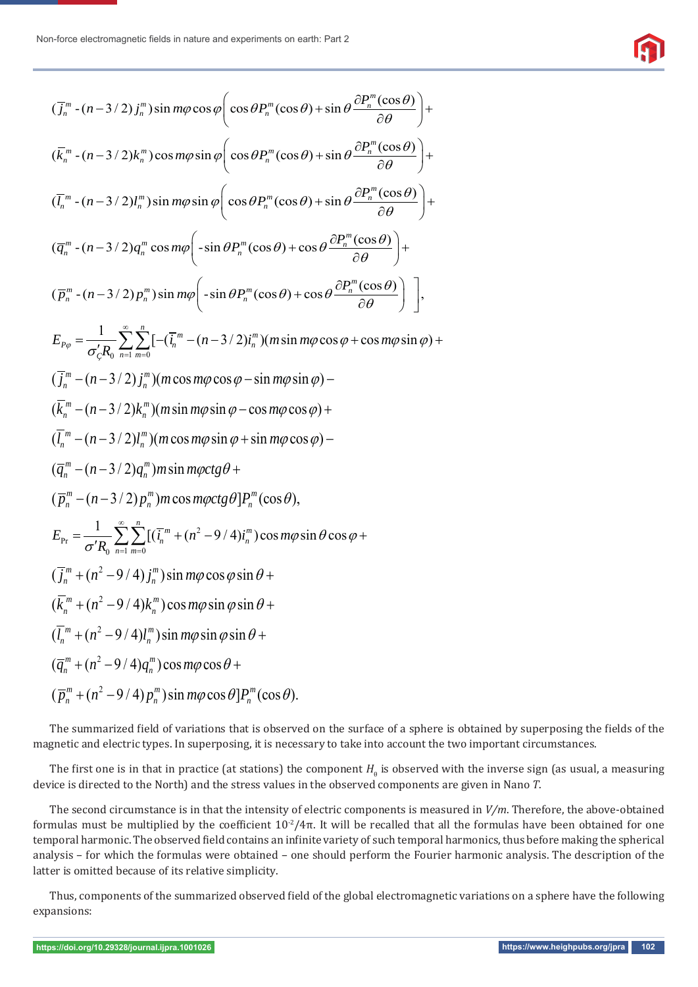$$
\widehat{\mathbf{G}}
$$

$$
(\overline{j_n}^m - (n-3/2)\overline{j_n}^m) \sin m\varphi \cos \varphi \left( \cos \theta P_n^m(\cos \theta) + \sin \theta \frac{\partial P_n^m(\cos \theta)}{\partial \theta} \right) +
$$
  
\n
$$
(\overline{k_n}^m - (n-3/2)k_n^m) \cos m\varphi \sin \varphi \left( \cos \theta P_n^m(\cos \theta) + \sin \theta \frac{\partial P_n^m(\cos \theta)}{\partial \theta} \right) +
$$
  
\n
$$
(\overline{l_n}^m - (n-3/2)l_n^m) \sin m\varphi \sin \varphi \left( \cos \theta P_n^m(\cos \theta) + \sin \theta \frac{\partial P_n^m(\cos \theta)}{\partial \theta} \right) +
$$
  
\n
$$
(\overline{q_n}^m - (n-3/2)q_n^m \cos m\varphi \left( -\sin \theta P_n^m(\cos \theta) + \cos \theta \frac{\partial P_n^m(\cos \theta)}{\partial \theta} \right) +
$$
  
\n
$$
(\overline{p_n}^m - (n-3/2) p_n^m) \sin m\varphi \left( -\sin \theta P_n^m(\cos \theta) + \cos \theta \frac{\partial P_n^m(\cos \theta)}{\partial \theta} \right) +
$$
  
\n
$$
E_{P\varphi} = \frac{1}{\sigma'_{\zeta} R_0} \sum_{n=1}^{\infty} \frac{n}{n-1} [-(n-3/2)l_n^m) (m \sin m\varphi \cos \varphi + \cos m\varphi \sin \varphi) +
$$
  
\n
$$
(\overline{j_n}^m - (n-3/2)l_n^m) (m \cos m\varphi \cos \varphi - \sin m\varphi \sin \varphi) -
$$
  
\n
$$
(\overline{k_n}^m - (n-3/2)l_n^m) (m \cos m\varphi \sin \varphi + \sin m\varphi \cos \varphi) -
$$
  
\n
$$
(\overline{q_n}^m - (n-3/2)l_n^m) m \sin m\varphi ctg \theta +
$$
  
\n
$$
(\overline{P_n}^m - (n-3/2)l_n^m) m \cos m\varphi ctg \theta] P_n^m(\cos \theta),
$$
  
\n
$$
E_{P\tau} = \frac{
$$

The summarized field of variations that is observed on the surface of a sphere is obtained by superposing the fields of the magnetic and electric types. In superposing, it is necessary to take into account the two important circumstances.

The first one is in that in practice (at stations) the component  $H_{\theta}$  is observed with the inverse sign (as usual, a measuring device is directed to the North) and the stress values in the observed components are given in Nano *T*.

The second circumstance is in that the intensity of electric components is measured in *V/m*. Therefore, the above-obtained formulas must be multiplied by the coefficient  $10^{-2}/4\pi$ . It will be recalled that all the formulas have been obtained for one temporal harmonic. The observed field contains an infinite variety of such temporal harmonics, thus before making the spherical analysis – for which the formulas were obtained – one should perform the Fourier harmonic analysis. The description of the latter is omitted because of its relative simplicity.

Thus, components of the summarized observed field of the global electromagnetic variations on a sphere have the following expansions: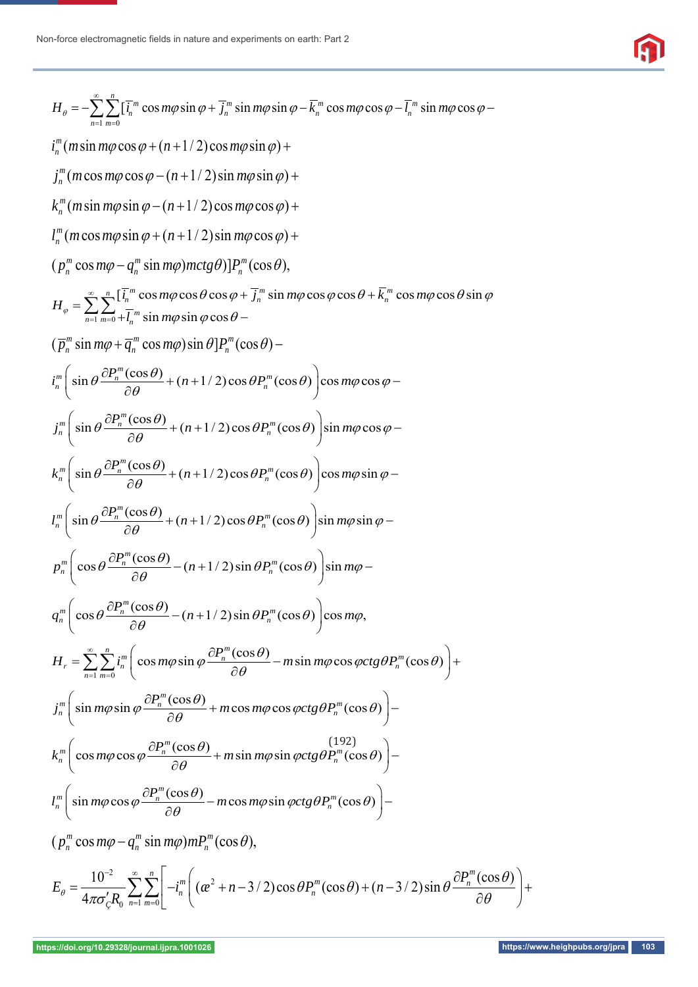

$$
H_{\theta} = -\sum_{n=1}^{\infty} \sum_{n=1}^{\infty} [\bar{L}_{n}^{m} \cos m\varphi \sin \varphi + \bar{L}_{n}^{m} \sin m\varphi \sin \varphi - \bar{k}_{n}^{m} \cos m\varphi \cos \varphi - \bar{L}_{n}^{m} \sin m\varphi \cos \varphi - \bar{k}_{n}^{m} (m \sin m\varphi \cos \varphi + (n+1/2) \cos m\varphi \sin \varphi) +
$$
  
\n
$$
j_{n}^{m} (m \cos m\varphi \cos \varphi - (n+1/2) \sin m\varphi \sin \varphi) +
$$
\n
$$
k_{n}^{m} (m \sin m\varphi \sin \varphi - (n+1/2) \sin m\varphi \cos \varphi) +
$$
\n
$$
[p_{n}^{m} (\cos m\varphi - q_{n}^{m} \sin m\varphi) mctg \vartheta)]P_{n}^{m} (\cos \theta),
$$
\n
$$
H_{\phi} = \sum_{n=1}^{\infty} \sum_{n=1}^{\infty} [\bar{L}_{n}^{m} \cos m\varphi \cos \theta \cos \varphi + \bar{j}_{n}^{m} \sin m\varphi \cos \varphi \cos \varphi + \bar{k}_{n}^{m} \cos m\varphi \cos \vartheta \sin \varphi
$$
\n
$$
[p_{n}^{m} \sin m\varphi + \bar{q}_{n}^{m} \cos m\varphi \sin \varphi]P_{n}^{m} (\cos \theta).
$$
\n
$$
j_{n}^{m} \left( \sin \theta \frac{\partial P_{n}^{m} (\cos \theta)}{\partial \theta} + (n+1/2) \cos \theta P_{n}^{m} (\cos \theta) \right) \cos m\varphi \cos \varphi -
$$
\n
$$
j_{n}^{m} \left( \sin \theta \frac{\partial P_{n}^{m} (\cos \theta)}{\partial \theta} + (n+1/2) \cos \theta P_{n}^{m} (\cos \theta) \right) \sin m\varphi \cos \varphi -
$$
\n
$$
k_{n}^{m} \left( \sin \theta \frac{\partial P_{n}^{m} (\cos \theta)}{\partial \theta} + (n+1/2) \cos \theta P_{n}^{m} (\cos \theta) \right) \sin m\varphi \cos \varphi -
$$
\n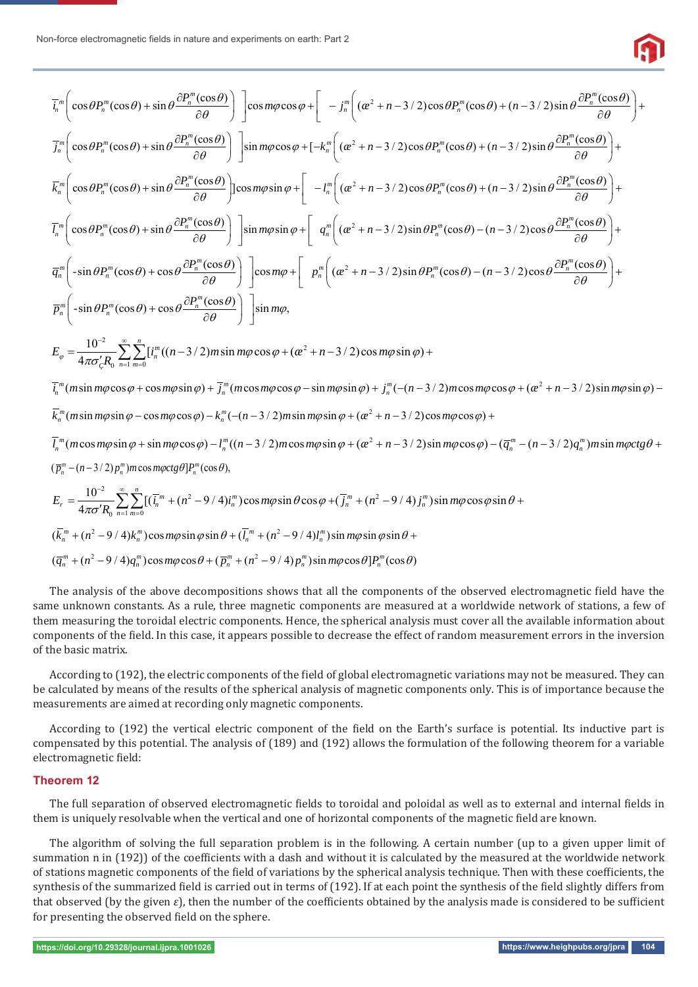

$$
\overline{l_n}^m \Bigg( \cos \theta P_n^m(\cos \theta) + \sin \theta \frac{\partial P_n^m(\cos \theta)}{\partial \theta} \Bigg) \Bigg] \cos m\varphi \cos \varphi + \Bigg[ -j_n^m \Big( (\alpha^2 + n - 3/2) \cos \theta P_n^m(\cos \theta) + (n - 3/2) \sin \theta \frac{\partial P_n^m(\cos \theta)}{\partial \theta} \Bigg) +
$$
  
\n
$$
\overline{l_n}^m \Bigg( \cos \theta P_n^m(\cos \theta) + \sin \theta \frac{\partial P_n^m(\cos \theta)}{\partial \theta} \Bigg) \Bigg] \sin m\varphi \cos \varphi + [-k_n^m \Big( (\alpha^2 + n - 3/2) \cos \theta P_n^m(\cos \theta) + (n - 3/2) \sin \theta \frac{\partial P_n^m(\cos \theta)}{\partial \theta} \Bigg) +
$$
  
\n
$$
\overline{k_n}^m \Bigg( \cos \theta P_n^m(\cos \theta) + \sin \theta \frac{\partial P_n^m(\cos \theta)}{\partial \theta} \Bigg) \Bigg] \cos m\varphi \sin \varphi + \Bigg[ -l_n^m \Big( (\alpha^2 + n - 3/2) \cos \theta P_n^m(\cos \theta) + (n - 3/2) \sin \theta \frac{\partial P_n^m(\cos \theta)}{\partial \theta} \Bigg) +
$$
  
\n
$$
\overline{l_n}^m \Bigg( -\sin \theta P_n^m(\cos \theta) + \cos \theta \frac{\partial P_n^m(\cos \theta)}{\partial \theta} \Bigg) \Bigg] \sin m\varphi \sin \varphi + \Bigg[ \theta_n^m \Big( (\alpha^2 + n - 3/2) \sin \theta P_n^m(\cos \theta) - (n - 3/2) \cos \theta \frac{\partial P_n^m(\cos \theta)}{\partial \theta} \Bigg) +
$$
  
\n
$$
\overline{q}_n^m \Bigg( -\sin \theta P_n^m(\cos \theta) + \cos \theta \frac{\partial P_n^m(\cos \theta)}{\partial \theta} \Bigg) \Bigg] \cos m\varphi + \Bigg[ \rho_n^m \Big( (\alpha^2 + n - 3/2) \sin \theta P_n^m(\cos \theta) - (n - 3/2) \cos \theta \frac{\partial P_n^m(\cos \theta)}{\partial \theta} \Bigg) +
$$
  
\n
$$
\overline{P}_
$$

The analysis of the above decompositions shows that all the components of the observed electromagnetic field have the same unknown constants. As a rule, three magnetic components are measured at a worldwide network of stations, a few of them measuring the toroidal electric components. Hence, the spherical analysis must cover all the available information about components of the field. In this case, it appears possible to decrease the effect of random measurement errors in the inversion of the basic matrix.

According to (192), the electric components of the field of global electromagnetic variations may not be measured. They can be calculated by means of the results of the spherical analysis of magnetic components only. This is of importance because the measurements are aimed at recording only magnetic components.

According to (192) the vertical electric component of the field on the Earth's surface is potential. Its inductive part is compensated by this potential. The analysis of (189) and (192) allows the formulation of the following theorem for a variable electromagnetic field:

#### **Theorem 12**

The full separation of observed electromagnetic fields to toroidal and poloidal as well as to external and internal fields in them is uniquely resolvable when the vertical and one of horizontal components of the magnetic field are known.

The algorithm of solving the full separation problem is in the following. A certain number (up to a given upper limit of summation n in (192)) of the coefficients with a dash and without it is calculated by the measured at the worldwide network of stations magnetic components of the field of variations by the spherical analysis technique. Then with these coefficients, the synthesis of the summarized field is carried out in terms of (192). If at each point the synthesis of the field slightly differs from that observed (by the given  $\varepsilon$ ), then the number of the coefficients obtained by the analysis made is considered to be sufficient for presenting the observed field on the sphere.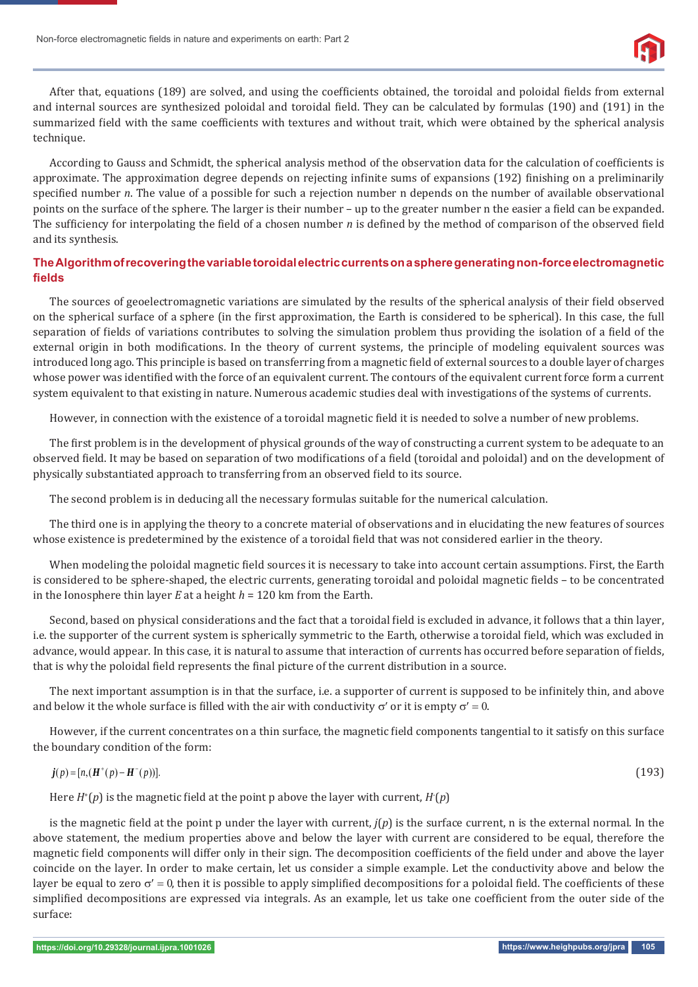Non-force electromagnetic fields in nature and experiments on earth: Part 2



After that, equations (189) are solved, and using the coefficients obtained, the toroidal and poloidal fields from external and internal sources are synthesized poloidal and toroidal field. They can be calculated by formulas (190) and (191) in the summarized field with the same coefficients with textures and without trait, which were obtained by the spherical analysis technique.

According to Gauss and Schmidt, the spherical analysis method of the observation data for the calculation of coefficients is approximate. The approximation degree depends on rejecting infinite sums of expansions (192) finishing on a preliminarily specified number *n*. The value of a possible for such a rejection number n depends on the number of available observational points on the surface of the sphere. The larger is their number – up to the greater number n the easier a field can be expanded. The sufficiency for interpolating the field of a chosen number *n* is defined by the method of comparison of the observed field and its synthesis.

## **The Algorithm of recovering the variable toroidal electric currents on a sphere generating non-force electromagnetic fi elds**

The sources of geoelectromagnetic variations are simulated by the results of the spherical analysis of their field observed on the spherical surface of a sphere (in the ϐirst approximation, the Earth is considered to be spherical). In this case, the full separation of fields of variations contributes to solving the simulation problem thus providing the isolation of a field of the external origin in both modifications. In the theory of current systems, the principle of modeling equivalent sources was introduced long ago. This principle is based on transferring from a magnetic field of external sources to a double layer of charges whose power was identified with the force of an equivalent current. The contours of the equivalent current force form a current system equivalent to that existing in nature. Numerous academic studies deal with investigations of the systems of currents.

However, in connection with the existence of a toroidal magnetic field it is needed to solve a number of new problems.

The first problem is in the development of physical grounds of the way of constructing a current system to be adequate to an observed field. It may be based on separation of two modifications of a field (toroidal and poloidal) and on the development of physically substantiated approach to transferring from an observed field to its source.

The second problem is in deducing all the necessary formulas suitable for the numerical calculation.

The third one is in applying the theory to a concrete material of observations and in elucidating the new features of sources whose existence is predetermined by the existence of a toroidal field that was not considered earlier in the theory.

When modeling the poloidal magnetic field sources it is necessary to take into account certain assumptions. First, the Earth is considered to be sphere-shaped, the electric currents, generating toroidal and poloidal magnetic fields – to be concentrated in the Ionosphere thin layer *E* at a height *h* = 120 km from the Earth.

Second, based on physical considerations and the fact that a toroidal field is excluded in advance, it follows that a thin layer, i.e. the supporter of the current system is spherically symmetric to the Earth, otherwise a toroidal field, which was excluded in advance, would appear. In this case, it is natural to assume that interaction of currents has occurred before separation of fields, that is why the poloidal field represents the final picture of the current distribution in a source.

The next important assumption is in that the surface, i.e. a supporter of current is supposed to be infinitely thin, and above and below it the whole surface is filled with the air with conductivity  $\sigma'$  or it is empty  $\sigma' = 0$ .

However, if the current concentrates on a thin surface, the magnetic field components tangential to it satisfy on this surface the boundary condition of the form:

$$
j(p) = [n,(H^+(p) - H^-(p))].
$$
\n(193)

Here  $H^*(p)$  is the magnetic field at the point p above the layer with current,  $H^*(p)$ 

is the magnetic field at the point p under the layer with current,  $j(p)$  is the surface current, n is the external normal. In the above statement, the medium properties above and below the layer with current are considered to be equal, therefore the magnetic field components will differ only in their sign. The decomposition coefficients of the field under and above the layer coincide on the layer. In order to make certain, let us consider a simple example. Let the conductivity above and below the layer be equal to zero  $\sigma' = 0$ , then it is possible to apply simplified decompositions for a poloidal field. The coefficients of these simplified decompositions are expressed via integrals. As an example, let us take one coefficient from the outer side of the surface: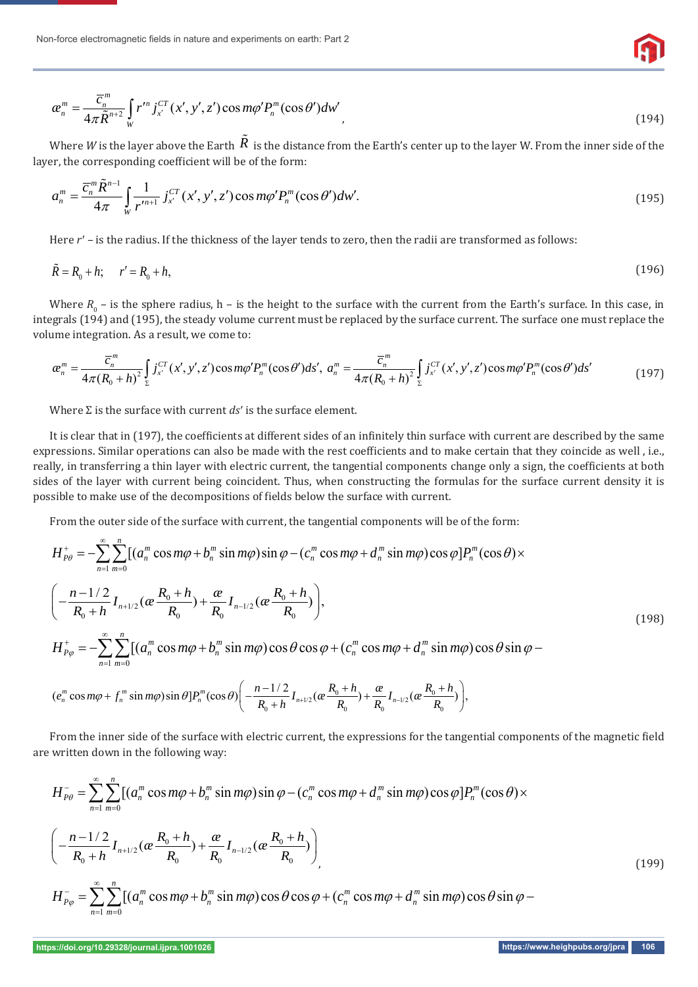

$$
\alpha_n^m = \frac{\overline{c}_n^m}{4\pi \widetilde{R}^{n+2}} \int_W r^m j_x^{CT}(x', y', z') \cos m\varphi' P_n^m(\cos \theta') dw', \qquad (194)
$$

Where *W* is the layer above the Earth  $R$  is the distance from the Earth's center up to the layer W. From the inner side of the layer, the corresponding coefficient will be of the form:

$$
a_n^m = \frac{\overline{c}_n^m \tilde{R}^{n-1}}{4\pi} \int_{W} \frac{1}{r^{m+1}} j_{x'}^{CT}(x', y', z') \cos m\varphi' P_n^m(\cos \theta') dw'. \tag{195}
$$

Here *r'* – is the radius. If the thickness of the layer tends to zero, then the radii are transformed as follows:

$$
\tilde{R} = R_0 + h; \qquad r' = R_0 + h,\tag{196}
$$

Where  $R_{0}$  – is the sphere radius, h – is the height to the surface with the current from the Earth's surface. In this case, in integrals (194) and (195), the steady volume current must be replaced by the surface current. The surface one must replace the volume integration. As a result, we come to:

$$
\alpha_n^m = \frac{\overline{c}_n^m}{4\pi (R_0 + h)^2} \int_{\Sigma} j_{x'}^{CT}(x', y', z') \cos m\varphi' P_n^m(\cos \theta') ds', \ a_n^m = \frac{\overline{c}_n^m}{4\pi (R_0 + h)^2} \int_{\Sigma} j_{x'}^{CT}(x', y', z') \cos m\varphi' P_n^m(\cos \theta') ds' \tag{197}
$$

Where  $\Sigma$  is the surface with current *ds'* is the surface element.

It is clear that in (197), the coefficients at different sides of an infinitely thin surface with current are described by the same expressions. Similar operations can also be made with the rest coefficients and to make certain that they coincide as well, i.e., really, in transferring a thin layer with electric current, the tangential components change only a sign, the coefficients at both sides of the layer with current being coincident. Thus, when constructing the formulas for the surface current density it is possible to make use of the decompositions of fields below the surface with current.

From the outer side of the surface with current, the tangential components will be of the form:

$$
H_{p\theta}^{+} = -\sum_{n=1}^{\infty} \sum_{m=0}^{n} [(a_{n}^{m} \cos m\varphi + b_{n}^{m} \sin m\varphi) \sin \varphi - (c_{n}^{m} \cos m\varphi + d_{n}^{m} \sin m\varphi) \cos \varphi] P_{n}^{m}(\cos \theta) \times
$$
  

$$
\left( -\frac{n-1/2}{R_{0}+h} I_{n+1/2}(\alpha \frac{R_{0}+h}{R_{0}}) + \frac{\alpha}{R_{0}} I_{n-1/2}(\alpha \frac{R_{0}+h}{R_{0}}) \right),
$$
  

$$
H_{p\varphi}^{+} = -\sum_{n=1}^{\infty} \sum_{m=0}^{n} [(a_{n}^{m} \cos m\varphi + b_{n}^{m} \sin m\varphi) \cos \theta \cos \varphi + (c_{n}^{m} \cos m\varphi + d_{n}^{m} \sin m\varphi) \cos \theta \sin \varphi -
$$
  

$$
\left( -\frac{n-1/2}{R_{0}+h} - \frac{R_{0}}{R_{0}} + h \right)
$$
  

$$
\left( -\frac{n-1/2}{R_{0}+h} - \frac{R_{0}}{R_{0}} + h \right)
$$
  
(198)

$$
(e_n^m \cos m\varphi + f_n^m \sin m\varphi) \sin \theta] P_n^m(\cos \theta) \bigg( -\frac{n-1/2}{R_0+h} I_{n+1/2} (a \frac{R_0+h}{R_0}) + \frac{a}{R_0} I_{n-1/2} (a \frac{R_0+h}{R_0}) \bigg),
$$

From the inner side of the surface with electric current, the expressions for the tangential components of the magnetic field are written down in the following way:

$$
H_{P\theta}^{-} = \sum_{n=1}^{\infty} \sum_{m=0}^{n} \left[ (a_{n}^{m} \cos m\varphi + b_{n}^{m} \sin m\varphi) \sin \varphi - (c_{n}^{m} \cos m\varphi + d_{n}^{m} \sin m\varphi) \cos \varphi \right] P_{n}^{m}(\cos \theta) \times
$$
  

$$
\left( -\frac{n-1/2}{R_{0}+h} I_{n+1/2}(\alpha \frac{R_{0}+h}{R_{0}}) + \frac{\alpha}{R_{0}} I_{n-1/2}(\alpha \frac{R_{0}+h}{R_{0}}) \right)
$$

$$
H_{P\varphi}^{-} = \sum_{n=1}^{\infty} \sum_{m=0}^{n} \left[ (a_{n}^{m} \cos m\varphi + b_{n}^{m} \sin m\varphi) \cos \theta \cos \varphi + (c_{n}^{m} \cos m\varphi + d_{n}^{m} \sin m\varphi) \cos \theta \sin \varphi - (c_{n}^{m} \cos m\varphi + d_{n}^{m} \sin m\varphi) \cos \varphi \sin \varphi \right]
$$
(199)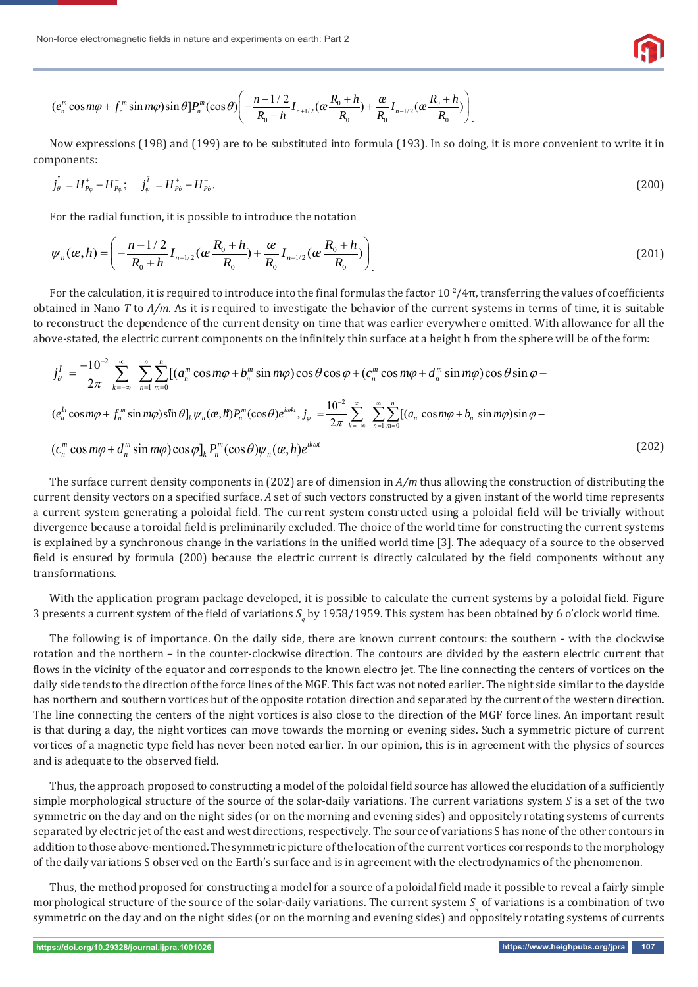

$$
(e_n^m \cos m\varphi + f_n^m \sin m\varphi) \sin \theta] P_n^m(\cos \theta) \left( -\frac{n-1/2}{R_0 + h} I_{n+1/2}(\alpha \frac{R_0 + h}{R_0}) + \frac{\alpha}{R_0} I_{n-1/2}(\alpha \frac{R_0 + h}{R_0}) \right).
$$

Now expressions (198) and (199) are to be substituted into formula (193). In so doing, it is more convenient to write it in components:

$$
j_{\theta}^{\dagger} = H_{P\varphi}^{+} - H_{P\varphi}^{-}; \quad j_{\varphi}^{\dagger} = H_{P\theta}^{+} - H_{P\theta}^{-}.
$$
\n(200)

For the radial function, it is possible to introduce the notation

$$
\psi_n(\alpha, h) = \left( -\frac{n - 1/2}{R_0 + h} I_{n+1/2}(\alpha \frac{R_0 + h}{R_0}) + \frac{\alpha}{R_0} I_{n-1/2}(\alpha \frac{R_0 + h}{R_0}) \right)
$$
(201)

For the calculation, it is required to introduce into the final formulas the factor  $10^{-2}/4\pi$ , transferring the values of coefficients obtained in Nano *T* to *A/m*. As it is required to investigate the behavior of the current systems in terms of time, it is suitable to reconstruct the dependence of the current density on time that was earlier everywhere omitted. With allowance for all the above-stated, the electric current components on the infinitely thin surface at a height h from the sphere will be of the form:

$$
j_{\theta}^{I} = \frac{-10^{-2}}{2\pi} \sum_{k=-\infty}^{\infty} \sum_{n=1}^{\infty} \sum_{m=0}^{n} [(a_{n}^{m} \cos m\varphi + b_{n}^{m} \sin m\varphi) \cos \theta \cos \varphi + (c_{n}^{m} \cos m\varphi + d_{n}^{m} \sin m\varphi) \cos \theta \sin \varphi - (e_{n}^{h} \cos m\varphi + f_{n}^{m} \sin m\varphi) \sin \theta]_{k} \psi_{n}(\alpha, h) P_{n}^{m}(\cos \theta) e^{i\omega kt}, j_{\varphi} = \frac{10^{-2}}{2\pi} \sum_{k=-\infty}^{\infty} \sum_{n=1}^{\infty} \sum_{m=0}^{n} [(a_{n} \cos m\varphi + b_{n} \sin m\varphi) \sin \varphi - (c_{n}^{m} \cos m\varphi + d_{n}^{m} \sin m\varphi) \cos \varphi]_{k} P_{n}^{m}(\cos \theta) \psi_{n}(\alpha, h) e^{ik\omega t}
$$
\n(202)

The surface current density components in (202) are of dimension in *A/m* thus allowing the construction of distributing the current density vectors on a specified surface. A set of such vectors constructed by a given instant of the world time represents a current system generating a poloidal field. The current system constructed using a poloidal field will be trivially without divergence because a toroidal field is preliminarily excluded. The choice of the world time for constructing the current systems is explained by a synchronous change in the variations in the unified world time [3]. The adequacy of a source to the observed field is ensured by formula (200) because the electric current is directly calculated by the field components without any transformations.

With the application program package developed, it is possible to calculate the current systems by a poloidal field. Figure 3 presents a current system of the field of variations  $S_q$  by 1958/1959. This system has been obtained by 6 o'clock world time.

The following is of importance. On the daily side, there are known current contours: the southern - with the clockwise rotation and the northern – in the counter-clockwise direction. The contours are divided by the eastern electric current that flows in the vicinity of the equator and corresponds to the known electro jet. The line connecting the centers of vortices on the daily side tends to the direction of the force lines of the MGF. This fact was not noted earlier. The night side similar to the dayside has northern and southern vortices but of the opposite rotation direction and separated by the current of the western direction. The line connecting the centers of the night vortices is also close to the direction of the MGF force lines. An important result is that during a day, the night vortices can move towards the morning or evening sides. Such a symmetric picture of current vortices of a magnetic type field has never been noted earlier. In our opinion, this is in agreement with the physics of sources and is adequate to the observed field.

Thus, the approach proposed to constructing a model of the poloidal field source has allowed the elucidation of a sufficiently simple morphological structure of the source of the solar-daily variations. The current variations system *S* is a set of the two symmetric on the day and on the night sides (or on the morning and evening sides) and oppositely rotating systems of currents separated by electric jet of the east and west directions, respectively. The source of variations S has none of the other contours in addition to those above-mentioned. The symmetric picture of the location of the current vortices corresponds to the morphology of the daily variations S observed on the Earth's surface and is in agreement with the electrodynamics of the phenomenon.

Thus, the method proposed for constructing a model for a source of a poloidal field made it possible to reveal a fairly simple morphological structure of the source of the solar-daily variations. The current system  $S_q$  of variations is a combination of two symmetric on the day and on the night sides (or on the morning and evening sides) and oppositely rotating systems of currents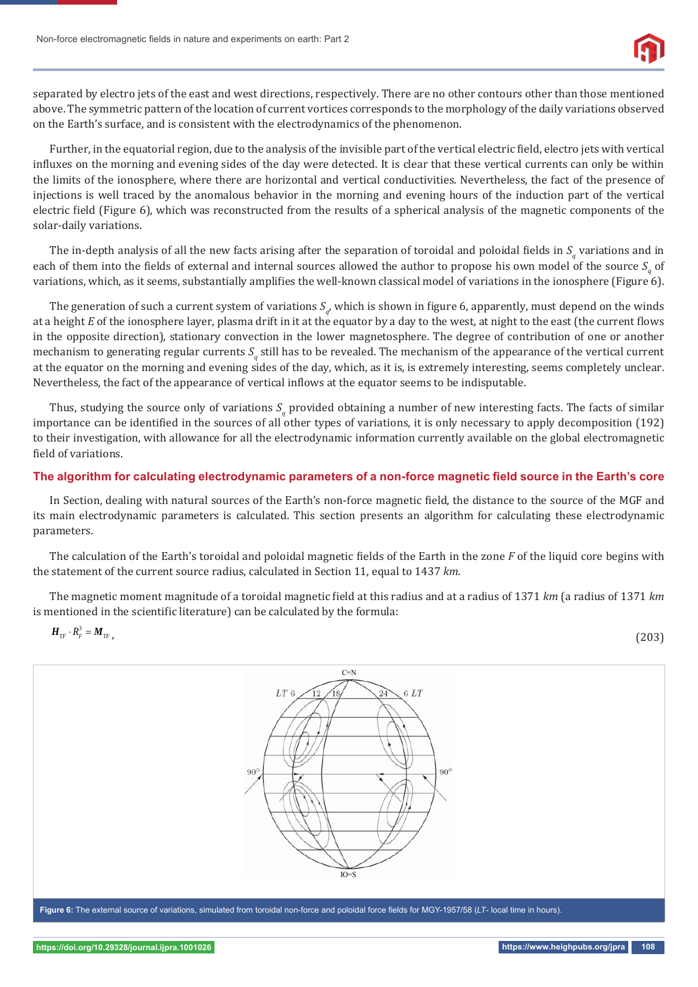Non-force electromagnetic fields in nature and experiments on earth: Part 2



separated by electro jets of the east and west directions, respectively. There are no other contours other than those mentioned above. The symmetric pattern of the location of current vortices corresponds to the morphology of the daily variations observed on the Earth's surface, and is consistent with the electrodynamics of the phenomenon.

Further, in the equatorial region, due to the analysis of the invisible part of the vertical electric field, electro jets with vertical influxes on the morning and evening sides of the day were detected. It is clear that these vertical currents can only be within the limits of the ionosphere, where there are horizontal and vertical conductivities. Nevertheless, the fact of the presence of injections is well traced by the anomalous behavior in the morning and evening hours of the induction part of the vertical electric field (Figure 6), which was reconstructed from the results of a spherical analysis of the magnetic components of the solar-daily variations.

The in-depth analysis of all the new facts arising after the separation of toroidal and poloidal fields in  $S_q$  variations and in each of them into the fields of external and internal sources allowed the author to propose his own model of the source  $S_q$  of variations, which, as it seems, substantially amplifies the well-known classical model of variations in the ionosphere (Figure 6).

The generation of such a current system of variations  $S_q$ , which is shown in figure 6, apparently, must depend on the winds at a height *E* of the ionosphere layer, plasma drift in it at the equator by a day to the west, at night to the east (the current flows in the opposite direction), stationary convection in the lower magnetosphere. The degree of contribution of one or another mechanism to generating regular currents S<sub>q</sub> still has to be revealed. The mechanism of the appearance of the vertical current at the equator on the morning and evening sides of the day, which, as it is, is extremely interesting, seems completely unclear. Nevertheless, the fact of the appearance of vertical inflows at the equator seems to be indisputable.

Thus, studying the source only of variations  $S_q$  provided obtaining a number of new interesting facts. The facts of similar importance can be identified in the sources of all other types of variations, it is only necessary to apply decomposition (192) to their investigation, with allowance for all the electrodynamic information currently available on the global electromagnetic field of variations.

## The algorithm for calculating electrodynamic parameters of a non-force magnetic field source in the Earth's core

In Section, dealing with natural sources of the Earth's non-force magnetic field, the distance to the source of the MGF and its main electrodynamic parameters is calculated. This section presents an algorithm for calculating these electrodynamic parameters.

The calculation of the Earth's toroidal and poloidal magnetic fields of the Earth in the zone *F* of the liquid core begins with the statement of the current source radius, calculated in Section 11, equal to 1437 *km*.

The magnetic moment magnitude of a toroidal magnetic field at this radius and at a radius of 1371 *km* (a radius of 1371 *km* is mentioned in the scientific literature) can be calculated by the formula:

 $H_{T} \cdot R_F^3 = M_{T}$ , (203)

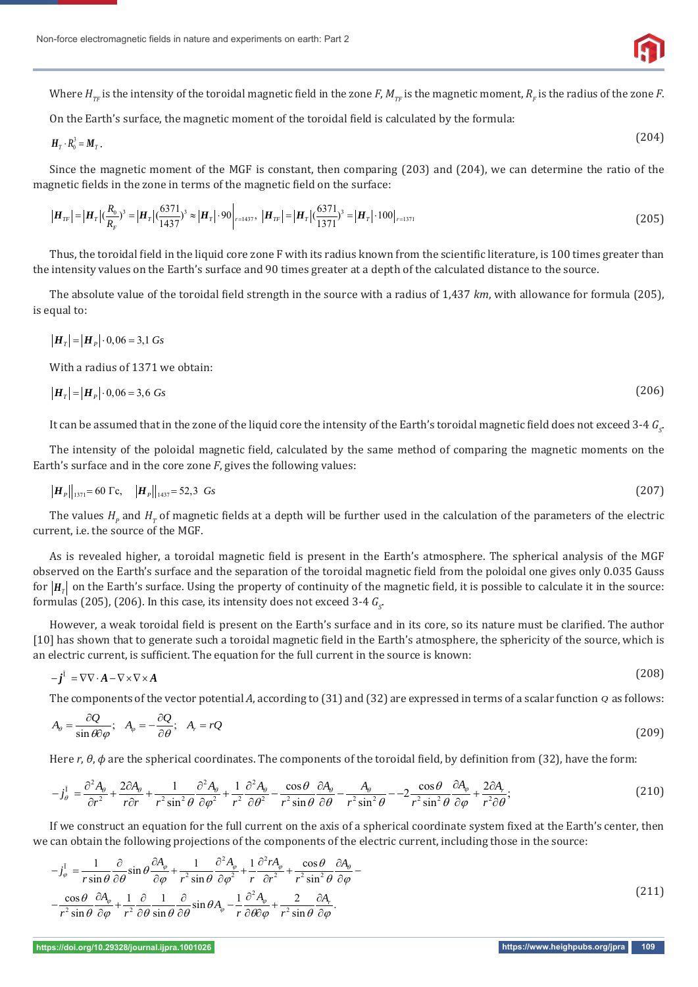

Where  $H_{_{TF}}$  is the intensity of the toroidal magnetic field in the zone  $F$ ,  $M_{_{TF}}$  is the magnetic moment,  $R_{_F}$  is the radius of the zone  $F$ .

On the Earth's surface, the magnetic moment of the toroidal field is calculated by the formula:

$$
H_T \cdot R_0^3 = M_T. \tag{204}
$$

Since the magnetic moment of the MGF is constant, then comparing (203) and (204), we can determine the ratio of the magnetic fields in the zone in terms of the magnetic field on the surface:

$$
|\boldsymbol{H}_{rr}| = |\boldsymbol{H}_r| \left(\frac{R_0}{R_F}\right)^3 = |\boldsymbol{H}_r| \left(\frac{6371}{1437}\right)^3 \approx |\boldsymbol{H}_r| \cdot 90 \Big|_{r=1437}, \ |\boldsymbol{H}_{rr}| = |\boldsymbol{H}_r| \left(\frac{6371}{1371}\right)^3 = |\boldsymbol{H}_r| \cdot 100 \Big|_{r=1371} \tag{205}
$$

Thus, the toroidal field in the liquid core zone F with its radius known from the scientific literature, is 100 times greater than the intensity values on the Earth's surface and 90 times greater at a depth of the calculated distance to the source.

The absolute value of the toroidal field strength in the source with a radius of 1,437 *km*, with allowance for formula (205), is equal to:

$$
\left| \boldsymbol{H}_{T} \right| = \left| \boldsymbol{H}_{P} \right| \cdot 0.06 = 3.1 \text{ Gs}
$$

With a radius of 1371 we obtain:

$$
\left|\boldsymbol{H}_{T}\right| = \left|\boldsymbol{H}_{P}\right| \cdot 0.06 = 3.6 \text{ Gs}
$$
\n<sup>(206)</sup>

It can be assumed that in the zone of the liquid core the intensity of the Earth's toroidal magnetic field does not exceed 3-4  $G_{\!S}$ 

The intensity of the poloidal magnetic field, calculated by the same method of comparing the magnetic moments on the Earth's surface and in the core zone *F*, gives the following values:

$$
|\boldsymbol{H}_P||_{1371} = 60 \text{ Tc}, \quad |\boldsymbol{H}_P||_{1437} = 52,3 \text{ Gs}
$$
 (207)

The values  $H_p$  and  $H_T$  of magnetic fields at a depth will be further used in the calculation of the parameters of the electric current, i.e. the source of the MGF.

As is revealed higher, a toroidal magnetic field is present in the Earth's atmosphere. The spherical analysis of the MGF observed on the Earth's surface and the separation of the toroidal magnetic field from the poloidal one gives only 0.035 Gauss for  $|H_{\tau}|$  on the Earth's surface. Using the property of continuity of the magnetic field, it is possible to calculate it in the source: formulas (205), (206). In this case, its intensity does not exceed 3-4  $G_{\rm s}$ 

However, a weak toroidal field is present on the Earth's surface and in its core, so its nature must be clarified. The author [10] has shown that to generate such a toroidal magnetic field in the Earth's atmosphere, the sphericity of the source, which is an electric current, is sufficient. The equation for the full current in the source is known:

$$
-\boldsymbol{j}^{\mathrm{T}} = \nabla \nabla \cdot \boldsymbol{A} - \nabla \times \nabla \times \boldsymbol{A} \tag{208}
$$

The components of the vector potential *A*, according to (31) and (32) are expressed in terms of a scalar function *Q* as follows:

$$
A_{\theta} = \frac{\partial Q}{\sin \theta \partial \varphi}; \quad A_{\varphi} = -\frac{\partial Q}{\partial \theta}; \quad A_{r} = rQ \tag{209}
$$

Here  $r$ ,  $\theta$ ,  $\phi$  are the spherical coordinates. The components of the toroidal field, by definition from (32), have the form:

$$
-j_{\theta}^{I} = \frac{\partial^{2} A_{\theta}}{\partial r^{2}} + \frac{2\partial A_{\theta}}{r\partial r} + \frac{1}{r^{2}\sin^{2}\theta} \frac{\partial^{2} A_{\theta}}{\partial \varphi^{2}} + \frac{1}{r^{2}} \frac{\partial^{2} A_{\theta}}{\partial \theta^{2}} - \frac{\cos\theta}{r^{2}\sin\theta} \frac{\partial A_{\theta}}{\partial \theta} - \frac{A_{\theta}}{r^{2}\sin^{2}\theta} - 2\frac{\cos\theta}{r^{2}\sin^{2}\theta} \frac{\partial A_{\varphi}}{\partial \varphi} + \frac{2\partial A_{r}}{r^{2}\partial \theta};
$$
\n(210)

If we construct an equation for the full current on the axis of a spherical coordinate system fixed at the Earth's center, then we can obtain the following projections of the components of the electric current, including those in the source:

$$
-j_{\varphi}^{I} = \frac{1}{r \sin \theta} \frac{\partial}{\partial \theta} \sin \theta \frac{\partial A_{\varphi}}{\partial \varphi} + \frac{1}{r^{2} \sin \theta} \frac{\partial^{2} A_{\varphi}}{\partial \varphi^{2}} + \frac{1}{r} \frac{\partial^{2} r A_{\varphi}}{\partial r^{2}} + \frac{\cos \theta}{r^{2} \sin^{2} \theta} \frac{\partial A_{\varphi}}{\partial \varphi} - \frac{\cos \theta}{r^{2} \sin \theta} \frac{\partial A_{\varphi}}{\partial \varphi} + \frac{1}{r^{2} \sin \theta} \frac{\partial}{\partial \varphi} \frac{1}{\sin \theta} \frac{\partial}{\partial \theta} \sin \theta A_{\varphi} - \frac{1}{r} \frac{\partial^{2} A_{\varphi}}{\partial \theta \partial \varphi} + \frac{2}{r^{2} \sin \theta} \frac{\partial A_{\varphi}}{\partial \varphi}.
$$
\n(211)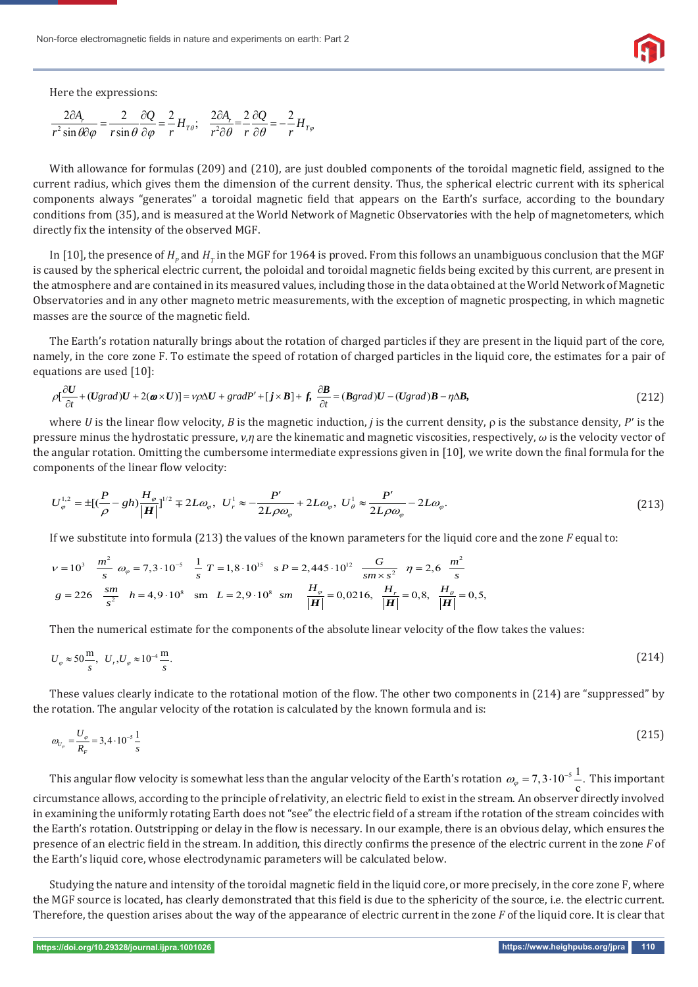Here the expressions:

$$
\frac{2\partial A_r}{r^2 \sin \theta \partial \varphi} = \frac{2}{r \sin \theta} \frac{\partial Q}{\partial \varphi} = \frac{2}{r} H_{T\theta}; \quad \frac{2\partial A_r}{r^2 \partial \theta} = \frac{2}{r} \frac{\partial Q}{\partial \theta} = -\frac{2}{r} H_{T\varphi}
$$

With allowance for formulas (209) and (210), are just doubled components of the toroidal magnetic field, assigned to the current radius, which gives them the dimension of the current density. Thus, the spherical electric current with its spherical components always "generates" a toroidal magnetic field that appears on the Earth's surface, according to the boundary conditions from (35), and is measured at the World Network of Magnetic Observatories with the help of magnetometers, which directly fix the intensity of the observed MGF.

In [10], the presence of  $H_p$  and  $H_\tau$  in the MGF for 1964 is proved. From this follows an unambiguous conclusion that the MGF is caused by the spherical electric current, the poloidal and toroidal magnetic fields being excited by this current, are present in the atmosphere and are contained in its measured values, including those in the data obtained at the World Network of Magnetic Observatories and in any other magneto metric measurements, with the exception of magnetic prospecting, in which magnetic masses are the source of the magnetic field.

The Earth's rotation naturally brings about the rotation of charged particles if they are present in the liquid part of the core, namely, in the core zone F. To estimate the speed of rotation of charged particles in the liquid core, the estimates for a pair of equations are used [10]:

$$
\rho[\frac{\partial U}{\partial t} + (Ugrad)U + 2(\boldsymbol{\omega} \times U)] = v\rho \Delta U + gradP' + [j \times \boldsymbol{B}] + f, \frac{\partial \boldsymbol{B}}{\partial t} = (\boldsymbol{B}grad)U - (Ugrad)\boldsymbol{B} - \eta \Delta \boldsymbol{B},
$$
\n(212)

where *U* is the linear flow velocity, *B* is the magnetic induction, *j* is the current density,  $\rho$  is the substance density, *P'* is the pressure minus the hydrostatic pressure, *ν,η* are the kinematic and magnetic viscosities, respectively, *ω* is the velocity vector of the angular rotation. Omitting the cumbersome intermediate expressions given in [10], we write down the final formula for the components of the linear flow velocity:

$$
U_{\varphi}^{1,2} = \pm \left[ \left( \frac{P}{\rho} - gh \right) \frac{H_{\varphi}}{|H|} \right]^{1/2} \mp 2L\omega_{\varphi}, \ \ U_{r}^{1} \approx -\frac{P'}{2L\rho\omega_{\varphi}} + 2L\omega_{\varphi}, \ \ U_{\varphi}^{1} \approx \frac{P'}{2L\rho\omega_{\varphi}} - 2L\omega_{\varphi}.
$$

If we substitute into formula (213) the values of the known parameters for the liquid core and the zone *F* equal to:

$$
v = 10^3 \quad \frac{m^2}{s} \quad \omega_\varphi = 7,3 \cdot 10^{-5} \quad \frac{1}{s} \quad T = 1,8 \cdot 10^{15} \quad s \quad P = 2,445 \cdot 10^{12} \quad \frac{G}{sm \times s^2} \quad \eta = 2,6 \quad \frac{m^2}{s}
$$
\n
$$
g = 226 \quad \frac{sm}{s^2} \quad h = 4,9 \cdot 10^8 \quad \text{sm} \quad L = 2,9 \cdot 10^8 \quad sm \quad \frac{H_\varphi}{|\mathbf{H}|} = 0,0216, \quad \frac{H_r}{|\mathbf{H}|} = 0,8, \quad \frac{H_\varphi}{|\mathbf{H}|} = 0,5,
$$

Then the numerical estimate for the components of the absolute linear velocity of the flow takes the values:

$$
U_{\varphi} \approx 50 \frac{\text{m}}{\text{s}}, \ \ U_{r}, U_{\varphi} \approx 10^{-4} \frac{\text{m}}{\text{s}}.\tag{214}
$$

These values clearly indicate to the rotational motion of the flow. The other two components in (214) are "suppressed" by the rotation. The angular velocity of the rotation is calculated by the known formula and is:

$$
\omega_{U_{\varphi}} = \frac{U_{\varphi}}{R_F} = 3,4 \cdot 10^{-5} \frac{1}{s} \tag{215}
$$

This angular flow velocity is somewhat less than the angular velocity of the Earth's rotation  $\omega_\varphi = 7, 3 \cdot 10^{-5} \frac{\text{1}}{\text{c}}$ . This important circumstance allows, according to the principle of relativity, an electric field to exist in the stream. An observer directly involved in examining the uniformly rotating Earth does not "see" the electric field of a stream if the rotation of the stream coincides with the Earth's rotation. Outstripping or delay in the flow is necessary. In our example, there is an obvious delay, which ensures the presence of an electric field in the stream. In addition, this directly confirms the presence of the electric current in the zone *F* of the Earth's liquid core, whose electrodynamic parameters will be calculated below.

Studying the nature and intensity of the toroidal magnetic field in the liquid core, or more precisely, in the core zone F, where the MGF source is located, has clearly demonstrated that this field is due to the sphericity of the source, i.e. the electric current. Therefore, the question arises about the way of the appearance of electric current in the zone *F* of the liquid core. It is clear that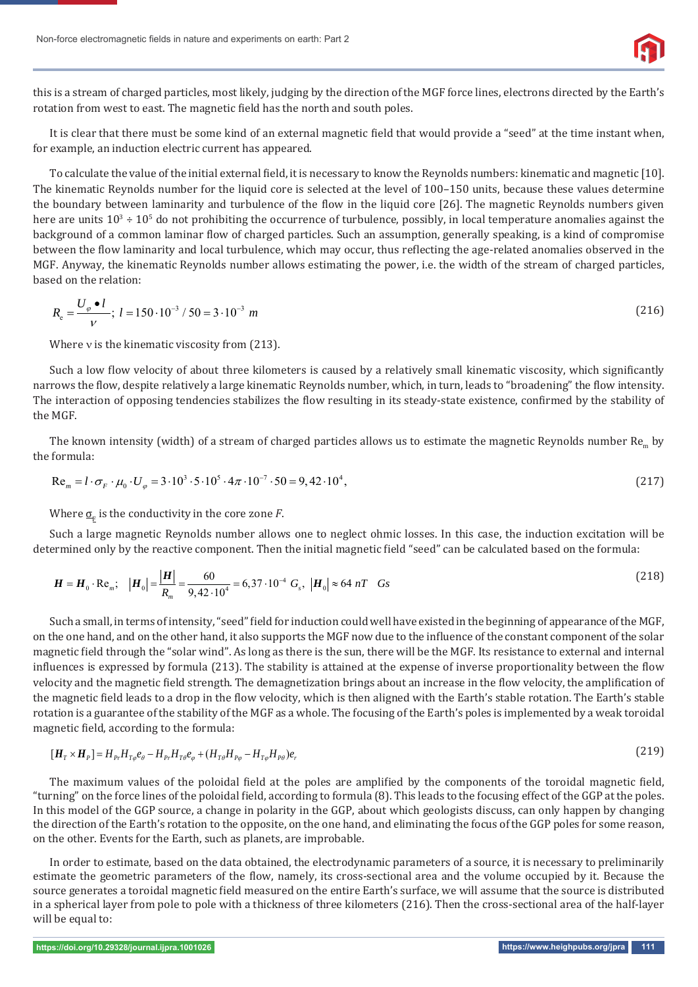

this is a stream of charged particles, most likely, judging by the direction of the MGF force lines, electrons directed by the Earth's rotation from west to east. The magnetic field has the north and south poles.

It is clear that there must be some kind of an external magnetic field that would provide a "seed" at the time instant when, for example, an induction electric current has appeared.

To calculate the value of the initial external field, it is necessary to know the Reynolds numbers: kinematic and magnetic [10]. The kinematic Reynolds number for the liquid core is selected at the level of 100–150 units, because these values determine the boundary between laminarity and turbulence of the flow in the liquid core [26]. The magnetic Reynolds numbers given here are units  $10^3 \div 10^5$  do not prohibiting the occurrence of turbulence, possibly, in local temperature anomalies against the background of a common laminar flow of charged particles. Such an assumption, generally speaking, is a kind of compromise between the flow laminarity and local turbulence, which may occur, thus reflecting the age-related anomalies observed in the MGF. Anyway, the kinematic Reynolds number allows estimating the power, i.e. the width of the stream of charged particles, based on the relation:

$$
R_e = \frac{U_{\varphi} \bullet l}{V}; \ l = 150 \cdot 10^{-3} / 50 = 3 \cdot 10^{-3} \ m \tag{216}
$$

Where  $v$  is the kinematic viscosity from (213).

Such a low flow velocity of about three kilometers is caused by a relatively small kinematic viscosity, which significantly narrows the flow, despite relatively a large kinematic Reynolds number, which, in turn, leads to "broadening" the flow intensity. The interaction of opposing tendencies stabilizes the flow resulting in its steady-state existence, confirmed by the stability of the MGF.

The known intensity (width) of a stream of charged particles allows us to estimate the magnetic Reynolds number  $Re_m$  by the formula:

$$
\text{Re}_m = l \cdot \sigma_F \cdot \mu_0 \cdot U_\varphi = 3 \cdot 10^3 \cdot 5 \cdot 10^5 \cdot 4\pi \cdot 10^{-7} \cdot 50 = 9,42 \cdot 10^4,
$$
\n(217)

Where  $\sigma_{\!_{\rm E}}$  is the conductivity in the core zone  $F$ .

Such a large magnetic Reynolds number allows one to neglect ohmic losses. In this case, the induction excitation will be determined only by the reactive component. Then the initial magnetic field "seed" can be calculated based on the formula:

$$
\boldsymbol{H} = \boldsymbol{H}_0 \cdot \text{Re}_m; \quad |\boldsymbol{H}_0| = \frac{|\boldsymbol{H}|}{R_m} = \frac{60}{9,42 \cdot 10^4} = 6,37 \cdot 10^{-4} \ G_s, \ |\boldsymbol{H}_0| \approx 64 \ nT \quad Gs
$$
\n(218)

l. Such a small, in terms of intensity, "seed" field for induction could well have existed in the beginning of appearance of the MGF, on the one hand, and on the other hand, it also supports the MGF now due to the influence of the constant component of the solar magnetic field through the "solar wind". As long as there is the sun, there will be the MGF. Its resistance to external and internal influences is expressed by formula (213). The stability is attained at the expense of inverse proportionality between the flow velocity and the magnetic field strength. The demagnetization brings about an increase in the flow velocity, the amplification of the magnetic field leads to a drop in the flow velocity, which is then aligned with the Earth's stable rotation. The Earth's stable rotation is a guarantee of the stability of the MGF as a whole. The focusing of the Earth's poles is implemented by a weak toroidal magnetic field, according to the formula:

$$
[\mathbf{H}_T \times \mathbf{H}_P] = H_{P_r} H_{T\phi} e_{\theta} - H_{P_r} H_{T\theta} e_{\phi} + (H_{T\theta} H_{P\phi} - H_{T\phi} H_{P\theta}) e_r
$$
\n(219)

The maximum values of the poloidal field at the poles are amplified by the components of the toroidal magnetic field, "turning" on the force lines of the poloidal field, according to formula (8). This leads to the focusing effect of the GGP at the poles. In this model of the GGP source, a change in polarity in the GGP, about which geologists discuss, can only happen by changing the direction of the Earth's rotation to the opposite, on the one hand, and eliminating the focus of the GGP poles for some reason, on the other. Events for the Earth, such as planets, are improbable.

In order to estimate, based on the data obtained, the electrodynamic parameters of a source, it is necessary to preliminarily estimate the geometric parameters of the flow, namely, its cross-sectional area and the volume occupied by it. Because the source generates a toroidal magnetic field measured on the entire Earth's surface, we will assume that the source is distributed in a spherical layer from pole to pole with a thickness of three kilometers (216). Then the cross-sectional area of the half-layer will be equal to: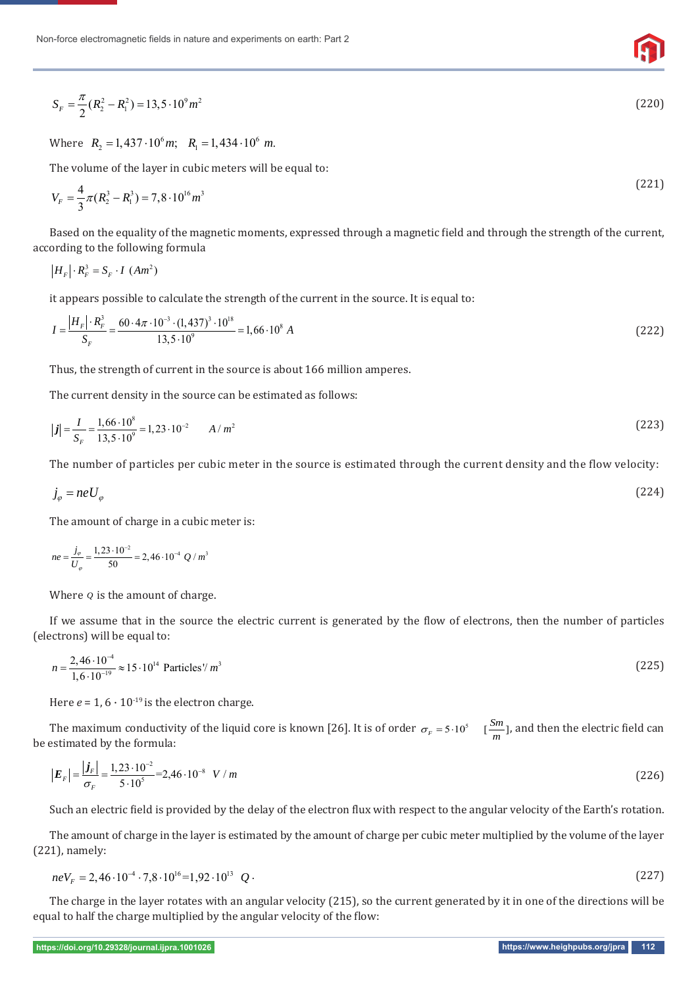$$
S_F = \frac{\pi}{2}(R_2^2 - R_1^2) = 13,5 \cdot 10^9 m^2 \tag{220}
$$

Where  $R_2 = 1,437 \cdot 10^6 m$ ;  $R_1 = 1,434 \cdot 10^6 m$ .

The volume of the layer in cubic meters will be equal to:

$$
V_F = \frac{4}{3}\pi (R_2^3 - R_1^3) = 7,8 \cdot 10^{16} m^3
$$
 (221)

Based on the equality of the magnetic moments, expressed through a magnetic field and through the strength of the current, according to the following formula

$$
|H_F| \cdot R_F^3 = S_F \cdot I \, (Am^2)
$$

it appears possible to calculate the strength of the current in the source. It is equal to:

$$
I = \frac{|H_F| \cdot R_F^3}{S_F} = \frac{60 \cdot 4\pi \cdot 10^{-3} \cdot (1,437)^3 \cdot 10^{18}}{13,5 \cdot 10^9} = 1,66 \cdot 10^8 A
$$
 (222)

Thus, the strength of current in the source is about 166 million amperes.

The current density in the source can be estimated as follows:

$$
|\boldsymbol{j}| = \frac{I}{S_F} = \frac{1,66 \cdot 10^8}{13,5 \cdot 10^9} = 1,23 \cdot 10^{-2} \qquad A/m^2
$$
 (223)

The number of particles per cubic meter in the source is estimated through the current density and the flow velocity:

$$
j_{\varphi} = neU_{\varphi} \tag{224}
$$

The amount of charge in a cubic meter is:

$$
ne = \frac{j_{\varphi}}{U_{\varphi}} = \frac{1,23 \cdot 10^{-2}}{50} = 2,46 \cdot 10^{-4} \ Q / m^{3}
$$

Where *Q* is the amount of charge.

If we assume that in the source the electric current is generated by the flow of electrons, then the number of particles (electrons) will be equal to:

$$
n = \frac{2,46 \cdot 10^{-4}}{1,6 \cdot 10^{-19}} \approx 15 \cdot 10^{14} \text{ Particles} / m^3
$$
 (225)

Here  $e = 1$ ,  $6 \cdot 10^{-19}$  is the electron charge.

The maximum conductivity of the liquid core is known [26]. It is of order  $\sigma_F = 5 \cdot 10^5 \quad [\frac{Sm}{m}]$ , and then the electric field can estimated by the formula: be estimated by the formula:

$$
\left|E_{F}\right| = \frac{\left|j_{F}\right|}{\sigma_{F}} = \frac{1,23 \cdot 10^{-2}}{5 \cdot 10^{5}} = 2,46 \cdot 10^{-8} \quad V/m
$$
\n(226)

Such an electric field is provided by the delay of the electron flux with respect to the angular velocity of the Earth's rotation.

The amount of charge in the layer is estimated by the amount of charge per cubic meter multiplied by the volume of the layer (221), namely:

$$
neV_F = 2,46 \cdot 10^{-4} \cdot 7,8 \cdot 10^{16} = 1,92 \cdot 10^{13} \quad Q \tag{227}
$$

The charge in the layer rotates with an angular velocity (215), so the current generated by it in one of the directions will be equal to half the charge multiplied by the angular velocity of the flow: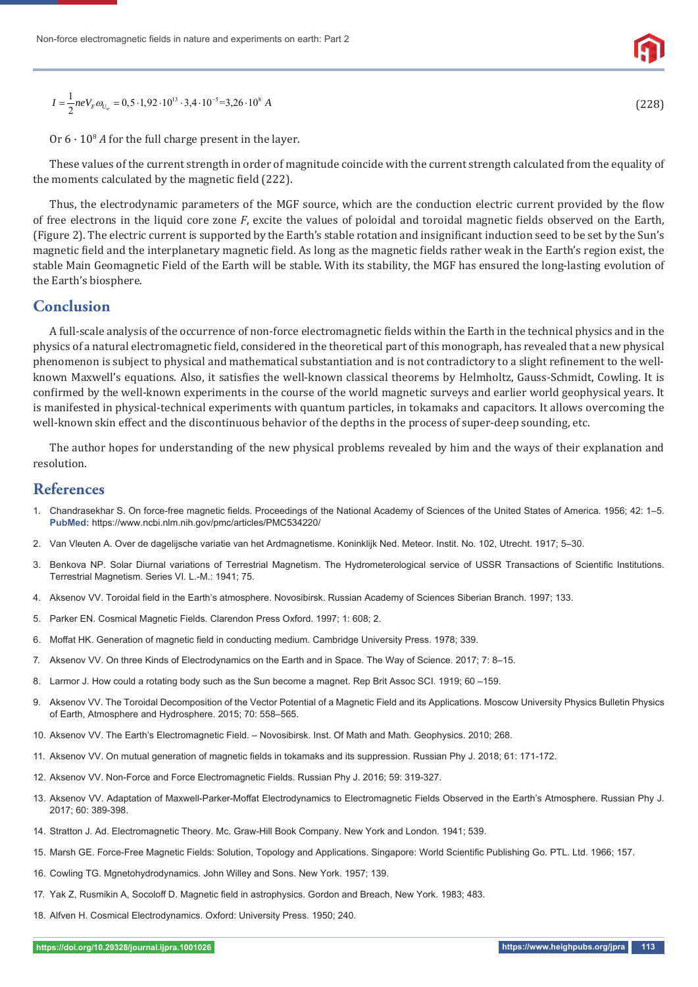$$
I = \frac{1}{2}neV_{F}\omega_{U_{\varphi}} = 0,5 \cdot 1,92 \cdot 10^{13} \cdot 3,4 \cdot 10^{-5} = 3,26 \cdot 10^{8} A
$$

Or  $6 \cdot 10^8$  *A* for the full charge present in the layer.

These values of the current strength in order of magnitude coincide with the current strength calculated from the equality of the moments calculated by the magnetic field (222).

Thus, the electrodynamic parameters of the MGF source, which are the conduction electric current provided by the flow of free electrons in the liquid core zone *F*, excite the values of poloidal and toroidal magnetic fields observed on the Earth, (Figure 2). The electric current is supported by the Earth's stable rotation and insignificant induction seed to be set by the Sun's magnetic field and the interplanetary magnetic field. As long as the magnetic fields rather weak in the Earth's region exist, the stable Main Geomagnetic Field of the Earth will be stable. With its stability, the MGF has ensured the long-lasting evolution of the Earth's biosphere.

## **Conclusion**

A full-scale analysis of the occurrence of non-force electromagnetic ϐields within the Earth in the technical physics and in the physics of a natural electromagnetic field, considered in the theoretical part of this monograph, has revealed that a new physical phenomenon is subject to physical and mathematical substantiation and is not contradictory to a slight refinement to the wellknown Maxwell's equations. Also, it satisfies the well-known classical theorems by Helmholtz, Gauss-Schmidt, Cowling. It is confirmed by the well-known experiments in the course of the world magnetic surveys and earlier world geophysical years. It is manifested in physical-technical experiments with quantum particles, in tokamaks and capacitors. It allows overcoming the well-known skin effect and the discontinuous behavior of the depths in the process of super-deep sounding, etc.

The author hopes for understanding of the new physical problems revealed by him and the ways of their explanation and resolution.

## **References**

- 1. Chandrasekhar S. On force-free magnetic fields. Proceedings of the National Academy of Sciences of the United States of America. 1956; 42: 1–5. **PubMed:** https://www.ncbi.nlm.nih.gov/pmc/articles/PMC534220/
- 2. Van Vleuten A. Over de dagelijsche variatie van het Ardmagnetisme. Koninklijk Ned. Meteor. Instit. No. 102, Utrecht. 1917; 5–30.
- 3. Benkova NP. Solar Diurnal variations of Terrestrial Magnetism. The Hydrometerological service of USSR Transactions of Scientific Institutions. Terrestrial Magnetism. Series VI. L.-M.: 1941; 75.
- 4. Aksenov VV. Toroidal field in the Earth's atmosphere. Novosibirsk. Russian Academy of Sciences Siberian Branch. 1997; 133.
- 5. Parker EN. Cosmical Magnetic Fields. Clarendon Press Oxford. 1997; 1: 608; 2.
- 6. Moffat HK. Generation of magnetic field in conducting medium. Cambridge University Press. 1978: 339.
- 7. Aksenov VV. On three Kinds of Electrodynamics on the Earth and in Space. The Way of Science. 2017; 7: 8–15.
- 8. Larmor J. How could a rotating body such as the Sun become a magnet. Rep Brit Assoc SCI. 1919; 60 –159.
- 9. Aksenov VV. The Toroidal Decomposition of the Vector Potential of a Magnetic Field and its Applications. Moscow University Physics Bulletin Physics of Earth, Atmosphere and Hydrosphere. 2015; 70: 558–565.
- 10. Aksenov VV. The Earth's Electromagnetic Field. Novosibirsk. Inst. Of Math and Math. Geophysics. 2010; 268.
- 11. Aksenov VV. On mutual generation of magnetic fields in tokamaks and its suppression. Russian Phy J. 2018; 61: 171-172.
- 12. Aksenov VV. Non-Force and Force Electromagnetic Fields. Russian Phy J. 2016; 59: 319-327.
- 13. Aksenov VV. Adaptation of Maxwell-Parker-Moffat Electrodynamics to Electromagnetic Fields Observed in the Earth's Atmosphere. Russian Phy J. 2017; 60: 389-398.
- 14. Stratton J. Ad. Electromagnetic Theory. Mc. Graw-Hill Book Company. New York and London. 1941; 539.
- 15. Marsh GE. Force-Free Magnetic Fields: Solution, Topology and Applications. Singapore: World Scientific Publishing Go. PTL. Ltd. 1966; 157.
- 16. Cowling TG. Mgnetohydrodynamics. John Willey and Sons. New York. 1957; 139.
- 17. Yak Z, Rusmikin A, Socoloff D. Magnetic field in astrophysics. Gordon and Breach, New York. 1983; 483.
- 18. Alfven H. Cosmical Electrodynamics. Oxford: University Press. 1950; 240.